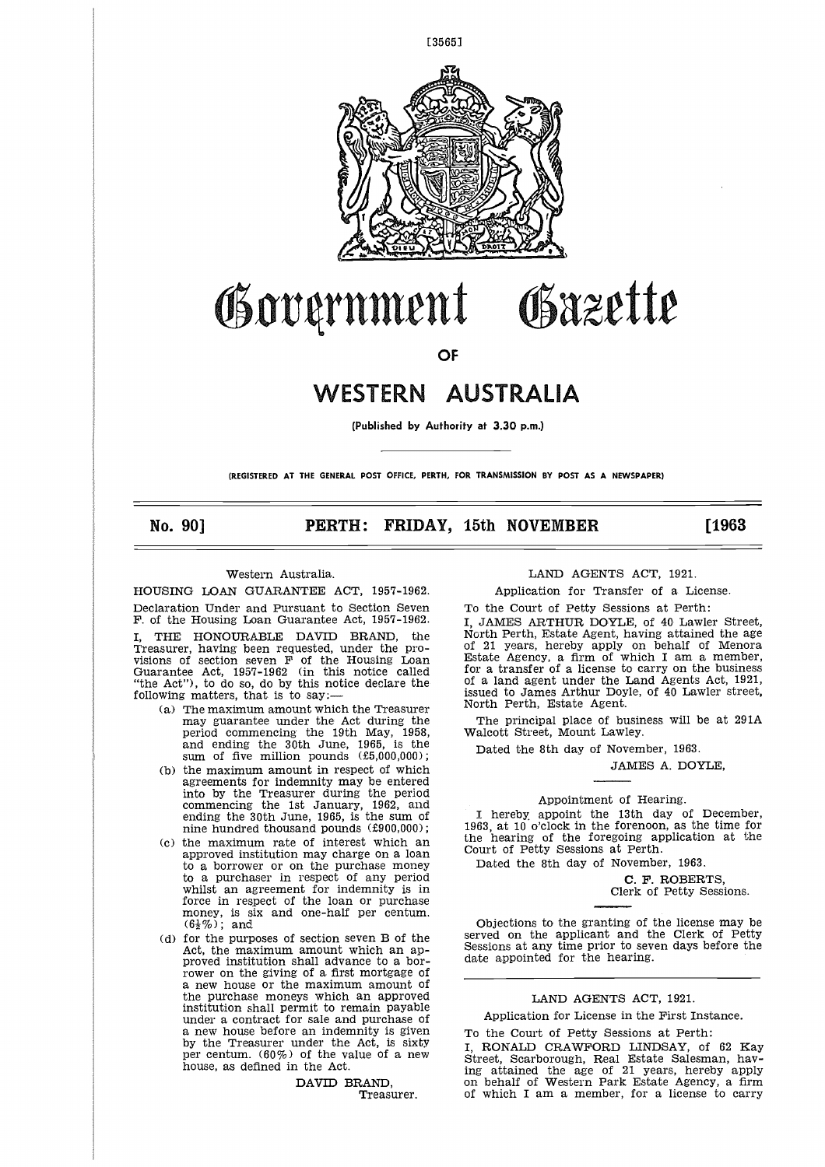

# Government Gazette  $\frac{1}{2}$ OF<br> **WESTERN AUSTRALIA**<br>
(Published by Authority at 3.30 p.m.)<br>
HE GENERAL POST OFFICE, PERTH, FOR TRANSMISSION BY POST AS A NEWSPAPER)<br>
PERTH: FRIDAY, 15th NOVEMBER [1963<br>
Tralia.<br>
LAND AGENTS ACT, 1981.<br>
LAND AGENTS ACT,

**OF**

### **WESTERN AUSTRALIA**

(Published by Authority at 3.30 p.m.)

**(REGISTERED AT THE GENERAL POST OFFICE, PERTH, FOR TRANSMISSION BY POST AS A NEWSPAPER)**

**No. 90]**

#### Western Australia.

HOUSING LOAN GUARANTEE ACT, 1957-1962.

Declaration Under and Pursuant to Section Seven F. of the Housing Loan Guarantee Act, 1957-1962. THE HONOURABLE DAVID BRAND, the Treasurer, having been requested, under the provisions of section seven F of the Housing Loan Guarantee Act, 1957-1962 (in this notice called

"the Act"), to do so, do by this notice declare the following matters, that is to say: (a) The maximum amount which the Treasurer may guarantee under the Act during the

- period commencing the 19th May, 1958, and ending the 30th June, 1965, is the sum of five million pounds (£5,000,000); (b) the maximum amount in respect of which
- agreements for indemnity may be entered into by the Treasurer during the period commencing the 1st January, 1962, and ending the 30th June, 1965, is the sum of nine hundred thousand pounds (£900,000);
- (c) the maximum rate of interest which an approved institution may charge on a loan to a borrower or on the purchase money to a purchaser in respect of any period whilst an agreement for indemnity is in force in respect of the loan or purchase money, is six and one-half per centum.  $(6\frac{1}{2}\%)$ ; and
- (d) for the purposes of section seven B of the Act, the maximum. amount which an approved institution shall advance to a borrower on the giving of a first mortgage of a new house or the maximum amount of the purchase moneys which an approved institution shall permit to remain payable under a contract for sale and purchase of a new house before an indemnity is given by the Treasurer under the Act, is sixty per centum. (60%) of the value of a new house, as defined in the Act.

DAVID BRAND, Treasurer.

#### LAND AGENTS ACT, 1921.

Application for Transfer of a License.

To the Court of Petty Sessions at Perth:

I, JAMES ARTHUR DOYLE, of 40 Lawler Street, North Perth, Estate Agent, having attained the age 21 years, hereby apply on behalf of Menora Estate Agency, a firm of which I am a member, for a transfer of a license to carry on the business of a land agent under the Land Agents Act, 1921, issued to James Arthur Doyle, of 40 Lawler street, North Perth, Estate Agent.

The principal place of business will be at 291A Walcott Street, Mount Lawley.

Dated the 8th day of November, 1963.

JAMES A. DOYLE,

#### Appointment of Hearing.

I hereby appoint the 13th day of December, 1963, at 10 o'clock in the forenoon, as the time for the hearing of the foregoing application at the Court of Petty Sessions at Perth.

Dated the 8th day of November, 1963.

C. F. ROBERTS Clerk of Petty Sessions.

Objections to the granting of the license may be served on the applicant and the Clerk of Petty Sessions at any time prior to seven days before the date appointed for the hearing.

#### LAND AGENTS ACT, 1921.

Application for License in the First Instance.

To the Court of Petty Sessions at Perth: I, RONALD CRAWFORD LINDSAY, of 62 Kay Street, Scarborough, Real Estate Salesman, hav-ing attained the age of 21 years, hereby apply on behalf of Western Park Estate Agency, a firm of which I am a member, for a license to carry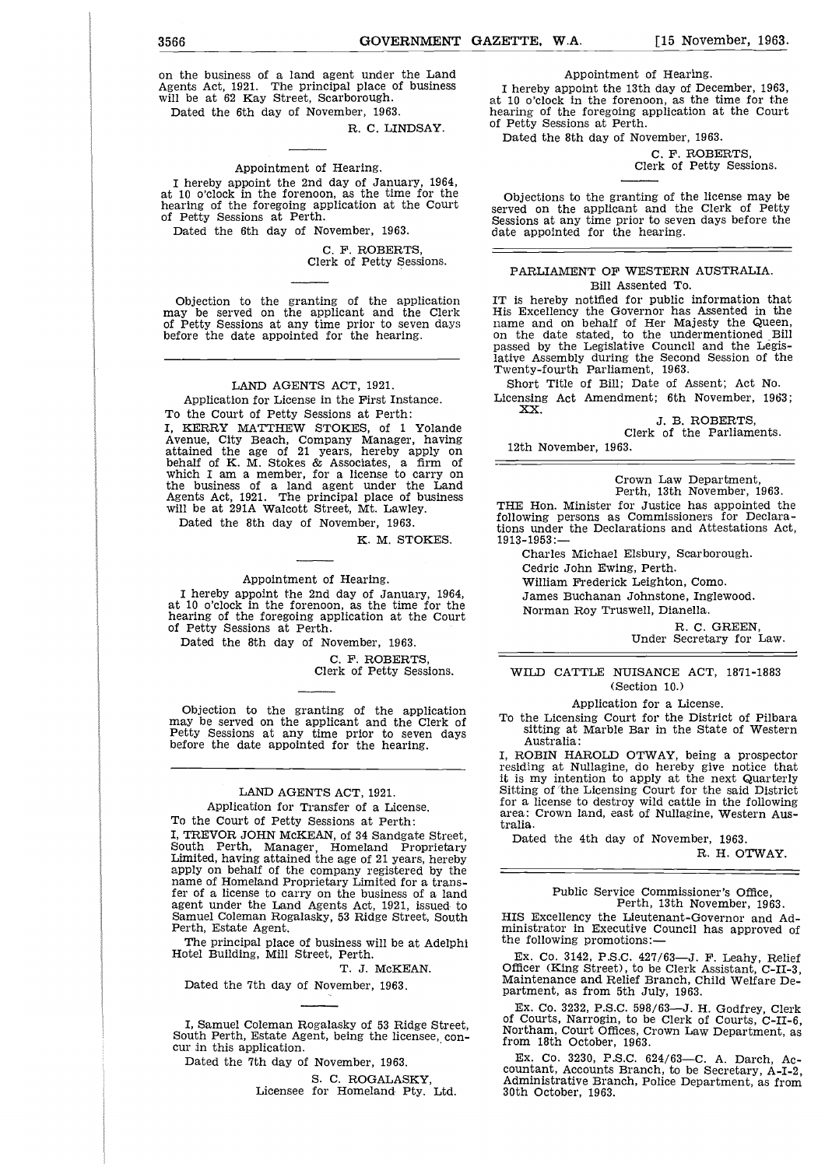3566<br>
GOVERNMENT GAZETTE, W.A. [15 November, 1963.<br>
on the business of a land agent under the Land Appointment of Hearing.<br>
Agents Act, 1921. The principal place of business I hereby appoint the 13th day of December, 1963, on the business of a land agent under the Land Agents Act, 1921. The principal place of business will be at 62 Kay Street, Scarborough.

Dated the 6th day of November, 1963.

R. C. LINDSAY.

#### Appointment of Hearing.

I hereby appoint the 2nd day of January, 1964, at 10 o'clock in the forenoon, as the time for the hearing of the foregoing application at the Court of Petty Sessions at Perth.

Dated the 6th day of November, 1963.

C. F. ROBERTS, Clerk of Petty Sessions.

Objection to the granting of the application may be served on the applicant and the Clerk of Petty Sessions at any time prior to seven days before the date appointed for the hearing.

#### LAND AGENTS ACT, 1921.

Application for License in the First Instance. To the Court of Petty Sessions at Perth: I, KERRY MATTHEW STOKES, of 1 Yolande Avenue, City Beach, Company Manager, having attained the age of 21 years, hereby apply on behalf of K. M. Stokes & Associates, a firm of which I am a member, for a license to carry on the business of a land agent under the Land Agents Act, 1921. The principal place of business will be at 291A Walcott Street, Mt. Lawley.

Dated the 8th day of November, 1963.

K. M. STOKES.

#### Appointment of Hearing.

I hereby appoint the 2nd day of January, 1964, at 10 o'clock in the forenoon, as the time for the hearing of the foregoing application at the Court of Petty Sessions at Perth.

Dated the 8th day of November, 1963.

C. F. ROBERTS,

Clerk of Petty Sessions.

Objection to the granting of the application may be served on the applicant and the Clerk of Petty Sessions at any time prior to seven days before the date appointed for the hearing.

#### LAND AGENTS ACT, 1921.

Application for Transfer of a License. To the Court of Petty Sessions at Perth:

I, TREVOR JOHN McKEAN, of 34 Sandgate Street, South Perth, Manager, Homeland Proprietary Limited, having attained the age of 21 years, hereby apply on behalf of the company registered by the name of Homeland Proprietary Limited for a transfer of a license to carry on the business of a land agent under the Land Agents Act, 1921, issued to Samuel Coleman Rogalasky, 53 Ridge Street, South Perth, Estate Agent.

The principal place of business will be at Adelphi Hotel Building, Mill Street, Perth.

T. J. McKEAN.

Dated the 7th day of November, 1963.

I, Samuel Coleman Rogalasky of 53 Ridge Street, South Perth, Estate Agent, being the licensee, concur in this application.

Dated the 7th day of November, 1963.

S. C. ROGALASKY, Licensee for Homeland Pty. Ltd. Appointment of Hearing.

I hereby appoint the 13th day of December, 1963, at 10 o'clock in the forenoon, as the time for the hearing of the foregoing application at the Court of Petty Sessions at Perth.

Dated the 8th day of November, 1963.

C. F. ROBERTS, Clerk of Petty Sessions.

Objections to the granting of the license may be served on the applicant and the Clerk of Petty Sessions at any time prior to seven days before the date appointed for the hearing.

#### PARLIAMENT OF WESTERN AUSTRALIA. Bill Assented To.

IT is hereby notified for public information that His Excellency the Governor has Assented in the name and on behalf of Her Majesty the Queen, on the date stated, to the undermentioned Bill passed by the Legislative Council and the Legislative Assembly during the Second Session of the Twenty-fourth Parliament, 1963.

Short Title of Bill; Date of Assent; Act No. Licensing Act Amendment; 6th November, 1963; **XX.**

> J. B. ROBERTS, Clerk of the Parliaments.

12th November, 1963.

Crown Law Department, Perth, 13th November, 1963. THE Hon. Minister for Justice has appointed the following persons as Commissioners for Declarations under the Declarations and Attestations Act, 1913-1953:

Charles Michael Elsbury, Scarborough.

Cedric John Ewing, Perth.

William Frederick Leighton, Como.

James Buchanan Johnstone, Inglewood.

Norman Roy Truswell, Dianella.

R. C. GREEN, Under Secretary for Law.

WILD CATTLE NUISANCE ACT, 1871-1883 (Section 10.)

#### Application for a License.

To the Licensing Court for the District of Pilbara sitting at Marble Bar in the State of Western Australia:

I, ROBIN HAROLD OTWAY, being a prospector residing at Nullagine, do hereby give notice that it is my intention to apply at the next Quarterly Sitting of the Licensing Court for the said District for a license to destroy wild cattle in the following area: Crown land, east of Nullagine, Western Australia.

Dated the 4th day of November, 1963.

R. H. OTWAY.

Public Service Commissioner's Office, Perth, 13th November, 1963.

HIS Excellency the Lieutenant-Governor and Administrator in Executive Council has approved of the following promotions:

Ex. Co. 3142, P.S.C. 427/63—J. F. Leahy, Relief Officer (King Street), to be Clerk Assistant, C-II-3, Maintenance and Relief Branch, Child Welfare Department, as from 5th July, 1963.

Ex. Co. 3232, P.S.C. 598/63—J. H. Godfrey, Clerk of Courts, Narrogin, to be Clerk of Courts, C-II-6, Northam, Court Offices, Crown Law Department, as from 18th October, 1963.

Ex. Co. 3230, P.S.C. 624/63—C. A. Darch, Accountant, Accounts Branch, to be Secretary, A-I-2, Administrative Branch, Police Department, as from 30th October, 1963.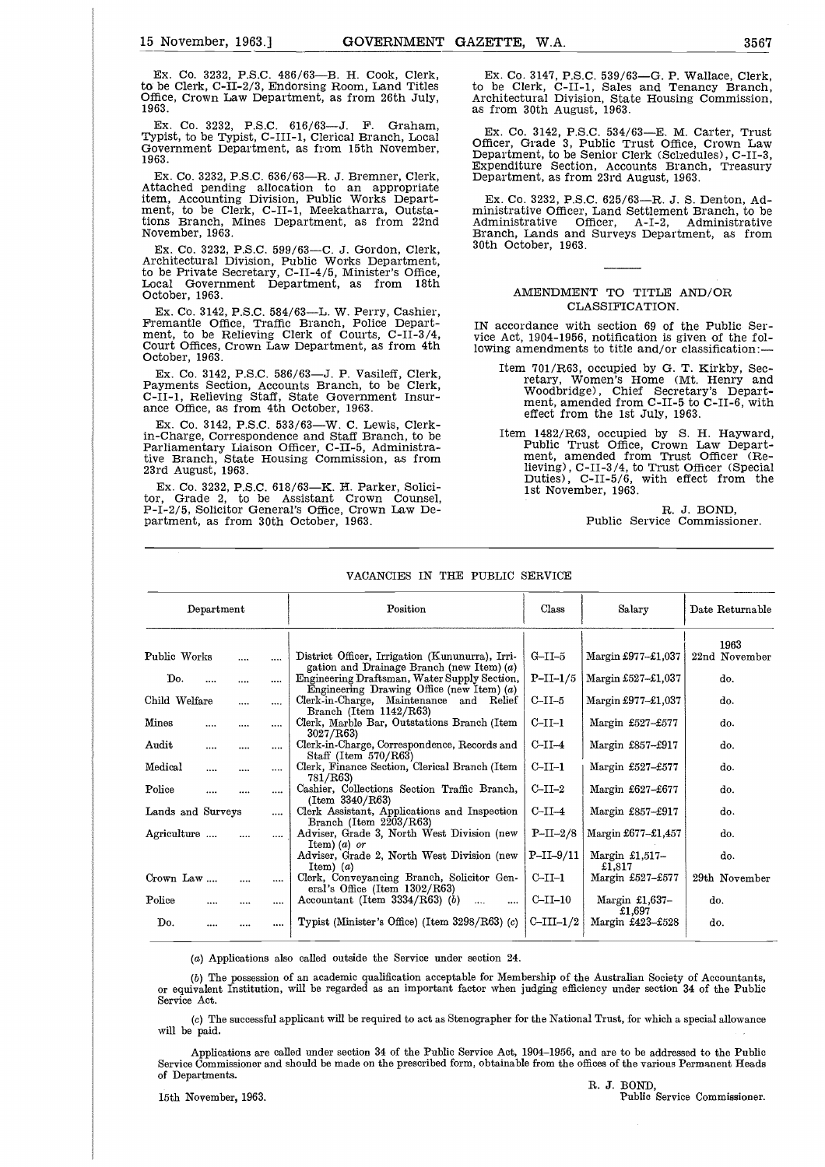15 November, 1963.] **GOVERNMENT GAZETTE, W.A.** 3567<br>Ex. Co. 3232, P.S.C. 486/63—B. H. Cook, Clerk, Ex. Co. 3147, P.S.C. 539/63—G. P. Wallace, Clerk, to be Clerk, C-II-2/3, Endorsing Room, Land Titles to be Clerk, C-II-1, S Ex. Co. 3232, P.S.C. 486/63—B. H. Cook, Clerk, to be Clerk, C-II-2/3, Endorsing Room, Land Titles Office, Crown Law Department, as from 26th July, 1963.

Ex. Co. 3232, P.S.C. 616/63—J. F. Graham, Typist, to be Typist, C-III-1, Clerical Branch, Local Government Department, as from 15th November, 1963.

Ex. Co. 3232, P.S.C. 636/63—R. J. Bremner, Clerk, Attached pending allocation to an appropriate item, Accounting Division, Public Works Depart-ment, to be Clerk, C-II-1, Meekatharra, Outstations Branch, Mines Department, as from 22nd November, 1963.

Ex. Co. 3232, P.S.C. 599/63—C. J. Gordon, Clerk, Architectural Division, Public Works Department, to be Private Secretary, C-II-4/5, Minister's Office, Local Government Department, as from 18th October, 1963.

Ex. Co. 3142, P.S.C. 584/63—L. W. Perry, Cashier, Fremantle Office, Traffic Branch, Police Department, to be Relieving Clerk of Courts, C-II-3/4, Court Offices, Crown Law Department, as from 4th October, 1963.

Ex. Co. 3142, P.S.C. 586/63—J. P. Vasileff, Clerk, Payments Section, Accounts Branch, to be Clerk, C-II-1, Relieving Staff, State Government Insurance Office, as from 4th October, 1963.

Ex. Co. 3142, P.S.C. 533/63—W. C. Lewis, Clerkin-Charge, Correspondence and Staff Branch, to be Parliamentary Liaison Officer, C-II-5, Administrative Branch, State Housing Commission, as from 23rd August, 1963.

Ex. Co. 3232, P.S.C. 618/63—K. H. Parker, Solici-tor, Grade 2, to be Assistant Crown Counsel, P-I-2/5, Solicitor General's Office, Crown Law Department, as from 30th October, 1963.

Ex. Co. 3147, P.S.C. 539/63—G. P. Wallace, Clerk, to be Clerk, C-II-1, Sales and Tenancy Branch, Architectural Division, State Housing Commission, as from 30th August, 1963.

Ex. Co. 3142, P.S.C. 534/63—E. M. Carter, Trust Officer, Grade 3, Public Trust Office, Crown Law Department, to be Senior Clerk (Schedules), C-II-3, Expenditure Section, Accounts Branch, Treasury Department, as from 23rd August, 1263.

Ex. Co. 3232, P.S.C. 625/63—R. J. S. Denton, Administrative Officer, Land Settlement Branch, to be Administrative Officer, A-I-2, Administrative Branch, Lands and Surveys Department, as from 30th October, 1963.

#### AMENDMENT TO TITLE AND/OR CLASSIFICATION.

IN accordance with section 69 of the Public Service Act, 1904-1956, notification is given of the following amendments to title and/or classification:

- Item 701/R63, occupied by G. T. Kirkby, Secretary, Women's Home (Mt. Henry and Woodbridge), Chief Secretary's Department, amended from C-II-5 to C-II-6, with effect from the 1st July, 1963.
- Item 1482/R63, occupied by S. H. Hayward, Public Trust Office, Crown Law Department, amended from Trust Officer (Relieving), C-II-3/4, to Trust Officer (Special Duties), C-II-5/6, with effect from the 1st November, 1963.

R. J. BOND, Public Service Commissioner.

| Department        |  |          | Position                                                                                       | Class       | Salary                     | Date Returnable |
|-------------------|--|----------|------------------------------------------------------------------------------------------------|-------------|----------------------------|-----------------|
|                   |  |          |                                                                                                |             |                            | 1963            |
| Public Works      |  | $\cdots$ | District Officer, Irrigation (Kununurra), Irri-<br>gation and Drainage Branch (new Item) $(a)$ | $G-II-5$    | Margin £977-£1,037         | 22nd November   |
| Do.               |  | $\cdots$ | Engineering Draftsman, Water Supply Section,<br>Engineering Drawing Office (new Item) $(a)$    | $P-II-1/5$  | Margin $£527 - £1,037$     | do.             |
| Child Welfare     |  |          | Clerk-in-Charge, Maintenance and Relief<br>Branch (Item $1142/R63$ )                           | $C-II-5$    | Margin £977–£1,037         | do.             |
| Mines             |  |          | Clerk, Marble Bar, Outstations Branch (Item<br>3027/R63                                        | $C-II-1$    | Margin £527-£577           | do.             |
| Audit             |  |          | Clerk-in-Charge, Correspondence, Records and<br>Staff (Item $570/R63$ )                        | $C-II-4$    | Margin £857-£917           | do.             |
| Medical           |  |          | Clerk, Finance Section, Clerical Branch (Item<br>781/R63)                                      | $C-II-1$    | Margin £527-£577           | do.             |
| Police            |  |          | Cashier, Collections Section Traffic Branch,<br>(Item 3340/R63)                                | $C-II-2$    | Margin £627-£677           | do.             |
| Lands and Surveys |  |          | Clerk Assistant, Applications and Inspection<br>Branch (Item $2203/R63$ )                      | $C-II-4$    | Margin £857-£917           | do.             |
| Agriculture       |  |          | Adviser, Grade 3, North West Division (new<br>Item) ( <i>a</i> ) or                            | $P-II-2/8$  | Margin £677-£1,457         | do.             |
|                   |  |          | Adviser, Grade 2, North West Division (new<br>Item $(a)$                                       | $P-II-9/11$ | Margin $£1,517-$<br>£1,817 | do.             |
| Crown Law         |  |          | <br>Clerk, Conveyancing Branch, Solicitor Gen-<br>eral's Office (Item $1302/R63$ )             | $C-II-1$    | Margin £527-£577           | 29th November   |
| Police            |  |          | <br>Accountant (Item $3334/R63$ ) (b)<br>$\cdots$<br>                                          | $C-II-10$   | Margin £1,637-<br>£1,697   | do.             |
| Do.               |  |          | Typist (Minister's Office) (Item $3298/R63$ ) (c)                                              | $C-III-1/2$ | Margin £423-£528           | do.             |

#### VACANCIES IN THE PUBLIC SERVICE

(a) Applications also called outside the Service under section 24.

(b) The possession of an academic qualification acceptable for Membership of the Australian Society of Accountants, or equivalent Institution, will be regarded as an important factor when judging efficiency under section 34 of the Public Service Act. (a) Applications also called outside the Service under section 24.<br>
(b) The possession of an academic qualification acceptable for Membership of the Australian Society of Accountants,<br>
or equivalent Institution, will be r

(c) The successful applicant will be required to act as Stenographer for the National Trust, for which a special allowance will be paid.

Applications are called under section 34 of the Public Service Act, 1904-1956, and are to be addressed to the Public Service Commissioner and should be made on the prescribed form, obtainable from the offices of the various Permanent Heads of Departments.

R. J. BOND,<br>Public Service Commissioner.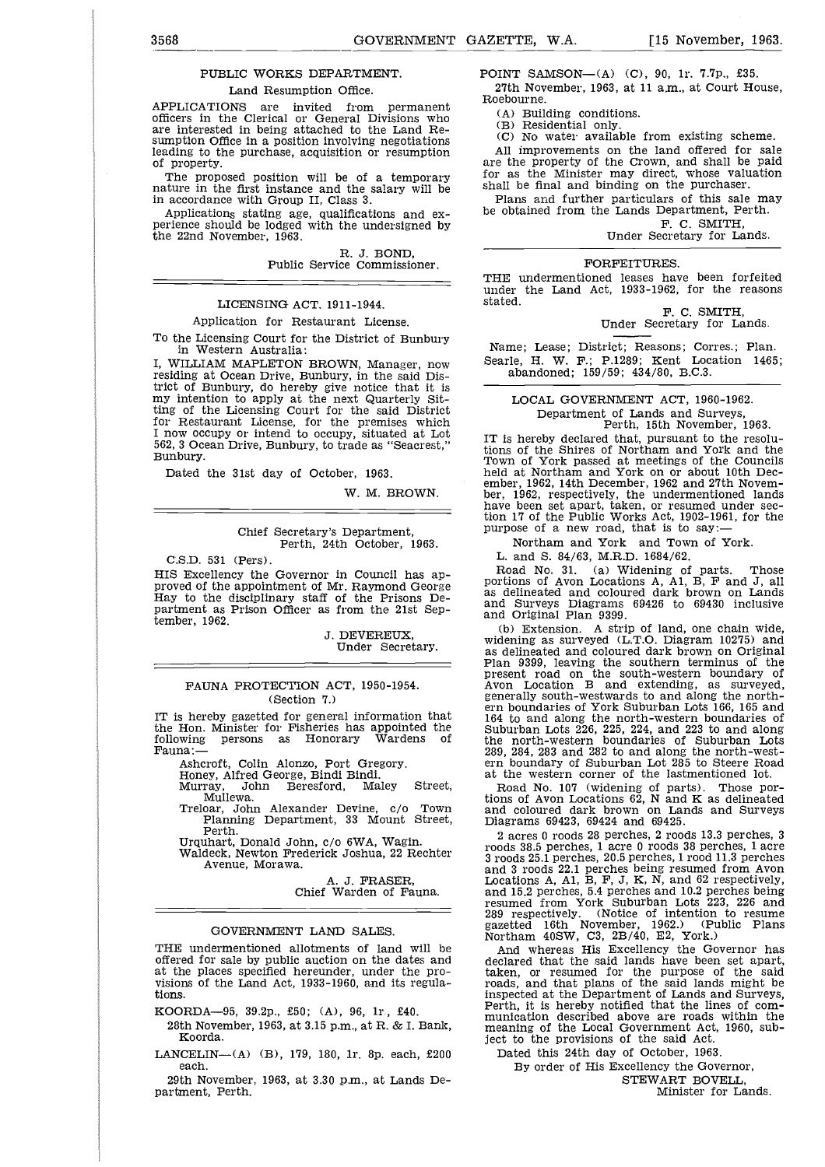#### PUBLIC WORKS DEPARTMENT.

#### Land Resumption Office.

APPLICATIONS are invited from permanent officers in the Clerical or General Divisions who are interested in being attached to the Land Resumption Office in a position involving negotiations leading to the purchase, acquisition or resumption of property.

The proposed position will be of a temporary nature in the first instance and the salary will be in accordance with Group II, Class 3.

Applications stating age, qualifications and experience should be lodged with the undersigned by the 22nd November, 1963.

> R. J. BOND, Public Service Commissioner.

#### LICENSING ACT, 1911-1944.

#### Application for Restaurant License.

To the Licensing Court for the District of Bunbury in Western Australia:

I, WILLIAM MAPLETON BROWN, Manager, now residing at Ocean Drive, Bunbury, in the said District of Bunbury, do hereby give notice that it is my intention to apply at the next Quarterly Sitting of the Licensing Court for the said District for Restaurant License, for the premises which I now occupy or intend to occupy, situated at Lot 562, 3 Ocean Drive, Bunbury, to trade as "Seacrest," Bunbury.

Dated the 31st day of October, 1963.

W. M. BROWN.

#### Chief Secretary's Department, Perth, 24th October, 1963.

C.S.D. 531 (Pers).

HIS Excellency the Governor in Council has approved of the appointment of Mr. Raymond George Hay to the disciplinary staff of the Prisons Department as Prison Officer as from the 21st September, 1962.

> J. DEVEREUX, Under Secretary.

#### FAUNA PROTECTION ACT, 1950-1954. (Section 7.)

IT is hereby gazetted for general information that the Hon. Minister for Fisheries has appointed the as Honorary Fauna:

Ashcroft, Colin Alonzo, Port Gregory.

Honey, Alfred George, Bindi Bindi. Murray, John Beresford, Maley Street, Mullewa.

Treloar, John Alexander Devine, c/o Town Planning Department, 33 Mount Street, Perth.

Urquhart, Donald John, c/o 6WA, Wagin.

Waldeck, Newton Frederick Joshua, 22 Rechter Avenue, Morawa.

A. J. FRASER, Chief Warden of Fauna.

#### GOVERNMENT LAND SALES.

THE undermentioned allotments of land will be offered for sale by public auction on the dates and at the places specified hereunder, under the provisions of the Land Act, 1933-1960, and its regulations.

KOORDA-95, 39.2p., £50; (A), 96, lr , £40.

- 28th November, 1963, at 3.15 p.m., at R. & I. Bank, Koorda.
- LANCELIN—(A) (B), 179, 180, 1r. 8p. each, £200 each.

29th November, 1963, at 3.30 p.m., at Lands Department, Perth.

3568<br>
GOVERNMENT GAZETTE, W.A. [15 November, 1963.<br>
PUBLIC WORKS DEPARTMENT. POINT SAMSON—(A) (C), 90, 1r. 7.7p., £35.<br>
Land Resumption Office. 27th November, 1963, at 11 a.m., at Court House, POINT SAMSON- $(A)$  (C), 90, 1r. 7.7p., £35. 27th November, 1963, at 11 a.m., at Court House, Roebourne.

(A) Building conditions.

(B) Residential only.

(C) No water available from existing scheme.

All improvements on the land offered for sale are the property of the Crown, and shall be paid for as the Minister may direct, whose valuation shall be final and binding on the purchaser.

Plans and further particulars of this sale may be obtained from the Lands Department, Perth.

F. C. SMITH, Under Secretary for Lands.

#### FORFEITURES.

THE undermentioned leases have been forfeited under the Land Act, 1933-1962, for the reasons stated.

F. C. SMITH, Under Secretary for Lands.

Name; Lease; District; Reasons; Corres.; Plan. Searle, H. W. F.; P.1289; Kent Location 1465; abandoned; 159/59; 434/80, B.C.3.

LOCAL GOVERNMENT ACT, 1960-1962. Department of Lands and Surveys, Perth, 15th November, 1963.

IT is hereby declared that, pursuant to the resolu-tions of the Shires of Northam and York and the Town of York passed at meetings of the Councils held at Northam and York on or about 10th December, 1962, 14th December, 1962 and 27th Novem-ber, 1962, respectively, the undermentioned lands have been set apart, taken, or resumed under sec-tion 17 of the Public Works Act, 1902-1961, for the purpose of a new road, that is to say:

Northam and York and Town of York.

L. and S. 84/63, M.R.D. 1684/62.

Road No. 31. (a) Widening of parts. Those portions of Avon Locations A, Al, B, F and *J,* all as delineated and coloured dark brown on Lands and Surveys Diagrams 69426 to 69430 inclusive and Original Plan 9399.

(b) Extension. A strip of land, one chain wide, widening as surveyed (L.T.O. Diagram 10275) and as delineated and coloured dark brown on Original Plan 9399, leaving the southern terminus of the present road on the south-western boundary of Avon Location B and extending, as surveyed, generally south-westwards to and along the northern boundaries of York Suburban Lots 166, 165 and<br>164 to and along the north-western boundaries of<br>Suburban Lots 226, 225, 224, and 223 to and along<br>the north-western boundaries of Suburban Lots<br>289, 284, 283 and 282 to an ern boundary of Suburban Lot 285 to Steere Road at the western corner of the lastmentioned lot.

Road No. 107 (widening of parts). Those por-tions of Avon Locations 62, N and K as delineated and coloured dark brown on Lands and Surveys Diagrams 69423, 69424 and 69425.

2 acres 0 roods 28 perches, 2 roods 13.3 perches, 3 roods 38.5 perches, 1 acre 0 roods 38 perches, 1 acre 3 roods 25.1 perches, 20.5 perches, 1 rood 11.3 perches and 3 roods 22.1 perches being resumed from Avon Locations A, Al, B, F, J, K, N, and 62 respectively, and 15.2 perches, 5.4 perches and 10.2 perches being resumed from York Suburban Lots 223, 226 and 289 respectively. (Notice of intention to resume gazetted 16th November, 1962.) (Public Plans Northam 40SW, C3, 2B/40, E2, York.)

And whereas His Excellency the Governor has declared that the said lands have been set apart, taken, or resumed for the purpose of the said roads, and that plans of the said lands might be inspected at the Department of Lands and Surveys, Perth, it is hereby notified that the lines of communication described above are roads within the meaning of the Local Government Act, 1960, subject to the provisions of the said Act.

Dated this 24th day of October, 1963.

By order of His Excellency the Governor,

STEWART BOVELL,

Minister for Lands.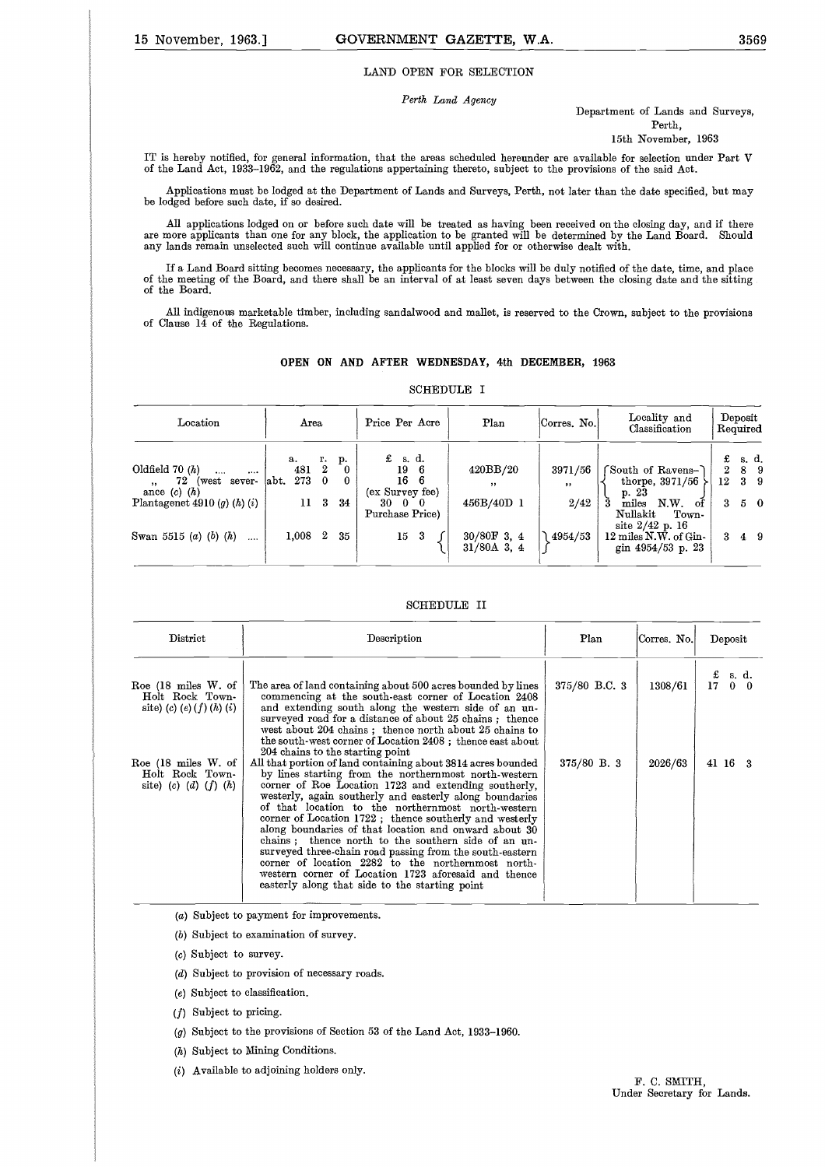#### LAND OPEN FOR SELECTION

#### *Perth Land Agency*

#### Department of Lands and Surveys, Perth,

15th November, 1963

IT is hereby notified, for general information, that the areas scheduled hereunder are available for selection under Part V of the Land Act, 1933-1962, and the regulations appertaining thereto, subject to the provisions of the said Act.

Applications must be lodged at the Department of Lands and Surveys, Perth, not later than the date specified, but may be lodged before such date, if so desired.

All applications lodged on or before such date will be treated as having been received on the closing day, and if there<br>are more applicants than one for any block, the application to be granted will be determined by the La

If a Land Board sitting becomes necessary, the applicants for the blocks will be duly notified of the date, time, and place<br>of the meeting of the Board, and there shall be an interval of at least seven days between the clo of the Board.

All indigenous marketable timber, including sandalwood and mallet, is reserved to the Crown, subject to the provisions of Clause 14 of the Regulations.

#### **OPEN ON AND AFTER WEDNESDAY, 4th DECEMBER, 1963**

#### SCHEDULE I

| NUMBUULE 1                                                                                                                  |                                 |                          |               |                                                                                             |                                                   |                           |                                                                                                                 |                   |                              |                                             |
|-----------------------------------------------------------------------------------------------------------------------------|---------------------------------|--------------------------|---------------|---------------------------------------------------------------------------------------------|---------------------------------------------------|---------------------------|-----------------------------------------------------------------------------------------------------------------|-------------------|------------------------------|---------------------------------------------|
| Location                                                                                                                    | Area                            |                          |               | Price Per Acre                                                                              | Plan                                              | Corres. No.               | Locality and<br>Classification                                                                                  |                   | $\bold{Deposit}$<br>Required |                                             |
| Oldfield $70(h)$<br><br>$\cdots$<br>72<br>(west sever-<br>$\cdot$<br>ance $(c)$ $(h)$<br>Plantagenet 4910 $(g)$ $(h)$ $(i)$ | а.<br>481<br>273<br>labt.<br>11 | r.<br>$\mathbf{2}$<br>-3 | p.<br>0<br>34 | £<br>s. d.<br>19<br>-6<br>16<br>6<br>(ex Survey fee)<br>30<br>$0\quad 0$<br>Purchase Price) | 420BB/20<br>$\overline{\mathbf{z}}$<br>456B/40D 1 | 3971/56<br>$, \,$<br>2/42 | South of Ravens-<br>thorpe, $3971/56$<br>p. 23<br>N.W.<br>miles<br>of<br>Nullakit<br>Town-<br>site $2/42$ p. 16 | £<br>2<br>12<br>3 |                              | s. d.<br>89<br>3 <sub>9</sub><br>$5\quad 0$ |
| Swan 5515 ( <i>a</i> ) ( <i>b</i> ) ( <i>h</i> )<br>                                                                        | $1,008$ 2                       |                          | 35            | $15 \quad 3$                                                                                | $30/80$ F 3, 4<br>$31/80$ A 3, 4                  | 4954/53                   | 12 miles N.W. of Gin-<br>gin 4954/53 p. 23                                                                      | 3.                | 49                           |                                             |

#### SCHEDULE II

| District                                                                             | Description                                                                                                                                                                                                                                                                                                                                                                                                                                                                                                                                                                                                                                                                                                                                         | Plan          | Corres. No. | Deposit                                                               |
|--------------------------------------------------------------------------------------|-----------------------------------------------------------------------------------------------------------------------------------------------------------------------------------------------------------------------------------------------------------------------------------------------------------------------------------------------------------------------------------------------------------------------------------------------------------------------------------------------------------------------------------------------------------------------------------------------------------------------------------------------------------------------------------------------------------------------------------------------------|---------------|-------------|-----------------------------------------------------------------------|
| Roe $(18 \text{ miles W. of})$<br>Holt Rock Town-<br>site) (c) (e) $(f)$ $(h)$ $(i)$ | The area of land containing about 500 acres bounded by lines<br>commencing at the south-east corner of Location 2408<br>and extending south along the western side of an un-<br>surveyed road for a distance of about 25 chains; thence<br>west about 204 chains; thence north about 25 chains to                                                                                                                                                                                                                                                                                                                                                                                                                                                   | 375/80 B.C. 3 | 1308/61     | $\begin{array}{cc} \text{£} & \text{s. d.} \\ 17 & 0 & 0 \end{array}$ |
| Roe $(18 \text{ miles W. of})$<br>Holt Rock Town-<br>site) (c) (d) $(f)$ (h)         | the south-west corner of Location 2408; thence east about<br>204 chains to the starting point<br>All that portion of land containing about 3814 acres bounded<br>by lines starting from the northernmost north-western<br>corner of Roe Location 1723 and extending southerly,<br>westerly, again southerly and easterly along boundaries<br>of that location to the northernmost north-western<br>corner of Location 1722; thence southerly and westerly<br>along boundaries of that location and onward about 30<br>chains; thence north to the southern side of an un-<br>surveyed three-chain road passing from the south-eastern<br>corner of location 2282 to the northernmost north-<br>western corner of Location 1723 aforesaid and thence | $375/80$ B. 3 | 2026/63     | 41 16 3                                                               |

(a) Subject to payment for improvements.

(b) Subject to examination of survey.

(c) Subject to survey.

- (d) Subject to provision of necessary roads.
- (e) Subject to classification.

(f) Subject to pricing.

(g) Subject to the provisions of Section 53 of the Land Act, 1933-1960.

- (h) Subject to Mining Conditions.
- (i) Available to adjoining holders only.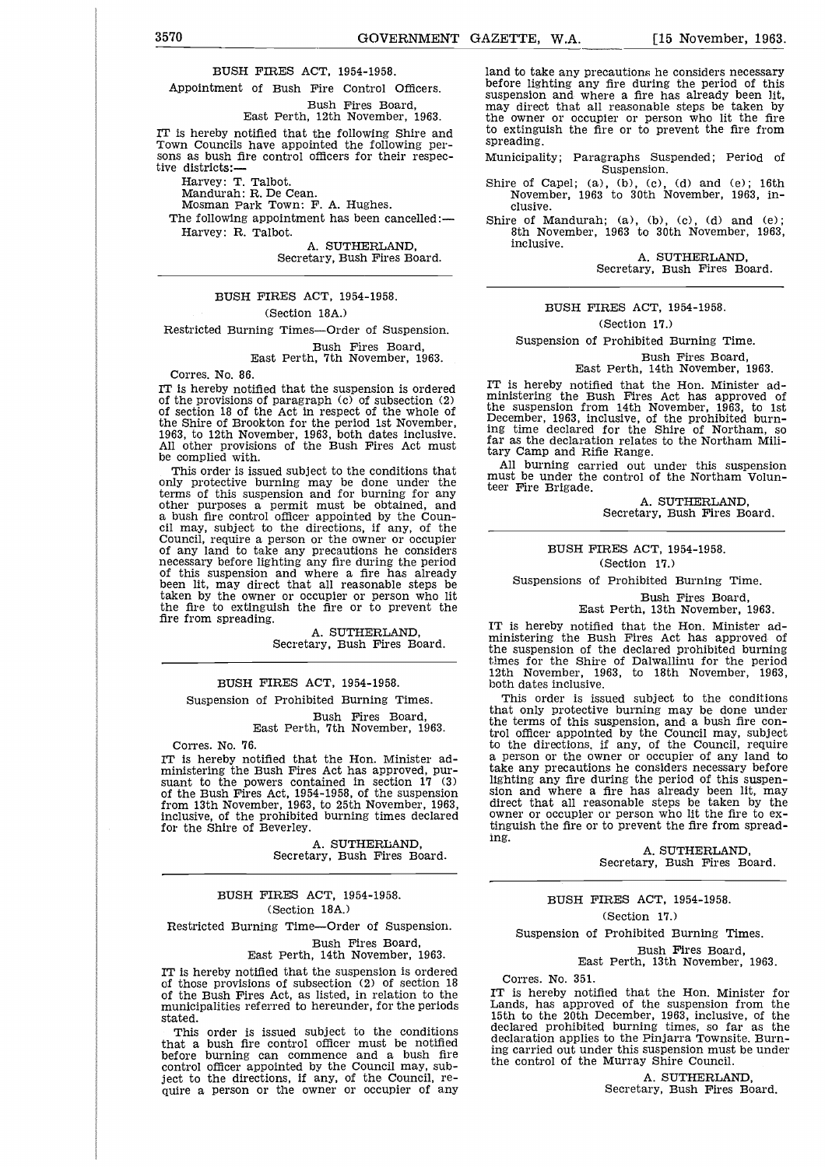BUSH FIRES ACT, 1954-1958.

Appointment of Bush Fire Control Officers. Bush Fires Board,

East Perth, 12th November, 1963.

IT is hereby notified that the following Shire and Town Councils have appointed the following persons as bush fire control officers for their respective districts:

Harvey: T. Talbot.

Mandurah: R. De Cean.

Mosman Park Town: F. A. Hughes.

The following appointment has been cancelled:— Harvey: R. Talbot.

> A. SUTHERLAND, Secretary, Bush Fires Board.

BUSH FIRES ACT, 1954-1958.

#### (Section 18A.)

Restricted Burning Times—Order of Suspension.

Bush Fires Board, East Perth, 7th November, 1963.

Corres. No. 86.

IT is hereby notified that the suspension is ordered of the provisions of paragraph (c) of subsection (2) of section 18 of the Act in respect of the whole of the Shire of Brookton for the period 1st November, 1963, to 12th November, 1963, both dates inclusive. All other provisions of the Bush Fires Act must be complied with.

This order is issued subject to the conditions that only protective burning may be done under the terms of this suspension and for burning for any other purposes a permit must be obtained, and a bush fire control officer appointed by the Coun-cil may, subject to the directions, if any, of the Council, require a person or the owner or occupier of any land to take any precautions he considers necessary before lighting any fire during the period of this suspension and where a fire has already been lit, may direct that all reasonable steps be taken by the owner or occupier or person who lit the fire to extinguish the fire or to prevent the fire from spreading.

> A. SUTHERLAND, Secretary, Bush Fires Board.

#### BUSH FIRES ACT, 1954-1958.

Suspension of Prohibited Burning Times.

Bush Fires Board, East Perth, 7th November, 1963.

Corres. No. 76.

IT is hereby notified that the Hon. Minister administering the Bush Fires Act has approved, pursuant to the powers contained in section 17 (3) of the Bush Fires Act, 1954-1958, of the suspension from 13th November, 1963, to 25th November, 1963, inclusive, of the prohibited burning times declared for the Shire of Beverley.

> A. SUTHERLAND, Secretary, Bush Fires Board.

#### BUSH FIRES ACT, 1954-1958. (Section 18A.)

Restricted Burning Time—Order of Suspension.

Bush Fires Board, East Perth, 14th November, 1963.

IT is hereby notified that the suspension is ordered of those provisions of subsection (2) of section 18 of the Bush Fires Act, as listed, in relation to the municipalities referred to hereunder, for the periods stated.

This order is issued subject to the conditions that a bush fire control officer must be notified before burning can commence and a bush fire control officer appointed by the Council may, subject to the directions, if any, of the Council, require a person or the owner or occupier of any

3570<br>
GOVERNMENT GAZETTE, W.A. [15 November, 1963.<br>
BUSH FIRES ACT, 1954-1958. land to take any precautions he considers necessary<br>
Appointment of Bush Fire Control Officers. before lighting any fire during the period of t land to take any precautions he considers necessary before lighting any fire during the period of this suspension and where a fire has already been lit, may direct that all reasonable steps be taken by the owner or occupier or person who lit the fire to extinguish the fire or to prevent the fire from spreading.

> Municipality; Paragraphs Suspended; Period of Suspension.

> Shire of Capel; (a), (b), (c), (d) and (e); 16th November, 1963 to 30th November, 1963, inclusive.

> Shire of Mandurah; (a), (b), (c), (d) and (e); 8th November, 1963 to 30th November, 1963, inclusive.

> > A. SUTHERLAND, Secretary, Bush Fires Board.

#### BUSH FIRES ACT, 1954-1958.

(Section 17.)

Suspension of Prohibited Burning Time.

Bush Fires Board,

#### East Perth, 14th November, 1963.

IT is hereby notified that the Hon. Minister administering the Bush Fires Act has approved of the suspension from 14th November, 1963, to 1st December, 1963, inclusive, of the prohibited burn-ing time declared for the Shire of Northam, so far as the declaration relates to the Northam Military Camp and Rifle Range.

All burning carried out under this suspension must be under the control of the Northam Volunteer Fire Brigade.

> A. SUTHERLAND, Secretary, Bush Fires Board.

#### BUSH FIRES ACT, 1954-1958. (Section 17.)

Suspensions of Prohibited Burning Time.

Bush Fires Board,

East Perth, 13th November, 1963.

IT is hereby notified that the Hon. Minister administering the Bush Fires Act has approved of the suspension of the declared prohibited burning times for the Shire of Dalwallinu for the period 12th November, 1963, to 18th November, 1963, both dates inclusive.

This order is issued subject to the conditions that only protective burning may be done under the terms of this suspension, and a bush fire control officer appointed by the Council may, subject to the directions, if any, of the Council, require a person or the owner or occupier of any land to take any precautions he considers necessary before lighting any fire during the period of this suspen-sion and where a fire has already been lit, may direct that all reasonable steps be taken by the owner or occupier or person who lit the fire to extinguish the fire or to prevent the fire from spreading.

> A. SUTHERLAND, Secretary, Bush Fires Board.

#### BUSH FIRES ACT, 1954-1958.

(Section 17.)

Suspension of Prohibited Burning Times.

Bush Fires Board, East Perth, 13th November, 1963.

Corres. No. 351.

IT is hereby notified that the Hon. Minister for Lands, has approved of the suspension from the 15th to the 20th December, 1963, inclusive, of the declared prohibited burning times, so far as the declaration applies to the Pinjarra Townsite. Burning carried out under this suspension must be under the control of the Murray Shire Council.

> A. SUTHERLAND, Secretary, Bush Fires Board.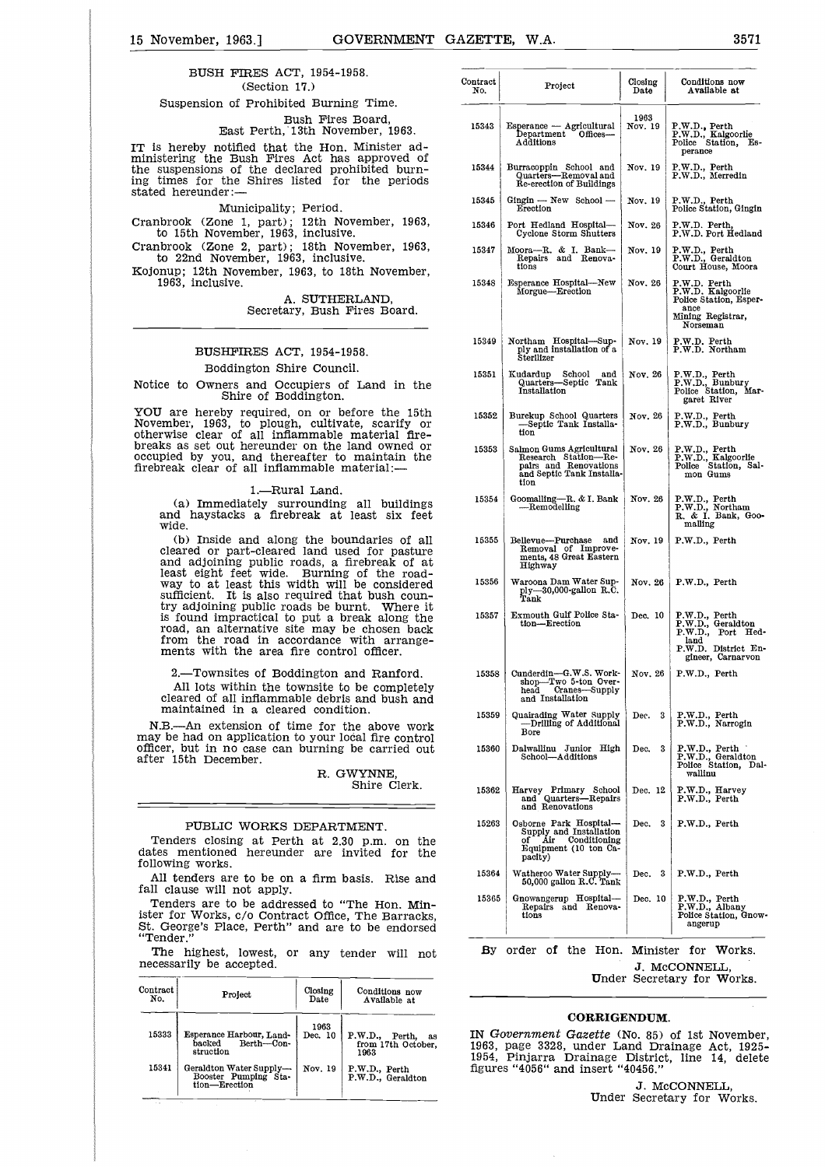15 November, 1963.] GOVERNMENT GAZETTE, W.A. 3571<br>BUSH FIRES ACT, 1954-1958. BUSH FIRES ACT, 1954-1958. (Section 17.) Suspension of Prohibited Burning Time.

> Bush Fires Board, East Perth, 13th November, 1963.

IT is hereby notified that the Hon. Minister administering the Bush Fires Act has approved of the suspensions of the declared prohibited burn-ing times for the Shires listed for the periods stated hereunder:

Municipality; Period.

Cranbrook (Zone 1, part); 12th November, 1963, to 15th November, 1963, inclusive.

Cranbrook (Zone 2, part); 18th November, 1963, to 22nd November, 1963, inclusive.

Kojonup; 12th November, 1963, to 18th November, 1963, inclusive.

> A. SUTHERLAND, Secretary, Bush Fires Board.

#### BUSHFIRES ACT, 1954-1958. Boddington Shire Council.

Notice to Owners and Occupiers of Land in the Shire of Boddington.

YOU are hereby required, on or before the 15th November, 1963, to plough, cultivate, scarify or otherwise clear of all inflammable material firebreaks as set out hereunder on the land owned or occupied by you, and thereafter to maintain the firebreak clear of all inflammable material:—

1.—Rural Land.

(a) Immediately surrounding all buildings and haystacks a firebreak at least six feet wide.

(b) Inside and along the boundaries of all cleared or part-cleared land used for pasture and adjoining public roads, a firebreak of at least eight feet wide. Burning of the roadway to at least this width will be considered sufficient. It is also required that bush country adjoining public roads be burnt. Where it is found impractical to put a break along the road, an alternative site may be chosen back from the road in accordance with arrangements with the area fire control officer.

2.—Townsites of Boddington and Ranford.

All lots within the townsite to be completely cleared of all inflammable debris and bush and maintained in a cleared condition.

N.B.—An extension of time for the above work may be had on application to your local fire control officer, but in no case can burning be carried out after 15th December.

R. GWYNNE Shire Clerk.

#### PUBLIC WORKS DEPARTMENT.

Tenders closing at Perth at 2.30 p.m. on the dates mentioned hereunder are invited for the following works.

All tenders are to be on a firm basis. Rise and fall clause will not apply.

Tenders are to be addressed to "The Hon. Minister for Works, c/o Contract Office, The Barracks, St. George's Place, Perth" and are to be endorsed "Tender."

| .               | The highest, lowest, or any tender will<br>necessarily be accepted. |                              | not                                             | of the Hon. Minis<br>By order<br>J. M                                                                                     |
|-----------------|---------------------------------------------------------------------|------------------------------|-------------------------------------------------|---------------------------------------------------------------------------------------------------------------------------|
| Contract<br>No. | Project                                                             | Closing<br>Date <sup>1</sup> | Conditions now<br>Available at                  | <b>Under Secre</b>                                                                                                        |
| 15333           | Esperance Harbour, Land-<br>Berth-Con-<br>backed<br>struction       | 1963<br>Dec. 10              | P.W.D., Perth, as<br>from 17th October.<br>1963 | <b>CORRIGENDUM</b><br>IN Government Gazette (No. 85)<br>1963, page 3328, under Land Dr<br>1954, Pinjarra Drainage Distric |
| 15341           | Geraldton Water Supply-<br>Booster Pumping Sta-<br>tion-Erection    | Nov. 19                      | P.W.D., Perth<br>P.W.D., Geraldton              | figures "4056" and insert "40456."<br>J. M<br>Under Secre                                                                 |

| 90ö.                                                                             | Contract<br>No. | Project                                                                                                                                                                                                              | Closing<br>Date | Conditions now<br>Available at                                                                              |
|----------------------------------------------------------------------------------|-----------------|----------------------------------------------------------------------------------------------------------------------------------------------------------------------------------------------------------------------|-----------------|-------------------------------------------------------------------------------------------------------------|
| 1g Time.                                                                         |                 |                                                                                                                                                                                                                      |                 |                                                                                                             |
| Board,<br>mber, 1963. <sup>.</sup><br>Minister ad-                               | 15343           | Esperance — Agricultural<br>Department<br>Offices-<br>Additions                                                                                                                                                      | 1963<br>Nov. 19 | P.W.D., Perth<br>P.W.D., Kalgoorlie<br>Police Station, Es-<br>perance                                       |
| approved of<br>hibited burn-<br>e,<br>the periods                                | 15344           | Burracoppin School and<br>Quarters-Removal and<br>Re-erection of Buildings                                                                                                                                           | Nov. 19         | P.W.D., Perth<br>P.W.D., Merredin                                                                           |
|                                                                                  | 15345           | Gingin — New School —<br>Erection                                                                                                                                                                                    | Nov. 19         | P.W.D., Perth<br>Police Station, Gingin                                                                     |
| vember, 1963.<br>э.                                                              | 15346           | Port Hedland Hospital-<br>Cyclone Storm Shutters                                                                                                                                                                     | Nov. 26         | P.W.D. Perth,<br>P.W.D. Port Hedland                                                                        |
| vember, 1963,<br>ve.                                                             | 15347           | Moora--R. & I. Bank---<br>Repairs and Renova-<br>tions                                                                                                                                                               | Nov. 19         | P.W.D., Perth<br>P.W.D., Geraldton<br>Court House, Moora                                                    |
| 3th November,                                                                    | 15348           | Esperance Hospital-New<br>Morgue-Erection                                                                                                                                                                            | Nov. 26         | P.W.D. Perth<br>P.W.D. Kalgoorlie                                                                           |
| RLAND,<br>Fires Board.                                                           |                 |                                                                                                                                                                                                                      |                 | Police Station, Esper-<br>$_{\rm ance}$<br>Mining Registrar,<br>Norseman                                    |
| 958.                                                                             | 15349           | Northam Hospital-Sup-<br>ply and installation of a<br>Sterilizer                                                                                                                                                     | Nov. 19         | P.W.D. Perth<br>P.W.D. Northam                                                                              |
| il.<br>Land in the                                                               | 15351           | Kudardup<br>School<br>and<br>Quarters-Septic Tank<br>Installation                                                                                                                                                    | Nov. 26         | P.W.D., Perth<br>P.W.D., Bunbury<br>Police Station, Mar-<br>garet River                                     |
| efore the 15th<br>te, scarify or<br>material fire-                               | 15352           | Burekup School Quarters<br>-Septic Tank Installa-<br>tion                                                                                                                                                            | Nov. 26         | P.W.D., Perth<br>P.W.D., Bunbury                                                                            |
| land owned or<br>maintain the<br>.aterial:—                                      | 15353           | Salmon Gums Agricultural<br>Research Station---Repairs and Renovations<br>and Septic Tank Installa-<br>tion                                                                                                          | Nov. 26         | P.W.D., Perth<br>P.W.D., Kalgoorlie<br>Police Station, Sal-<br>mon Gums                                     |
| all buildings<br>least<br>six feet                                               | 15354           | Goomalling-R. & I. Bank<br>-Remodelling                                                                                                                                                                              | Nov. 26         | P.W.D., Perth<br>P.W.D., Northam<br>R. & I. Bank, Goo-<br>malling                                           |
| indaries of all<br>ed for pasture<br>irebreak of at                              | 15355           | Bellevue---Purchase<br>and<br>Removal of Improve-<br>ments, 48 Great Eastern<br>Highway                                                                                                                              | Nov. 19         | P.W.D., Perth                                                                                               |
| of the road-<br>be considered<br>at bush coun-                                   | 15356           | Waroona Dam Water Sup-<br>ply-30,000-gallon R.C.<br>Tank                                                                                                                                                             | Nov. 26         | P.W.D., Perth                                                                                               |
| rnt. Where it<br>reak along the<br>e chosen back<br>with arrange-<br>ol officer. | 15357           | Exmouth Gulf Police Sta-<br>tion-Erection                                                                                                                                                                            | Dec. 10         | P.W.D., Perth<br>P.W.D., Geraldton<br>P.W.D., Port Hed-<br>land<br>P.W.D. District En-<br>gineer, Carnarvon |
| ınd Ranford.<br>be completely<br>s and bush and                                  | 15358           | Cunderdin-G.W.S. Work-<br>shop-Two 5-ton Over-<br>head Cranes-Supply<br>and Installation                                                                                                                             | Nov. 26         | P.W.D., Perth                                                                                               |
| ion.<br>he above work                                                            | 15359           | Quairading Water Supply<br>—Drilling of Additional<br>Bore                                                                                                                                                           | 3<br>Dec.       | P.W.D., Perth<br>P.W.D., Narrogin                                                                           |
| cal fire control<br>be carried out<br>WYNNE,                                     | 15360           | Dalwallinu Junior High<br>School—Additions                                                                                                                                                                           | 3<br>Dec.       | P.W.D., Perth<br>P.W.D., Geraldton<br>Police Station, Dal-<br>wallinu                                       |
| Shire Clerk.                                                                     | 15362           | Harvey Primary School<br>and Quarters-Repairs<br>and Renovations                                                                                                                                                     | Dec. 12         | P.W.D., Harvey<br>P.W.D., Perth                                                                             |
| MENT.<br>0 p.m. on the<br>avited for the                                         | 15263           | Osborne Park Hospital-<br>Supply and Installation<br>Air Conditioning<br>οf<br>Equipment (10 ton Ca-<br>pacity)                                                                                                      | 3<br>Dec.       | P.W.D., Perth                                                                                               |
| Rise and<br>asīs.                                                                | 15364           | Watheroo Water Supply-<br>50,000 gallon R.C. Tank                                                                                                                                                                    | - 3<br>Dec.     | P.W.D., Perth                                                                                               |
| The Hon. Min-<br>The Barracks,<br>to be endorsed                                 | 15365           | Gnowangerup Hospital-<br>Repairs and Renova-<br>tions                                                                                                                                                                | Dec. 10         | P.W.D., Perth<br>P.W.D., Albany<br>Police Station, Gnow-<br>angerup                                         |
| ender:<br>will not                                                               | By              | order of the                                                                                                                                                                                                         | Hon. Minister   | for Works.<br>J. MCCONNELL,<br>Under Secretary for Works.                                                   |
| Conditions now<br>Available at                                                   |                 |                                                                                                                                                                                                                      |                 |                                                                                                             |
| P.W.D., Perth,<br>as<br>from 17th October,<br>1963<br>P.W.D., Perth              |                 | <b>CORRIGENDUM.</b><br>IN Government Gazette (No. 85) of 1st November,<br>1963, page 3328, under Land Drainage Act, 1925-<br>1954, Pinjarra Drainage District, line 14, delete<br>figures "4056" and insert "40456." |                 |                                                                                                             |
| P.W.D., Geraldton                                                                |                 |                                                                                                                                                                                                                      |                 |                                                                                                             |

#### **CORRIGENDUM.**

J. McCONNELL, Under Secretary for Works.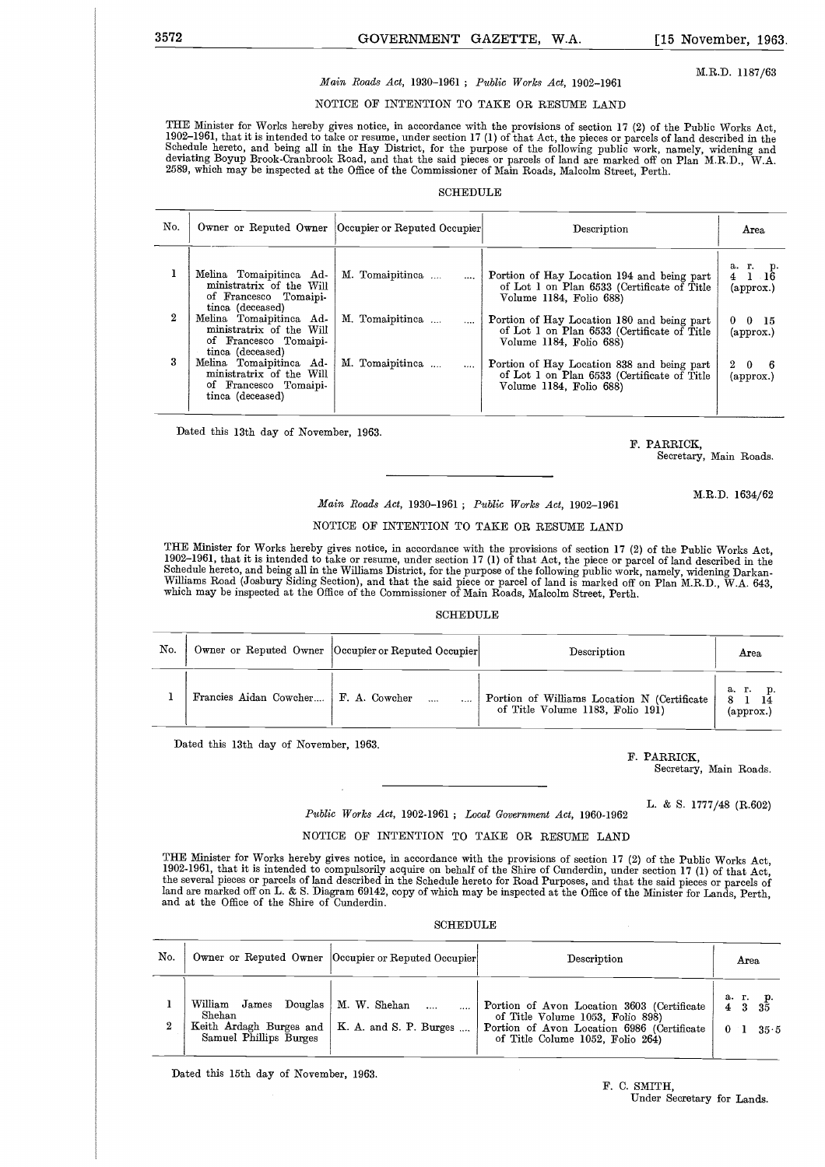#### M.R.D. 1187/63

# 3572 GOVERNMENT GAZETTE, W.A. [15 November, 1963.<br>Main Roads Act, 1930–1961; Public Works Act, 1902–1961 M.R.D. 1187/63 *Main Roads Act,* 1930-1961 ; *Public Works Act,* 1902-1961

#### NOTICE OF INTENTION TO TAKE OR RESUME LAND

THE Minister for Works hereby gives notice, in accordance with the provisions of section 17 (2) of the Public Works Act,<br>1902–1961, that it is intended to take or resume, under section 17 (1) of that Act, the pieces or par 2589, which may be inspected at the Office of the Commissioner of Main Roads, Malcolm Street, Perth.

#### **SCHEDULE**

| No. |                                                                                                  | Owner or Reputed Owner Occupier or Reputed Occupier | Description                                                                                                          | Area                                                   |
|-----|--------------------------------------------------------------------------------------------------|-----------------------------------------------------|----------------------------------------------------------------------------------------------------------------------|--------------------------------------------------------|
|     | Melina Tomaipitinea Ad-<br>ministratrix of the Will<br>of Francesco Tomaini-<br>tinca (deceased) | M. Tomaipitinea                                     | Portion of Hay Location 194 and being part<br>of Lot 1 on Plan 6533 (Certificate of Title<br>Volume 1184, Folio 688) | а. г.<br>p.<br>- 16<br>4<br>$\left($ approx. $\right)$ |
| 2   | Melina Tomaipitinca Ad-<br>ministratrix of the Will<br>of Francesco Tomaipi-<br>tinca (deceased) | M. Tomaipitinea<br>$\cdots$                         | Portion of Hay Location 180 and being part<br>of Lot 1 on Plan 6533 (Certificate of Title<br>Volume 1184, Folio 688) | $0 \quad 0 \quad 15$<br>$\rm (approx.)$                |
| 3   | Melina Tomaipitinca Ad-<br>ministratrix of the Will<br>of Francesco Tomaipi-<br>tinca (deceased) | M. Tomaipitinea<br>$\cdots$                         | Portion of Hay Location 838 and being part<br>of Lot 1 on Plan 6533 (Certificate of Title<br>Volume 1184, Folio 688) | $^{2}$<br>- 0<br>(approx.)                             |

Dated this 13th day of November, 1963.

F. PARRICK, Secretary, Main Roads.

M.R.D. 1634/62

#### *Main Roads Act,* 1930-1961 ; *Public Works Act,* 1902-1961

#### NOTICE OF INTENTION TO TAKE OR RESUME LAND

THE Minister for Works hereby gives notice, in accordance with the provisions of section 17 (2) of the Public Works Act, 1902-1961, that it is intended to take or resume, under section 17 (1) of that Act, the piece or parcel of land described in the Schedule hereto, and being all in the Williams District, for the purpose of the following public work, namely, widening Darkan-<br>Williams Road (Josbury Siding Section), and that the said piece or parcel of land is marked of

#### SCHEDULE

| No. | Owner or Reputed Owner   Occupier or Reputed Occupier |  | Description                                                                     | Area                      |
|-----|-------------------------------------------------------|--|---------------------------------------------------------------------------------|---------------------------|
|     | Francies Aidan Cowcher   F. A. Cowcher                |  | Portion of Williams Location N (Certificate<br>of Title Volume 1183, Folio 191) | а. г.<br>$\alpha$ pprox.) |

Dated this 13th day of November, 1963.

F. PARRICK,

Secretary, Main Roads.

L. & S. 1777/48 (R.602)

#### *Public Works Act,* 19024961 ; *Local Government Act,* 1960-1962

#### NOTICE OF INTENTION TO TAKE OR RESUME LAND

THE Minister for Works hereby gives notice, in accordance with the provisions of section 17 (2) of the Public Works Act<br>1902-1961, that it is intended to compulsorily acquire on behalf of the Shire of Cunderdin, under sect the several pieces or parcels of land described in the Schedule hereto for Road Purposes, and that the said pieces or parcels of land are marked off on L. & S. Diagram 69142, copy of which may be inspected at the Office of the Minister for Lands, Perth and at the Office of the Shire of Cunderdin.

#### SCHEDULE

| No. |                                                                                          | Owner or Reputed Owner  Occupier or Reputed Occupier             | Description                                                                                                                                                      | Area                                                 |
|-----|------------------------------------------------------------------------------------------|------------------------------------------------------------------|------------------------------------------------------------------------------------------------------------------------------------------------------------------|------------------------------------------------------|
| 2   | $\operatorname{William}$<br>Douglas<br>${\rm James}$<br>Shehan<br>Samuel Phillips Burges | M. W. Shehan<br>Keith Ardagh Burges and   K. A. and S. P. Burges | Portion of Avon Location 3603 (Certificate<br>of Title Volume 1053, Folio 898)<br>Portion of Avon Location 6986 (Certificate<br>of Title Colume 1052, Folio 264) | а.<br>г.<br>- 35<br>3<br>4<br>0 <sup>1</sup><br>35.5 |

Dated this 15th day of November, 1963.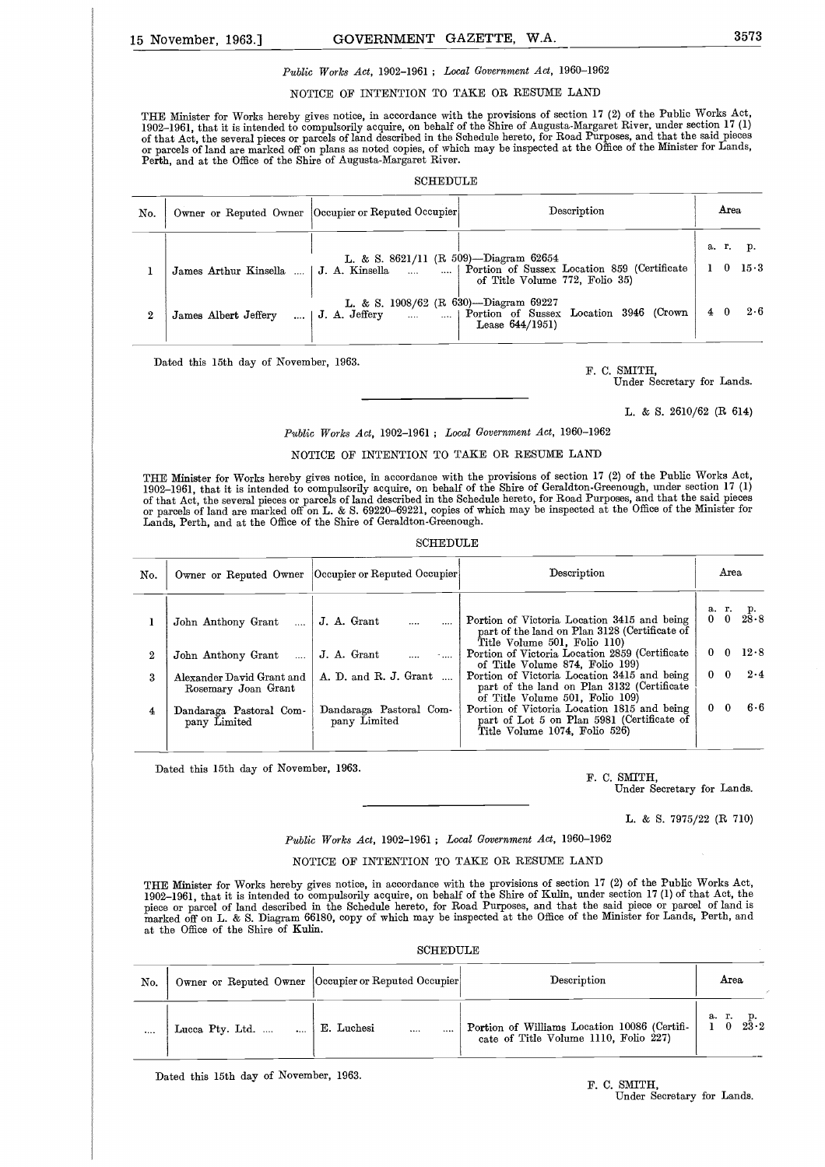# 15 November, 1963.] GOVERNMENT GAZETTE, W.A. 3573<br>
Public Works Act, 1902-1961; Local Government Act, 1960-1962 *Public Works Act,* 1902-1961 ; *Local Government Act,* 1960-1962

#### NOTICE OF INTENTION TO TAKE OR RESUME LAND

THE Minister for Works hereby gives notice, in accordance with the provisions of section 17 (2) of the Public Works Act, 1902–1961, that it is intended to compulsorily acquire, on behalf of the Shire of Augusta-Margaret River, under section 17 (1)<br>of that Act, the several pieces or parcels of land described in the Schedule hereto, for Road P Perth, and at the Office of the Shire of Augusta-Margaret River.

|                  |                                        | <b>SCHEDULE</b>                                                     |                                                                               |  |            |                    |
|------------------|----------------------------------------|---------------------------------------------------------------------|-------------------------------------------------------------------------------|--|------------|--------------------|
| No.              |                                        | Description<br>Owner or Reputed Owner  Occupier or Reputed Occupier |                                                                               |  | Area       |                    |
|                  | James Arthur Kinsella<br>$\sim$ $\sim$ | L. & S. $8621/11$ (R 509)—Diagram 62654<br>J. A. Kinsella           | Portion of Sussex Location 859 (Certificate<br>of Title Volume 772, Folio 35) |  | a. r.<br>0 | p.<br>$15 \cdot 3$ |
| $\boldsymbol{2}$ | James Albert Jeffery<br>1              | L. & S. 1908/62 (R 630)--Diagram 69227<br>J. A. Jeffery             | Portion of Sussex Location 3946 (Crown<br>Lease $644/1951$                    |  | $4\quad 0$ | 2.6                |

Dated this 15th day of November, 1963.

F. C. SMITH,

Under Secretary for Lands.

L. & S. 2610/62 (R 614)

*Public Works Act,* 1902-1961 ; *Local Government Act,* 1960-1962

#### NOTICE OF INTENTION TO TAKE OR RESUME LAND

THE Minister for Works hereby gives notice, in accordance with the provisions of section 17 (2) of the Public Works Act, 1902–1961, that it is intended to compulsorily acquire, on behalf of the Shire of Geraldton-Greenough, under section 17 (1)<br>of that Act, the several pieces or parcels of land described in the Schedule hereto, for Road Purp Lands, Perth, and at the Office of the Shire of Geraldton-Greenough.

#### **SCHEDULE**

|     | or then from the set offer blocop or believed of feature dependence on | Lands, Perth, and at the Office of the Shire of Geraldton-Greenough. | or parcels of land are marked off on L. & S. 69220-69221, copies of which may be inspected at the Office of the Minister for |              |              |                        |
|-----|------------------------------------------------------------------------|----------------------------------------------------------------------|------------------------------------------------------------------------------------------------------------------------------|--------------|--------------|------------------------|
|     |                                                                        | SCHEDULE                                                             |                                                                                                                              |              |              |                        |
| No. |                                                                        | Owner or Reputed Owner  Occupier or Reputed Occupier                 | Description                                                                                                                  |              | Area         |                        |
|     | John Anthony Grant<br>$\cdots$                                         | J. A. Grant                                                          | Portion of Victoria Location 3415 and being<br>part of the land on Plan 3128 (Certificate of<br>Title Volume 501, Folio 110) |              |              | a. r. p.<br>0 0 $28.8$ |
| 2   | John Anthony Grant<br>$\cdots$                                         | J. A. Grant                                                          | Portion of Victoria Location 2859 (Certificate<br>of Title Volume 874, Folio 199)                                            |              |              | $0 \quad 0 \quad 12.8$ |
| 3   | Alexander David Grant and<br>Rosemary Joan Grant                       | A. D. and R. J. Grant                                                | Portion of Victoria Location 3415 and being<br>part of the land on Plan 3132 (Certificate<br>of Title Volume 501, Folio 109) |              | $0\quad 0$   | 2.4                    |
| 4   | Dandaraga Pastoral Com-<br>pany Limited                                | Dandaraga Pastoral Com-<br>pany Limited                              | Portion of Victoria Location 1815 and being<br>part of Lot 5 on Plan 5981 (Certificate of<br>Title Volume 1074, Folio 526)   | $\mathbf{0}$ | $\mathbf{0}$ | 6.6                    |

Dated this 15th day of November, 1963.

F. C. SMITH,

Under Secretary for Lands.

L. & S. 7975/22 (R 710)

#### *Public Works Act,* 1902-1961 ; *Local Government Act,* 1960-1962

#### NOTICE OF INTENTION TO TAKE OR RESUME LAND

THE Minister for Works hereby gives notice, in accordance with the provisions of section 17 (2) of the Public Works Act, 1902–1961, that it is intended to compulsorily acquire, on behalf of the Shire of Kulin, under section 17 (1) of that Act, the<br>piece or parcel of land described in the Schedule hereto, for Road Purposes, and that the said marked off on L. & S. Diagram 66180, copy of which may be inspected at the Office of the Minister for Lands, Perth, and at the Office of the Shire of Kuhn.

#### SCHEDULE

|          | <b>SCHEDULE</b>                  |                                                      |                                                                                       |                            |  |  |  |  |  |
|----------|----------------------------------|------------------------------------------------------|---------------------------------------------------------------------------------------|----------------------------|--|--|--|--|--|
| No.      |                                  | Owner or Reputed Owner  Occupier or Reputed Occupier | Description                                                                           | Area                       |  |  |  |  |  |
| $\cdots$ | Lucca Pty. Ltd.<br>$\sim$ $\sim$ | E. Luchesi<br>                                       | Portion of Williams Location 10086 (Certifi-<br>cate of Title Volume 1110, Folio 227) | а. г.<br>r. p.<br>0 $23.2$ |  |  |  |  |  |

Dated this 15th day of November, 1963.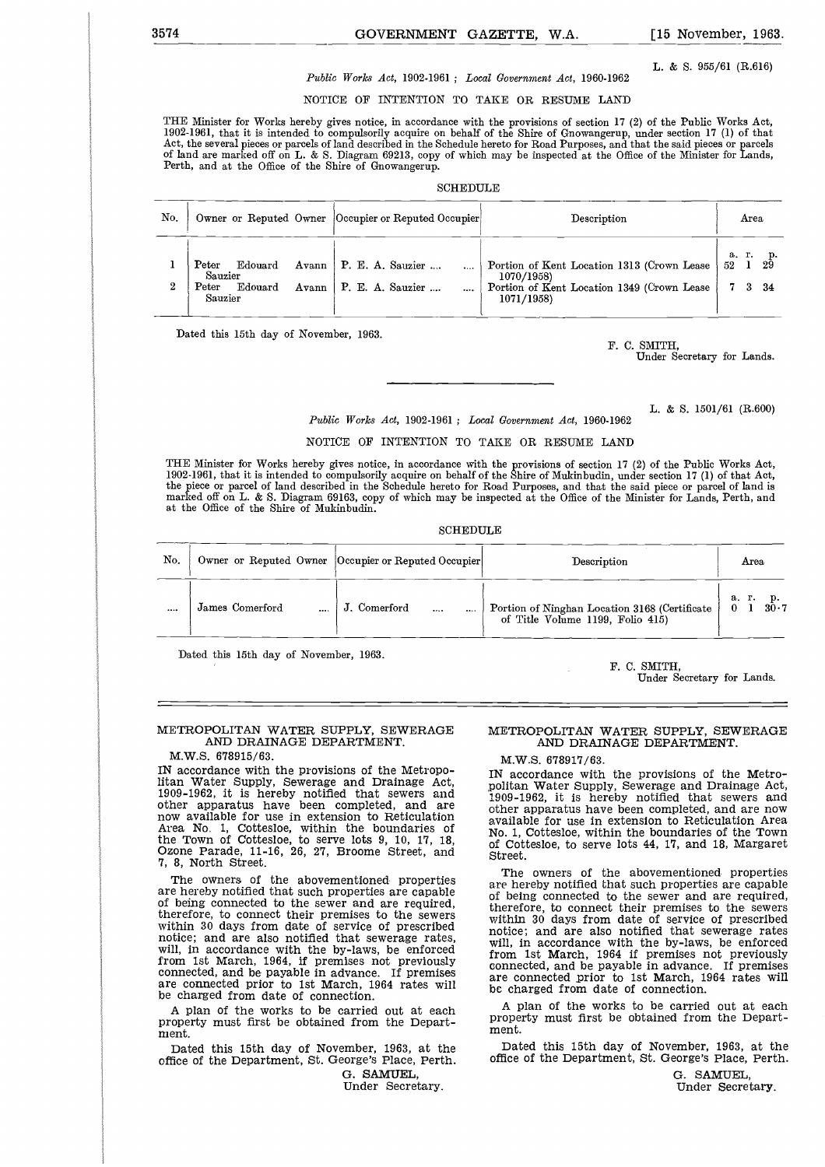L. & S. 955/61 (R.616)

# GOVERNMENT GAZETTE, W.A. [15 November, 1963.]<br>Public Works Act, 1902-1961; Local Government Act, 1960-1962 L. & S. 955/61 (R.616) *Public Works Act,* 1902-1961 ; *Local Government Act,* 1960-1962

NOTICE OF INTENTION TO TAKE OR RESUME LAND

THE Minister for Works hereby gives notice, in accordance with the provisions of section 17 (2) of the Public Works Act, 1902-1961, that it is intended to compulsorily acquire on behalf of the Shire of Gnowangerup, under section 17 (1) of that Act, the several pieces or parcels of land described in the Schedule hereto for Road Purposes, and that the said pieces or parcels of land are marked off on L. & S. Diagram 69213, copy of which may be inspected at the Office of the Minister for Lands, Perth, and at the Office of the Shire of Gnowangerup.

#### SCHEDULE

|     | Perth, and at the Office of the Shire of Gnowangerup.                        |                                                     | Act, the several pieces or parcels of land described in the Schedule hereto for Road Purposes, and that the said pieces or parcels<br>of land are marked off on L. & S. Diagram 69213, copy of which may be inspected at the Office of the Minister for Lands, |                                        |
|-----|------------------------------------------------------------------------------|-----------------------------------------------------|----------------------------------------------------------------------------------------------------------------------------------------------------------------------------------------------------------------------------------------------------------------|----------------------------------------|
|     |                                                                              | SCHEDULE                                            |                                                                                                                                                                                                                                                                |                                        |
| No. |                                                                              | Owner or Reputed Owner Occupier or Reputed Occupier | Description                                                                                                                                                                                                                                                    | Area                                   |
| 2   | Peter<br>Edouard<br>Avann<br>Sauzier<br>Edouard<br>Peter<br>Avann<br>Sauzier | P. E. A. Sauzier<br>P. E. A. Sauzier<br>            | Portion of Kent Location 1313 (Crown Lease<br>1070/1958)<br>Portion of Kent Location 1349 (Crown Lease<br>1071/1958)                                                                                                                                           | a. r. p.<br>52 1 29<br>52<br>3<br>- 34 |

Dated this 15th day of November, 1963.

F. C. SMITH,

Under Secretary for Lands.

L. & S. 1501/61 (R.600)

*Public Works Act,* 1902-1961 ; *Local Government Act,* 1960-1962

NOTICE OF INTENTION TO TAKE OR RESUME LAND

| THE Minister for Works hereby gives notice, in accordance with the provisions of section 17 (2) of the Public Works Act,<br>1902-1961, that it is intended to compulsorily acquire on behalf of the Shire of Mukinbudin, under section 17(1) of that Act,<br>the piece or parcel of land described in the Schedule hereto for Road Purposes, and that the said piece or parcel of land is<br>marked off on L. & S. Diagram 69163, copy of which may be inspected at the Office of the Minister for Lands, Perth, and<br>at the Office of the Shire of Mukinbudin. |                 |                                                       |                                                                                   |                     |  |  |  |  |  |
|-------------------------------------------------------------------------------------------------------------------------------------------------------------------------------------------------------------------------------------------------------------------------------------------------------------------------------------------------------------------------------------------------------------------------------------------------------------------------------------------------------------------------------------------------------------------|-----------------|-------------------------------------------------------|-----------------------------------------------------------------------------------|---------------------|--|--|--|--|--|
|                                                                                                                                                                                                                                                                                                                                                                                                                                                                                                                                                                   |                 | <b>SCHEDULE</b>                                       |                                                                                   |                     |  |  |  |  |  |
| No.                                                                                                                                                                                                                                                                                                                                                                                                                                                                                                                                                               |                 | Owner or Reputed Owner   Occupier or Reputed Occupier | Description                                                                       | Area                |  |  |  |  |  |
|                                                                                                                                                                                                                                                                                                                                                                                                                                                                                                                                                                   | James Comerford | J. Comerford                                          | Portion of Ninghan Location 3168 (Certificate<br>of Title Volume 1199, Folio 415) | a.r.<br>0 1<br>30.7 |  |  |  |  |  |

Dated this 15th day of November, 1963.

F. C. SMITH,

Under Secretary for Lands.

#### METROPOLITAN WATER SUPPLY, SEWERAGE AND DRAINAGE DEPARTMENT.

M.W.S. 678915/63.

IN accordance with the provisions of the Metropolitan Water Supply, Sewerage and Drainage Act, 1909-1962, it is hereby notified that sewers and other apparatus have been completed, and are now available for use in extension to Reticulation Area No. 1, Cottesloe, within the boundaries of the Town of Cottesloe, to serve lots 9, 10, 17, 18, Ozone Parade, 11-16, 26, 27, Broome Street, and 7, 8, North Street.

The owners of the abovementioned properties are hereby notified that such properties are capable of being connected to the sewer and are required, therefore, to connect their premises to the sewers within 30 days from date of service of prescribed notice; and are also notified that sewerage rates, will, in accordance with the by-laws, be enforced from 1st March, 1964, if premises not previously connected, and be payable in advance. If premises are connected prior to 1st March, 1964 rates will be charged from date of connection.

A plan of the works to be carried out at each property must first be obtained from the Department.

Dated this 15th day of November, 1963, at the office of the Department, St. George's Place, Perth.

G. SAMUEL, Under Secretary.

#### METROPOLITAN WATER SUPPLY, SEWERAGE AND DRAINAGE DEPARTMENT.

M.W.S. 678917/63.

IN accordance with the provisions of the Metropolitan Water Supply, Sewerage and Drainage Act, 1909-1962, it is hereby notified that sewers and other apparatus have been completed, and are now available for use in extension to Reticulation Area No. 1, Cottesloe, within the boundaries of the Town of Cottesloe, to serve lots 44, 17, and 18, Margaret Street.

The owners of the abovementioned properties are hereby notified that such properties are capable of being connected to the sewer and are required, therefore, to connect their premises to the sewers within 30 days from date of service of prescribed notice; and are also notified that sewerage rates will, in accordance with the by-laws, be enforced from 1st March, 1964 if premises not previously connected, and be payable in advance. If premises are connected prior to 1st March, 1964 rates will be charged from date of connection.

A plan of the works to be carried out at each property must first be obtained from the Department.

Dated this 15th day of November, 1963, at the office of the Department, St. George's Place, Perth.

> G. SAMUEL, Under Secretary.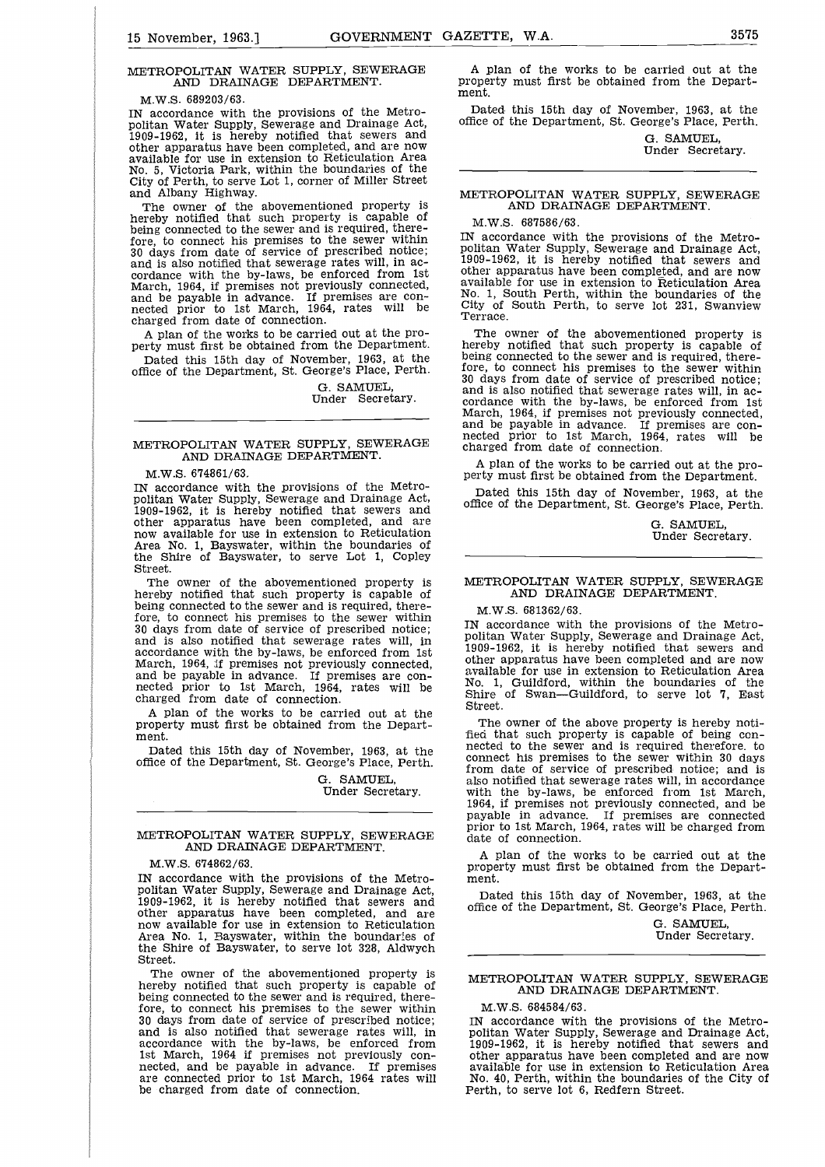# $\frac{1}{2}$ METROPOLITAN WATER SUPPLY, SEWERAGE AND DRAINAGE DEPARTMENT.

M.W.S. 689203/63.

IN accordance with the provisions of the Metropolitan Water Supply, Sewerage and Drainage Act, 1909-1962, it is hereby notified that sewers and other apparatus have been completed, and are now available for use in extension to Reticulation Area No. 5, Victoria Park, within the boundaries of the City of Perth, to serve Lot 1, corner of Miller Street and Albany Highway.

The owner of the abovementioned property is hereby notified that such property is capable of being connected to the sewer and is required, therefore, to connect his premises to the sewer within 30 days from date of service of prescribed notice; and is also notified that sewerage rates will, in accordance with the by-laws, be enforced from 1st March, 1964, if premises not previously connected, and be payable in advance. If premises are con-nected prior to 1st March, 1964, rates will be charged from date of connection.

A plan of the works to be carried out at the property must first be obtained from the Department. Dated this 15th day of November, 1963, at the

office of the Department, St. George's Place, Perth.

G. SAMUEL, Under Secretary.

#### METROPOLITAN WATER SUPPLY, SEWERAGE AND DRAINAGE DEPARTMENT.

M.W.S. 674861/63.

IN accordance with the provisions of the Metropolitan Water Supply, Sewerage and Drainage Act, 1909-1962, it is hereby notified that sewers and other apparatus have been completed, and are now available for use in extension to Reticulation Area No. 1, Bayswater, within the boundaries of the Shire of Bayswater, to serve Lot 1, Copley Street.

The owner of the abovementioned property is hereby notified that such property is capable of being connected to the sewer and is required, therefore, to connect his premises to the sewer within 30 days from date of service of prescribed notice; and is also notified that sewerage rates will, in accordance with the by-laws, be enforced from 1st March, 1964, if premises not previously connected, and be payable in advance. If premises are connected prior to 1st March, 1964, rates will be charged from date of connection.

A plan of the works to be carried out at the property must first be obtained from the Department.

Dated this 15th day of November, 1963, at the office of the Department, St. George's Place, Perth.

> G. SAMUEL, Under Secretary.

#### METROPOLITAN WATER SUPPLY, SEWERAGE AND DRAINAGE DEPARTMENT.

M.W.S. 674862/63.

IN accordance with the provisions of the Metropolitan Water Supply, Sewerage and Drainage Act, 1909-1962, it is hereby notified that sewers and other apparatus have been completed, and are now available for use in extension to Reticulation Area No. 1, Bayswater, within the boundaries of the Shire of Bayswater, to serve lot 328, Aldwych Street.

The owner of the abovementioned property is hereby notified that such property is capable of being connected to the sewer and is required, therefore, to connect his premises to the sewer within 30 days from date of service of prescribed notice; and is also notified that sewerage rates will, in accordance with the by-laws, be enforced from 1st March, 1964 if premises not previously connected, and be payable in advance. If premises are connected prior to 1st March, 1964 rates will be charged from date of connection.

GOVERNMENT GAZETTE, W.A.<br>
X, SEWERAGE A plan of the works to be carried out at the property must first be obtained from the Depart-A plan of the works to be carried out at the property must first be obtained from the Department.

> Dated this 15th day of November, 1963, at the office of the Department, St. George's Place, Perth.

> > G. SAMUEL, Under Secretary.

#### METROPOLITAN WATER SUPPLY, SEWERAGE AND DRAINAGE DEPARTMENT.

#### M.W.S. 687586/63.

IN accordance with the provisions of the Metropolitan Water Supply, Sewerage and Drainage Act, 1909-1962, it is hereby notified that sewers and other apparatus have been completed, and are now available for use in extension to Reticulation Area No. 1, South Perth, within the boundaries of the City of South Perth, to serve lot 231, Swanview Terrace.

The owner of the abovementioned property is hereby notified that such property is capable of being connected to the sewer and is required, therefore, to connect his premises to the sewer within 30 days from date of service of prescribed notice; and is also notified that sewerage rates will, in ac-cordance with the by-laws, be enforced from 1st March, 1964, if premises not previously connected, and be payable in advance. If premises are con-nected prior to 1st March, 1964, rates will be charged from date of connection.

A plan of the works to be carried out at the property must first be obtained from the Department.

Dated this 15th day of November, 1963, at the office of the Department, St. George's Place, Perth.

> G. SAMUEL, Under Secretary.

#### METROPOLITAN WATER SUPPLY, SEWERAGE AND DRAINAGE DEPARTMENT.

M.W.S. 681362/63.

IN accordance with the provisions of the Metropolitan Water Supply, Sewerage and Drainage Act, 1909-1962, it is hereby notified that sewers and other apparatus have been completed and are now available for use in extension to Reticulation Area No. 1, Guildford, within the boundaries of the Shire of Swan-Guildford, to serve lot 7, East Street.

The owner of the above property is hereby notified that such property is capable of being connected to the sewer and is required therefore, to connect his premises to the sewer within 30 days from date of service of prescribed notice; and is also notified that sewerage rates will, in accordance with the by-laws, be enforced from 1st March, 1964, if premises not previously connected, and be payable in advance. If premises are connected prior to 1st March, 1964, rates will be charged from date of connection.

A plan of the works to be carried out at the property must first be obtained from the Department.

Dated this 15th day of November, 1963, at the office of the Department, St. George's Place, Perth.

> G. SAMUEL, Under Secretary.

#### METROPOLITAN WATER SUPPLY, SEWERAGE AND DRAINAGE DEPARTMENT.

M.W.S. 684584/63.

IN accordance with the provisions of the Metropolitan Water Supply, Sewerage and Drainage Act, 1909-1962, it is hereby notified that sewers and other apparatus have been completed and are now available for use in extension to Reticulation Area No. 40, Perth, within the boundaries of the City of Perth, to serve lot 6, Redfern Street.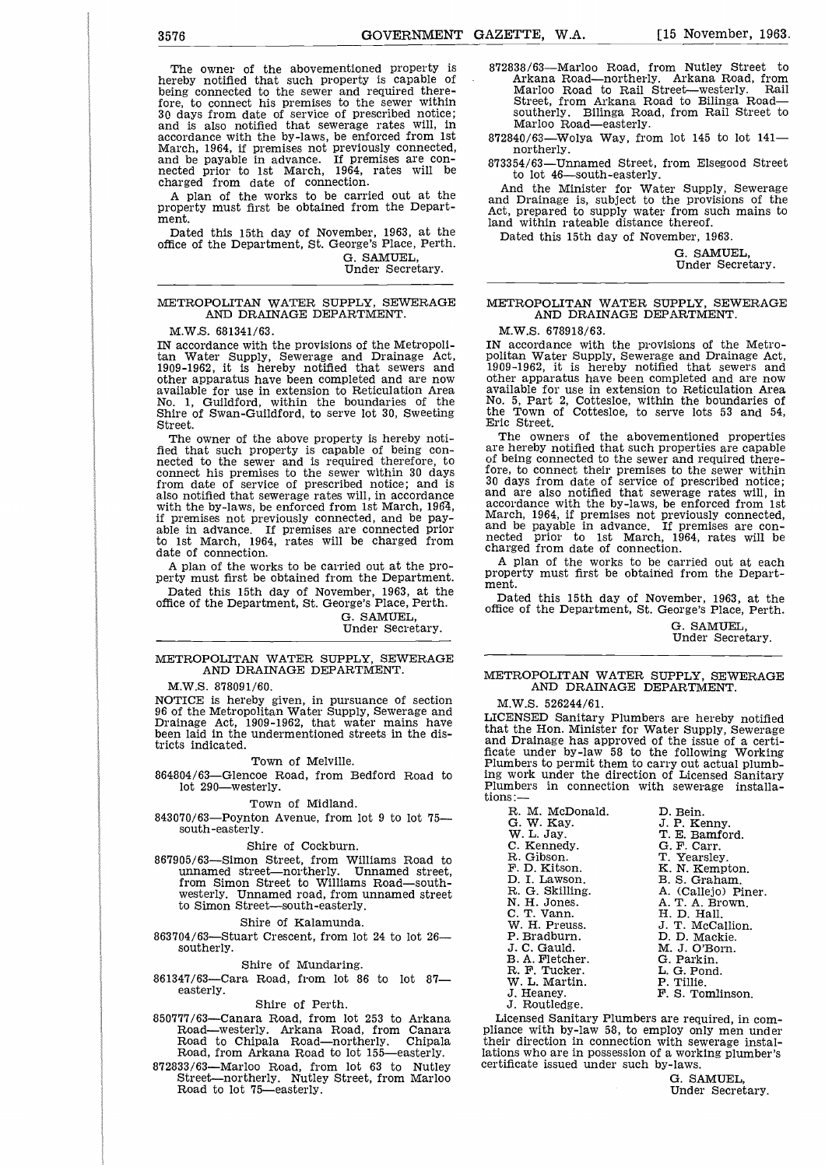3576<br>
GOVERNMENT GAZETTE, W.A. [15 November, 1963.<br>
The owner of the abovementioned property is 372838/63—Marloo Road, from Nutley Street to<br>
hereby notified that such property is capable of Arkana Road—northerly, Arkana R The owner of the abovementioned property is hereby notified that such property is capable of being connected to the sewer and required there-fore, to connect his premises to the sewer within 30 days from date of service of prescribed notice; and is also notified that sewerage rates will, in accordance with the by-laws, be enforced from 1st March, 1964, if premises not previously connected, and be payable in advance. If premises are con-nected prior to 1st March, 1964, rates will be charged from date of connection.

A plan of the works to be carried out at the property must first be obtained from the Department.

Dated this 15th day of November, 1963, at the office of the Department, St. George's Place, Perth. G. SAMUEL,

Under Secretary.

#### METROPOLITAN WATER SUPPLY, SEWERAGE AND DRAINAGE DEPARTMENT.

M.W.S. 681341/63.

IN accordance with the provisions of the Metropolitan Water Supply, Sewerage and Drainage Act, 1909-1962, it is hereby notified that sewers and other apparatus have been completed and are now available for use in extension to Reticulation Area No. 1, Guildford, within the boundaries of the Shire of Swan-Guildford, to serve lot 30, Sweeting Street.

The owner of the above property is hereby notified that such property is capable of being connected to the sewer and is required therefore, to connect his premises to the sewer within 30 days from date of service of prescribed notice; and is also notified that sewerage rates will, in accordance with the by-laws, be enforced from 1st March, 1964, if premises not previously connected, and be payable in advance. If premises are connected prior to 1st March, 1964, rates will be charged from date of connection.

A plan of the works to be carried out at the property must first be obtained from the Department.

Dated this 15th day of November, 1963, at the office of the Department, St. George's Place, Perth.

G. SAMUEL, Under Secretary.

#### METROPOLITAN WATER SUPPLY, SEWERAGE AND DRAINAGE DEPARTMENT.

M.W.S. 878091/60.

NOTICE is hereby given, in pursuance of section 96 of the Metropolitan Water Supply, Sewerage and Drainage Act, 1909-1962, that water mains have been laid in the undermentioned streets in the districts indicated.

#### Town of Melville.

864804/63—Glencoe Road, from Bedford Road to lot 290—westerly.

Town of Midland.

843070/63—Poynton Avenue, from lot 9 to lot 75 south-easterly.

#### Shire of Cockburn.

867905/63—Simon Street, from Williams Road to unnamed street—northerly. Unnamed street, from Simon Street to Williams Road—southwesterly. Unnamed road, from unnamed street to Simon Street—south-easterly.

#### Shire of Kalamunda.

863704/63—Stuart Crescent, from lot 24 to lot 26 southerly.

#### Shire of Mundaring.

861347/63—Cara Road, from lot 86 to lot 87 easterly.

#### Shire of Perth.

- 850777/63—Canara Road, from lot 253 to Arkana Road—westerly. Arkana Road, from Canara Road to Chipala Road—northerly. Chipala Road, from Arkana Road to lot 155—easterly.
- 872833/63—Marloo Road, from lot 63 to Nutley Street—northerly. Nutley Street, from Marloo Road to lot 75—easterly.

872838/63—Marloo Road, from Nutley Street to Arkana Road—northerly. Arkana Road, from Marloo Road to Rail Street—westerly. Rail Street, from Arkana Road to Bilinga Road southerly. Bilinga Road, from Rail Street to Marloo Road—easterly.

872840/63—Wolya Way, from lot 145 to lot 141 northerly.

873354/63—Unnamed Street, from Elsegood Street to lot 46—south-easterly.

And the Minister for Water Supply, Sewerage and Drainage is, subject to the provisions of the Act, prepared to supply water from such mains to land within rateable distance thereof.

Dated this 15th day of November, 1963.

G. SAMUEL, Under Secretary.

### METROPOLITAN WATER SUPPLY, SEWERAGE AND DRAINAGE DEPARTMENT.

#### M.W.S. 678918/63.

IN accordance with the provisions of the Metropolitan Water Supply, Sewerage and Drainage Act, 1909-1962, it is hereby notified that sewers and other apparatus have been completed and are now available for use in extension to Reticulation Area No. 5, Part 2, Cottesloe, within the boundaries of the Town of Cottesloe, to serve lots 53 and 54, Eric Street.

The owners of the abovementioned properties are hereby notified that such properties are capable of being connected to the sewer and required therefore, to connect their premises to the sewer within 30 days from date of service of prescribed notice; and are also notified that sewerage rates will, in accordance with the by-laws, be enforced from 1st March, 1964, if premises not previously connected, and be payable in advance. If premises are con-nected prior to 1st March, 1964, rates will be charged from date of connection.

A plan of the works to be carried out at each property must first be obtained from the Department.

Dated this 15th day of November, 1963, at the office of the Department, St. George's Place, Perth.

> G. SAMUEL, Under Secretary.

#### METROPOLITAN WATER SUPPLY, SEWERAGE AND DRAINAGE DEPARTMENT.

M.W.S. 526244/61.

LICENSED Sanitary Plumbers are hereby notified that the Hon. Minister for Water Supply, Sewerage and Drainage has approved of the issue of a certi-ficate under by-law 58 to the following Working Plumbers to permit them to carry out actual plumbing work under the direction of Licensed Sanitary Plumbers in connection with sewerage installa-FROPOLITAN WATER SUPPLY,<br>
MD DRAINAGE DEPARTM<br>
W.S. 526244/61.<br>
W.S. 526244/61.<br>
ENSED Sanitary Plumbers are held<br>
the Hon. Minister for Water Sup<br>
Drainage has approved of the isseement between<br>
the suder the direction of FROPOLITAN WATER SUPPLY, SEWIND DRAINAGE DEPARTMENT.<br>
W.S. 526244/61.<br>
ENSED Sanitary Plumbers are hereby ithe Hon. Minister for Water Supply, Se<br>
Drainage has approved of the issue of a<br>
e under by-law 58 to the following FROPOLITAN WATER SUPPLY, SE<br>
MND DRAINAGE DEPARTMENT.<br>
W.S. 526244/61.<br>
ENSED Sanitary Plumbers are hereb;<br>
the Hon. Minister for Water Supply,<br>
Drainage has approved of the issue ce<br>
e under by-law 58 to the following<br>
ne W.S. 526244/61.<br>
ENSED Sanitary Plumbers are hereby new ENSED Sanitary Plumbers are hereby new the Hon. Minister for Water Supply, Seventee of a<br>
e under by-law 58 to the following Words work under the direction of License ENSED Sanitary Plumbers are hereby notif<br>
the Hon. Minister for Water Supply, Sewer:<br>
Drainage has approved of the issue of a cee<br>
e under by-law 58 to the following Work<br>
nohers to permit them to carry out actual plum<br>
wo Finage has approved of the issue of a<br>
Drainage has approved of the issue of a<br>
Drainage has approved of the issue of a<br>
mbers to permit them to carry out actual p<br>
work under the direction of Licensed Sa<br>
nbers in connect

tions:—<br>R. M. McDonald.<br>G. W. Kay.<br>W. L. Jay. Drainage has approved of the issue<br>
e under by-law 58 to the following<br>
hebers to permit them to carry out act<br>
work under the direction of Licensee<br>
si-<br>
R. M. McDonald. D. Bein.<br>
W. L. Jay. T. E. Bamf<br>
W. L. Jay. T. E. B e under by-law 38 to the following we<br>nebers to permit them to carry out actual pl<br>work under the direction of Licensed San<br>nbers in connection with sewerage ins<br>S:—<br>R. M. McDonald. D. Bein.<br>C. W. L. Jay. T. T. E. Bamford. neers to permit them to carry out actual<br>
work under the direction of Licensed<br>
sines in connection with sewerage<br>
si-<br>
R. M. McDonald. D. Bein.<br>
G. W. Kay. J. P. Kenny.<br>
W. L. Jay. T. E. Bamford<br>
C. Kennedy. G. F. Yearsle WORK under the direction of Licensed<br>
in connection with sewerage<br>
i.<br>
E. M. McDonald. D. Bein.<br>
G. W. Kay. J. P. Kenny.<br>
W. L. Jay. T. E. Bamford<br>
C. Kennedy. G. F. Carr.<br>
F. D. Kitson. K. N. Kempton<br>
F. D. Kitson. B. S. B. A. Fletcher. G. Parkin. N. M. McDonald. (D. Bein. (D. Bein. (G. W. Kay. J. P. Kenn; W. L. Jay. (G. F. Carr. R. Gibson. (G. F. Carr. R. Gibson. (G. F. Carr. R. Gibson. (G. F. Carr. B. G. P. Carr. R. Gibson. (E. F. Carr. B. G. F. Carr. B. G. Callej R. M. McDonald. D. Bein.<br>
G. W. Kay. J. P. Ke<br>
C. Kennedy. C. Kennedy. C. F. Ea.<br>
C. Kennedy. C. F. Ca.<br>
F. D. Kitson. K. N. Ke<br>
D. I. Lawson. B. S. Gr<br>
D. I. Lawson. B. S. Gr<br>
N. H. Jones. A. C. T. Vann. A. T. A.<br>
C. T. V G. W. Kay. J. P. Kenny.<br>
W. L. Jay. T. E. Bamford.<br>
C. Kennedy. G. F. Carr.<br>
R. Gibson. T. Yearsley.<br>
F. D. Kitson. E. N. Kempton.<br>
D. I. Lawson. B. S. Graham.<br>
R. G. Skilling. A. (Callejo) Pin.<br>
H. J. D. H. D. Hall.<br>
W. H

- 
- 

J. Routledge.

Licensed Sanitary Plumbers are required, in compliance with by-law 58, to employ only men under their direction in connection with sewerage installations who are in possession of a working plumber's certificate issued under such by-laws.

> G. SAMUEL, Under Secretary.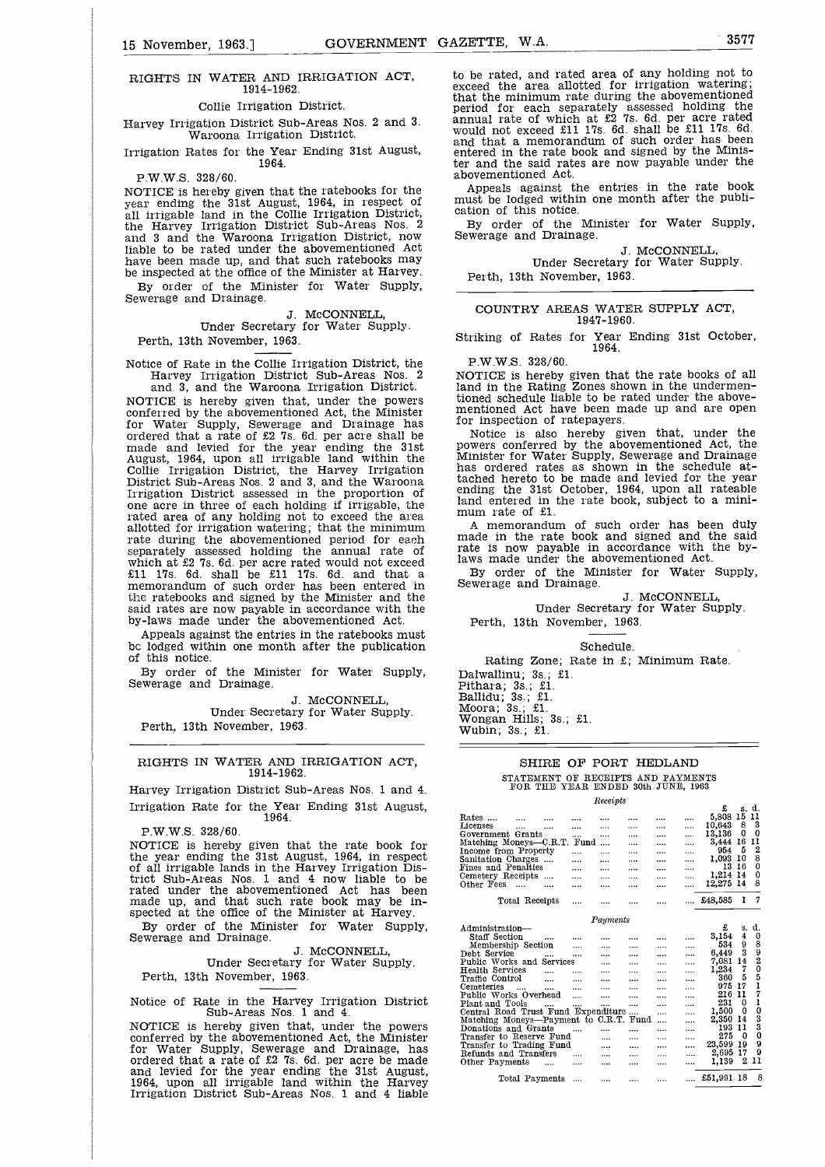# $\frac{1}{2}$ RIGHTS IN WATER AND IRRIGATION ACT, 1914-1962.

#### Collie Irrigation District.

Harvey Irrigation District Sub-Areas Nos. 2 and 3. Waroona Irrigation District.

Irrigation Rates for the Year Ending 31st August, 1964.

P.W.W.S. 328/60.

NOTICE is hereby given that the ratebooks for the year ending the 31st August, 1964, in respect of all irrigable land in the Collie Irrigation District, the Harvey Irrigation District Sub-Areas Nos. 2 and 3 and the Waroona Irrigation District, now liable to be rated under the abovementioned Act have been made up, and that such ratebooks may be inspected at the office of the Minister at Harvey. By order of the Minister for Water Supply,

Sewerage and Drainage.

J. McCONNELL,

Under Secretary for Water Supply. Perth, 13th November, 1963.

Notice of Rate in the Collie Irrigation District, the Harvey Irrigation District Sub-Areas Nos. 2

and 3, and the Waroona Irrigation District. NOTICE is hereby given that, under the powers conferred by the abovementioned Act, the Minister for Water Supply, Sewerage and Drainage has ordered that a rate of £2 7s. 6d. per acre shall be made and levied for the year ending the 31st August, 1964, upon all irrigable land within the Collie Irrigation District, the Harvey Irrigation District Sub-Areas Nos. 2 and 3, and the Waroona Irrigation District assessed in the proportion of one acre in three of each holding if irrigable, the rated area of any holding not to exceed the area allotted for irrigation watering; that the minimum rate during the abovementioned period for each separately assessed holding the annual rate of which at £2 7s. 6d. per acre rated would not exceed £11 17s. 6d. shall be £11 17s. 6d. and that a memorandum of such order has been entered in the ratebooks and signed by the Minister and the said rates are now payable in accordance with the by-laws made under the abovementioned Act.

Appeals against the entries in the ratebooks must be lodged within one month after the publication of this notice.

By order of the Minister for Water Supply, Sewerage and Drainage.

J. McCONNELL, Under Secretary for Water Supply. Perth, 13th November, 1963.

#### RIGHTS IN WATER AND IRRIGATION ACT 1914-1962.

Harvey Irrigation District Sub-Areas Nos. 1 and 4. Irrigation Rate for the Year Ending 31st August, 1964.

P.W.W.S. 328/60.

NOTICE is hereby given that the rate book for the year ending the 31st August, 1964, in respect of all irrigable lands in the Harvey Irrigation District Sub-Areas Nos. 1 and 4 now liable to be rated under the abovementioned Act has been made up, and that such rate book may be inspected at the office of the Minister at Harvey.

By order of the Minister for Water Supply, Sewerage and Drainage.

J. McCONNELL, Under Secretary for Water Supply. Perth, 13th November, 1963.

Notice of Rate in the Harvey Irrigation District Sub-Areas Nos. 1 and 4.

NOTICE is hereby given that, under the powers conferred by the abovementioned Act, the Minister for Water Supply, Sewerage and Drainage, has ordered that a rate of £2 7s. 6d. per acre be made and levied for the year ending the 31st August, 1964, upon all irrigable land within the Harvey Irrigation District Sub-Areas Nos. 1 and 4 liable

GOVERNMENT GAZETTE, W.A.<br>
GATION ACT, to be rated, and rated area of any holding not to exceed the area allotted for irrigation watering; to be rated, and rated area of any holding not to exceed the area allotted for irrigation watering; that the minimum rate during the abovementioned period for each separately assessed holding the<br>annual rate of which at £2 7s. 6d. per acre rated<br>would not exceed £11 17s. 6d. shall be £11 17s. 6d.<br>and that a memorandum of such order has been<br>entered in the rate book an ter and the said rates are now payable under the abovementioned Act.

> Appeals against the entries in the rate book must be lodged within one month after the publication of this notice.

> By order of the Minister for Water Supply, Sewerage and Drainage.

J. McCONNELL, Under Secretary for Water Supply. Perth, 13th November, 1963.

COUNTRY AREAS WATER SUPPLY ACT, 1947-1960.

Striking of Rates for Year Ending 31st October, 1964.

P.W.W.S. 328/60.

NOTICE is hereby given that the rate books of all land in the Rating Zones shown in the undermentioned schedule liable to be rated under the abovementioned Act have been made up and are open<br>for inspection of ratepayers. for inspection of ratepayers.

Notice is also hereby given that, under the<br>powers conferred by the abovementioned Act, the<br>Minister for Water Supply, Sewerage and Drainage<br>has ordered rates as shown in the schedule at-<br>tached hereto to be made and levie land entered in the rate book, subject to a minimum rate of £1.

A memorandum of such order has been duly made in the rate book and signed and the said rate is now payable in accordance with the by-laws made under the abovementioned Act.

By order of the Minister for Water Supply, Sewerage and Drainage.

J. McCONNELL, Under Secretary for Water Supply. Perth, 13th November, 1963.

Schedule.

Rating Zone; Rate in £; Minimum Rate.

Dalwallinu; 3s.; £1. Pithara; 3s.; £1. Ballidu; 3s.; £1. Moora; 3s.; £1. Wongan Hills; 3s.; £1. Wubin; 3s.; £1.

### SHIRE OF PORT HEDLAND

|                        |                                        | SHIRE OF PORT HEDLAND |          |          |          |      |              |          |                |
|------------------------|----------------------------------------|-----------------------|----------|----------|----------|------|--------------|----------|----------------|
|                        |                                        |                       |          |          |          |      |              |          |                |
|                        | STATEMENT OF RECEIPTS AND PAYMENTS     |                       |          |          |          |      |              |          |                |
|                        | FOR THE YEAR ENDED 30th JUNE, 1963     |                       |          |          |          |      |              |          |                |
|                        |                                        |                       |          | Receipts |          |      |              |          |                |
|                        |                                        |                       |          |          |          |      | £            |          | s d.           |
| $\rm\,Rates\,\,$       |                                        |                       |          |          |          |      | 5,808        | 15       | 11             |
| Licenses               |                                        |                       |          |          |          | <br> | 10,643       | 8        | 3              |
|                        | Government Grants                      |                       |          |          |          | <br> | 13,136       | 0        | $\mathbf 0$    |
|                        | Matching Moneys-C.R.T.                 |                       | Fund     |          |          | <br> | 3,444        | -16      | 11             |
|                        | Income from Property                   |                       |          |          |          | <br> | 954          | 5        | 2              |
|                        | Sanitation Charges                     |                       |          |          |          | <br> | 1.093        | 10       | 8              |
|                        | Fines and Penalties                    |                       |          |          |          | <br> | 13           | 16       | 0              |
| Cemetery Receipts      |                                        |                       |          |          |          | <br> | 1,214        | 14       | 0              |
| Other Fees             | $\cdots$                               |                       | $\cdots$ |          |          | <br> | 12.275       | -14      | 8              |
|                        | Total Receipts                         |                       |          |          |          |      | £48,585      | ı        | 7              |
|                        |                                        |                       |          |          |          |      |              |          |                |
|                        |                                        |                       |          | Payments |          |      |              |          |                |
| Administration—        |                                        |                       |          |          |          |      | £            | s.       | d.             |
| Staff Section          |                                        |                       |          |          |          |      | 3,154        | 4        | 0              |
|                        | Membership Section                     |                       |          |          |          | <br> | 534          | 9        | 8              |
| Debt Service           |                                        |                       |          |          |          | <br> | 6,449        | 3        | 9              |
|                        | Public Works and Services              |                       |          |          |          | <br> | 7.081        | 14       | $\overline{2}$ |
| <b>Health Services</b> |                                        | $\cdots$              |          |          |          | <br> | 1,234        | 7        | $\overline{0}$ |
| Traffic Control        |                                        | $\cdots$              | $\cdots$ | $\cdots$ |          | <br> | 360          | 5        | 5              |
| Cemeteries             |                                        | $\cdots$              |          |          |          | <br> | 975          | 17       | ı              |
|                        | Public Works Overhead                  |                       | .        | $\cdots$ |          | <br> | 216          | 11       | 7              |
| Plant and Tools        |                                        |                       |          |          |          | <br> | 231          | Ω        | ı<br>Ō         |
|                        | Central Road Trust Fund Expenditure    |                       |          |          | $\cdots$ | <br> | 1,500        | $\bf{0}$ | 3              |
|                        | Matching Moneys—Payment to C.R.T. Fund |                       |          |          |          | <br> | 2,350<br>193 | 14<br>11 | 3              |
|                        | Donations and Grants                   |                       |          |          |          |      | 275          | Ω        | 0              |
|                        | Transfer to Reserve Fund               |                       |          |          |          | <br> | 23.599       | 19       | 9              |
|                        | Transfer to Trading Fund               |                       |          |          |          | <br> | 2,695        | 17       | 9              |
|                        | Refunds and Transfers                  |                       |          | $\cdots$ |          | <br> | 1,139        | 2        | 11             |
| Other Payments         |                                        | $\cdots$              | $\cdots$ |          |          | <br> |              |          |                |
|                        | Total Payments                         |                       |          |          |          |      | £51.991      | 18       | 8              |
|                        |                                        |                       |          |          |          |      |              |          |                |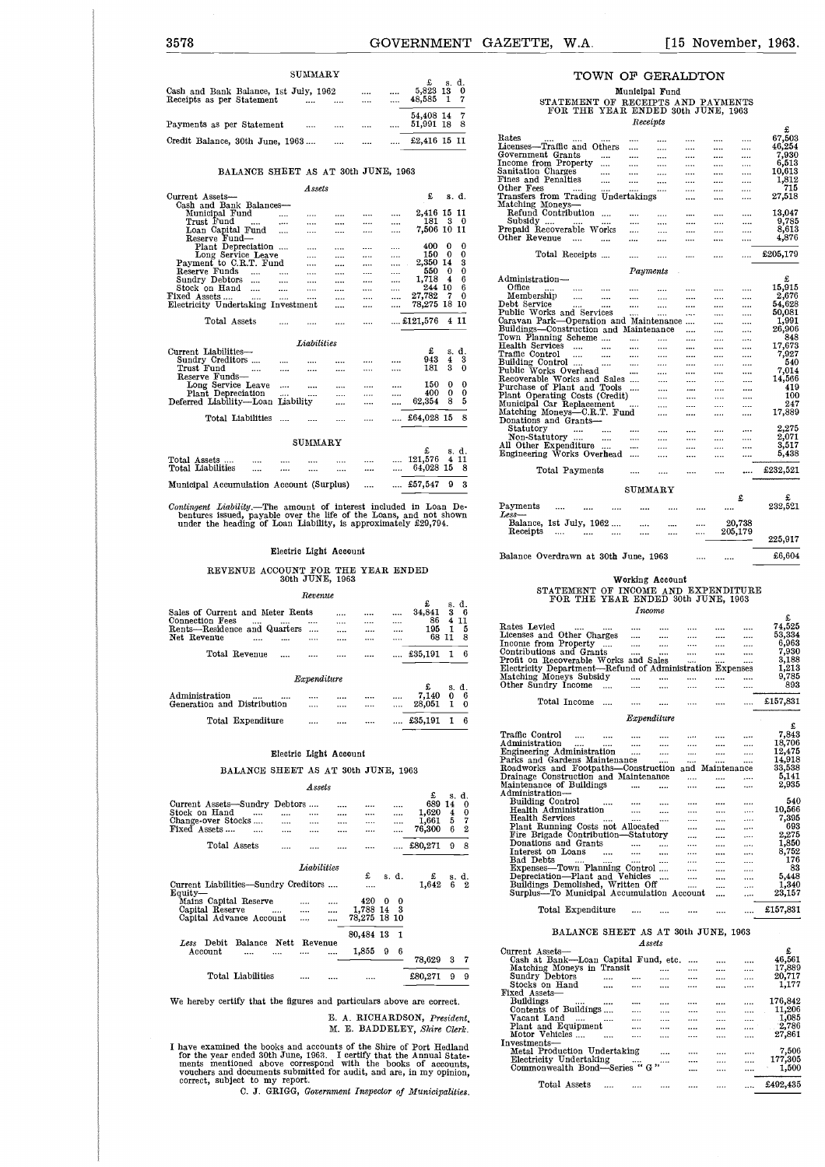| 3578                                                                 | <b>GOVERNMENT</b>                                               | GAZETTE, | W.A. | $[15$ November, 1963.                                                    |        |
|----------------------------------------------------------------------|-----------------------------------------------------------------|----------|------|--------------------------------------------------------------------------|--------|
|                                                                      |                                                                 |          |      |                                                                          |        |
| SUMMARY                                                              |                                                                 |          |      | TOWN OF GERALDTON                                                        |        |
| Cash and Bank Balance, 1st July, 1962                                | <br><br>s. d.<br>£<br>5,823 13<br>$\bf{0}$<br>$\mathbf{I}$<br>7 |          |      | Municipal Fund                                                           |        |
| Receipts as per Statement<br>                                        | <br><br>48,585<br>54,408 14<br>7                                |          |      | STATEMENT OF RECEIPTS AND PAYMENTS<br>FOR THE YEAR ENDED 30th JUNE, 1963 |        |
| Payments as per Statement<br><br><br>Credit Balance, 30th June, 1963 | <br><br>51,991 18 8<br>£2,416 15 11                             | Rates    |      | Receipts                                                                 | 67,503 |

#### BALANCE SHEET AS AT 30th JUNE, 1963

|                                     |                          |          | <b>Assets</b>      |              |                   |          |                  |
|-------------------------------------|--------------------------|----------|--------------------|--------------|-------------------|----------|------------------|
| Current Assets-                     |                          |          |                    |              | £                 |          | s. d.            |
| Cash and Bank Balances-             |                          |          |                    |              |                   |          |                  |
| Municipal Fund                      |                          |          |                    |              | <br>2,416 15 11   |          |                  |
| Trust Fund                          |                          | $\cdots$ |                    |              | <br>181           | 3        | 0                |
| Loan Capital Fund                   |                          |          |                    | <br>         | <br>7,506 10 11   |          |                  |
| Reserve Fund-                       |                          |          |                    |              |                   |          |                  |
| Plant Depreciation                  |                          |          |                    |              | <br>400           | 0        | 0                |
| Long Service Leave                  |                          |          |                    | <br>         | <br>150           | 0        | 0                |
| Payment to C.R.T. Fund              |                          |          |                    | <br>$\cdots$ | <br>2.350         | 14       | 3                |
| Reserve Funds                       | $\ddotsc$                |          |                    | <br>         | <br>550           | $\Omega$ | 0                |
| Sundry Debtors                      |                          |          |                    |              | <br>1,718         | 4        | $\boldsymbol{6}$ |
| Stock on Hand                       | $\sim$                   | $\cdots$ |                    |              | 244               | 10       | 6                |
| Fixed Assets                        |                          |          |                    |              | <br>27,782        | 7        | 0                |
|                                     | $\overline{\phantom{a}}$ |          |                    | <br>         | 78,275            | 18       | 10               |
| Electricity Undertaking Investment  |                          |          |                    | <br>         |                   |          |                  |
| Total Assets                        |                          |          |                    |              | £121.576          |          | 4 11             |
|                                     |                          |          |                    |              |                   |          |                  |
|                                     |                          |          |                    |              |                   |          |                  |
|                                     |                          |          |                    |              |                   |          |                  |
|                                     |                          |          | <b>Liabilities</b> |              |                   |          |                  |
| Current Liabilities-                |                          |          |                    |              | £                 | S.       | d.               |
| Sundry Creditors                    |                          |          |                    |              | 943               | 4        | 3                |
| Trust Fund                          |                          |          |                    |              | 181               | я        | 0                |
| Reserve Funds-                      |                          |          |                    |              |                   |          |                  |
| Long Service Leave                  |                          | $\cdots$ |                    |              | 150               | 0        | 0                |
| Plant Depreciation                  |                          |          |                    |              | <br>400           | 0        | 0                |
| Deferred Liability---Loan Liability |                          |          |                    |              | 62,354            | 8        | 5                |
|                                     |                          |          |                    |              |                   |          |                  |
| Total Liabilities                   |                          |          |                    |              | £64,028 15        |          | 8                |
|                                     |                          |          |                    |              |                   |          |                  |
|                                     |                          |          | SUMMARY            |              |                   |          |                  |
|                                     |                          |          |                    |              |                   |          |                  |
|                                     |                          |          |                    |              | £                 |          | s. d.            |
| Total Assets<br>Total Liabilities   |                          |          |                    |              | 121,576<br>64,028 | 4<br>15  | 11<br>8          |

Municipal Accumulation Account (Surplus) .... .... £57,547 9 3

*Contingent Liability.-The* amount of interest included in Loan De-bentures issued, payable over the life of the Loans, and not shown under the heading of Loan Liability, is approximately £29,794.

#### REVENUE ACCOUNT FOR THE YEAR ENDED 30th JUNE, 1963

#### *Revenue*

| Sales of Current and Meter Rents<br>Connection Fees |             | <br><br><br> | <br><br>34.841<br>86            | s. d.<br>3 <sub>6</sub><br>-11<br>4 |  |
|-----------------------------------------------------|-------------|--------------|---------------------------------|-------------------------------------|--|
| Rents-Residence and Quarters                        |             | <br>         | <br>195                         | -5<br>ı                             |  |
| Net Revenue                                         |             |              | <br>68                          | 8<br>11                             |  |
| Total Revenue                                       |             |              | £35,191                         | - 6                                 |  |
|                                                     | Expenditure |              |                                 |                                     |  |
|                                                     |             |              | £                               | s. d.                               |  |
| Administration<br>                                  |             | <br>         | <br>$7,140$ 0 6<br>$28,051$ 1 0 |                                     |  |
| Generation and Distribution                         |             |              | 28,051                          |                                     |  |
| Total Expenditure                                   |             |              | £35,191                         | 6                                   |  |

#### Electric Light Account

#### BALANCE SHEET AS AT 30th JUNE, 1963

#### *Assets*

| Current Assets—Sundry Debtors<br>Stock on Hand<br>Change-over Stocks<br>Fixed Assets<br>Total Assets | $\cdots$<br><br><br>   |             | <br><br><br>                       | <br><br>          | £<br>689<br>1,620<br>1,661<br>76,300<br>£80.271 | s.<br>14<br>$\frac{4}{5}$<br>6<br>9 | d.<br>0<br>$\frac{0}{7}$<br>$\overline{2}$<br>8 |
|------------------------------------------------------------------------------------------------------|------------------------|-------------|------------------------------------|-------------------|-------------------------------------------------|-------------------------------------|-------------------------------------------------|
| Current Liabilities—Sundry Creditors<br>Equity—<br>Mains Capital Reserve                             |                        | Liabilities | £<br>420                           | s. d.<br>0        | £<br>1.642<br>0                                 | 6                                   | s. d.<br>$\mathbf{2}$                           |
| Capital Reserve<br>Capital Advance Account                                                           | $\cdots$               | <br>        | <br><br>1.788 14 3<br>78,275 18 10 |                   |                                                 |                                     |                                                 |
| Debit<br>Less<br>Account                                                                             | <b>Nett</b><br>Balance | Revenue     | 80.484 13<br>1.855                 | $\mathbf{1}$<br>9 | 6                                               |                                     |                                                 |
| Total Liabilities                                                                                    |                        |             |                                    |                   | 78,629                                          | 3                                   | 7<br>9                                          |
|                                                                                                      |                        |             |                                    |                   | £80,271                                         | 9                                   |                                                 |

We hereby certify that the figures and particulars above are correct.

E. A. RICHARDSON, *President,* M. E. BADDELEY, *Shire Clerk.*

I have examined the books and accounts of the Shire of Port Hedland<br>for the year ended 30th June, 1963. I certify that the Annual State-<br>ments mentioned above correspond with the books of accounts,<br>vouchers and documents

### TOWN OF GERALDTON

#### Municipal Fund<br>STATEMENT OF RECEIPTS AND PAYMENTS<br>FOR THE YEAR ENDED 30th JUNE, 1963 *Receipts*

| Rates                                  |              |          | <br>          |   |          | 67,503   |
|----------------------------------------|--------------|----------|---------------|---|----------|----------|
| Licenses-Traffic and Others            |              |          | <br>          |   |          | 46,254   |
| Government Grants                      |              |          | <br>          |   |          | 7,930    |
| Income from Property                   | .            |          | <br>          |   | .        | 6.513    |
| Sanitation Charges                     |              |          | <br>          |   |          | 10,613   |
| Fines and Penalties                    | .            |          | <br>          |   |          | 1.812    |
| Other Fees                             |              |          | <br>          |   |          | 715      |
| Transfers from Trading                 | Undertakings |          |               |   |          | 27,518   |
| Matching Moneys-                       |              |          |               |   |          |          |
| Refund Contribution                    |              |          | <br>          |   |          | 13,047   |
| Subsidy                                |              |          | <br>          |   |          | 9,785    |
| Prepaid Recoverable                    | Works        |          |               |   |          | 8,613    |
| Other Revenue<br>.                     |              |          | <br>          |   |          | 4.876    |
|                                        |              |          |               |   |          |          |
| Total Receipts                         |              |          |               |   |          | £205,179 |
|                                        |              | Payments |               |   |          |          |
| Administration—                        |              |          |               |   |          | £        |
| Office<br>                             |              |          | <br>          |   |          | 15,915   |
| Membership<br>                         |              |          | <br>          |   |          | 2,676    |
| Debt Service                           |              |          |               |   |          | 54,628   |
| Public Works and Services              |              |          | <br><br><br>. |   |          | 50,081   |
| Caravan Park-Operation and Maintenance |              |          |               |   |          | 1,991    |
| Buildings-Construction and Maintenance |              |          |               |   |          | 26,906   |
| Town Planning Scheme                   |              |          |               |   |          | 848      |
| Health Services<br>$\ddotsc$           |              |          | <br>          |   |          | 17,673   |
| Traffic Control                        |              |          | <br>          |   |          | 7,927    |
| <br>Building Control                   |              |          | <br>          |   |          | 540      |
| $\cdots$<br>Public Works Overhead      |              |          | <br>          |   |          | 7,014    |
| Recoverable Works and Sales            |              |          | <br>          |   |          | 14,566   |
| Purchase of Plant and Tools            |              |          | <br>          |   |          | 419      |
|                                        |              |          | <br>          |   |          |          |
| Plant Operating Costs (Credit)         |              |          | <br>          |   |          | 100      |
| Municipal Car Replacement              |              |          | <br>          |   |          | 247      |
| Matching Moneys-C.R.T. Fund            |              |          | <br>          |   |          | 17,889   |
| Donations and Grants—                  |              |          |               |   |          |          |
| Statutory<br>$\cdots$                  |              | .        | <br>          | . |          | 2,275    |
| Non-Statutory                          |              | $\cdots$ | <br>          |   |          | 2,071    |
| All Other Expenditure                  |              |          | <br>          |   | $\cdots$ | 3,517    |
| Engineering Works Overhead             |              |          |               |   |          | 5,438    |
| Total Payments                         |              |          |               |   |          | £232,521 |
|                                        |              |          |               |   |          |          |
|                                        |              |          |               |   |          |          |
|                                        |              | SUMMARY  |               |   |          |          |
|                                        |              |          |               |   | £        | £        |
| ${\bf Payments}$                       |              |          |               |   |          | 232,521  |
| $Less-$                                |              |          |               |   |          |          |
| Balance, 1st July, 1962                |              |          |               |   | 20,738   |          |
| Receipts<br>$\cdots$                   |              |          | <br>          |   | 205,179  |          |
|                                        |              |          |               |   |          | 225.917  |
|                                        |              |          |               |   |          |          |
| Balance Overdrawn at 30th June, 1963   |              |          |               |   |          | £6,604   |

| he amount of interest included in Loan De-<br>ble over the life of the Loans, and not shown. | Payments<br><br>Less—                                                        | <br>                      | 232,521 |
|----------------------------------------------------------------------------------------------|------------------------------------------------------------------------------|---------------------------|---------|
| Loan Liability, is approximately £29,794.                                                    | Balance, 1st July, 1962<br>$- - - -$<br>Receipts<br>$\cdots$<br><br><br><br> | <br><br>20.738<br>205,179 |         |
|                                                                                              |                                                                              |                           | 225.917 |
| Electric Light Account                                                                       | Balance Overdrawn at 30th June, 1963                                         | <br>                      | £6,604  |

#### Working Account

#### STATEMENT OF INCOME AND EXPENDITURE FOR THE YEAR ENDED 30th JUNE, 1983 *Income*

|                                                          |          |             |          |           |              | £        |
|----------------------------------------------------------|----------|-------------|----------|-----------|--------------|----------|
| Rates Levied<br>$\cdots$                                 |          |             |          |           | <br>         | 74,525   |
| Licenses and Other Charges                               |          | $\cdots$    |          |           | <br>         | 53,334   |
| Income from Property                                     |          |             |          |           | <br>         | 6,963    |
| Contributions and Grants                                 |          |             |          |           | <br>         | 7,930    |
| Profit on Recoverable Works and Sales                    |          |             |          | $\ddotsc$ | <br>         | 3,188    |
| Electricity Department—Refund of Administration Expenses |          |             |          |           |              | 1,213    |
| Matching Moneys Subsidy                                  |          |             |          |           | <br>         | 9,785    |
| Other Sundry Income                                      | $\cdots$ |             |          |           |              | 893      |
|                                                          |          |             |          |           | <br>         |          |
| Total Income                                             |          |             |          |           |              | £157,831 |
|                                                          |          |             |          |           |              |          |
|                                                          |          | Expenditure |          |           |              |          |
|                                                          |          |             |          |           |              | £        |
| Traffic Control<br>$\cdots$                              |          |             |          |           |              | 7,843    |
| Administration<br>                                       | $\cdots$ | $\cdots$    |          |           | <br>         | 18,706   |
| Engineering Administration                               |          |             |          |           | <br>         | 12,475   |
| Parks and Gardens Maintenance                            |          |             |          | $\cdots$  | <br>         | 14,918   |
| Roadworks and Footpaths-Construction and Maintenance     |          |             |          |           |              | 33,538   |
| Drainage Construction and Maintenance                    |          |             |          |           | <br>.        | 5,141    |
| Maintenance of Buildings                                 |          |             |          |           | <br>         | 2,935    |
| Administration-                                          |          |             |          |           |              |          |
| Building Control                                         |          |             |          |           | <br>         | 540      |
| Health Administration                                    |          | $\cdots$    |          |           | <br>         | 10,566   |
| Health Services                                          |          |             |          |           | <br>.        | 7.395    |
| Plant Running Costs not Allocated                        |          |             |          |           | <br>         | 693      |
| Fire Brigade Contribution—Statutory                      |          |             |          |           | <br>         | 2,275    |
| Donations and Grants                                     |          | $\cdots$    |          |           |              | 1,850    |
| Interest on Loans<br>$\sim$ $\sim$                       |          | $\cdots$    |          |           | <br>         | 8.752    |
| Bad Debts<br>$\cdots$                                    |          |             |          |           | <br>         | 176      |
| Expenses-Town Planning Control                           |          |             |          |           | <br>         | 83       |
| Depreciation-Plant and Vehicles                          |          |             | $\cdots$ |           | <br>         | 5.448    |
| Buildings Demolished, Written Off                        |          |             |          |           | <br>         | 1,340    |
| Surplus—To Municipal Accumulation Account                |          |             |          |           | <br>$\cdots$ | 23,157   |
|                                                          |          |             |          |           |              |          |
| Total Expenditure                                        |          |             |          |           |              | £157,831 |
|                                                          |          |             |          |           |              |          |
| BALANCE SHEET AS AT 30th JUNE, 1963                      |          |             |          |           |              |          |
|                                                          |          |             |          |           |              |          |
|                                                          |          | Assets      |          |           |              |          |
| Current Assets-                                          |          |             |          |           |              | £        |
| Cash at Bank-Loan Capital Fund, etc.                     |          |             |          |           |              | 46,561   |

| VIIITEILLE A SSERS                      |          |          |          |      | Ð           |
|-----------------------------------------|----------|----------|----------|------|-------------|
| Cash at Bank—Loan Capital Fund, etc.    |          |          |          |      | <br>46,561  |
| Matching Moneys in Transit              |          |          |          | <br> | <br>17,889  |
| Sundry Debtors                          |          |          |          | <br> | <br>20,717  |
| Stocks on Hand                          |          |          |          | <br> | <br>1,177   |
| Fixed Assets-                           |          |          |          |      |             |
| Buildings<br>$\cdots$                   |          |          |          |      | 176,842     |
| Contents of Buildings                   |          |          |          | <br> | <br>11.206  |
| Vacant Land<br>$\overline{\phantom{a}}$ | $\cdots$ |          |          | <br> | <br>1,085   |
| Plant and Equipment                     |          |          |          | <br> | <br>2,786   |
| Motor Vehicles                          |          |          |          | <br> | <br>27,861  |
| Investments-                            |          |          |          |      |             |
| Metal Production Undertaking            |          |          |          | <br> | <br>7,506   |
| Electricity Undertaking                 |          | $\cdots$ | $\cdots$ | <br> | <br>177,305 |
| Commonwealth Bond—Series " G"           |          |          |          | <br> | <br>1,500   |
| Total Assets                            |          |          |          |      | £492.435    |
|                                         |          |          |          |      |             |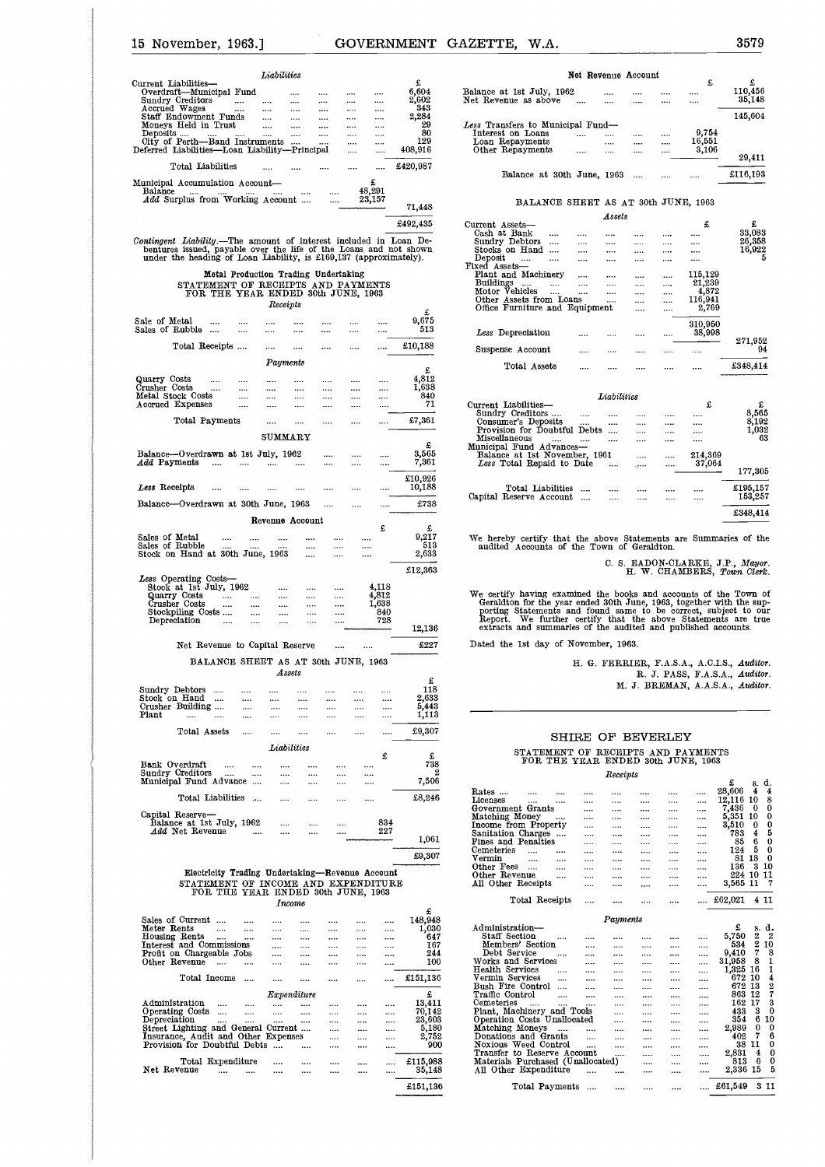| 15 November, 1963.]                                                                                                                                                                                                                                                        |                                                                                                                            |                                                                          |                                                                                              |                                                                      | <b>GOVERNMENT</b>                                                 | GAZETTE.                                                                                                                               | W.A.           |
|----------------------------------------------------------------------------------------------------------------------------------------------------------------------------------------------------------------------------------------------------------------------------|----------------------------------------------------------------------------------------------------------------------------|--------------------------------------------------------------------------|----------------------------------------------------------------------------------------------|----------------------------------------------------------------------|-------------------------------------------------------------------|----------------------------------------------------------------------------------------------------------------------------------------|----------------|
|                                                                                                                                                                                                                                                                            | <b>Liabilities</b>                                                                                                         |                                                                          |                                                                                              |                                                                      |                                                                   |                                                                                                                                        |                |
| Current Liabilities-<br>Overdraft-Municipal Fund<br>Sundry Creditors<br>$\cdots$<br>Accrued Wages<br>$\cdots$<br>Staff Endowment Funds<br>Moneys Held in Trust<br>Deposits<br><br>1.1.1<br>City of Perth-Band Instruments<br>Deferred Liabilities-Loan Liability-Principal | $\cdots$<br>$\cdots$<br>$\cdots$<br>$\cdots$<br>$\cdots$<br>$\cdots$<br>$\cdots$<br>$\cdots$ $\cdots$<br>$\cdots$ $\cdots$ | $\cdots$<br>$\cdots$<br><br>$\cdots$<br>$\cdots$<br>$\cdots$<br>$\cdots$ | $\cdots$<br>$\cdots$<br>$\cdots$<br>$\cdots$<br>$\cdots$<br>$\cdots$<br>$\cdots$<br>$\cdots$ | $\cdots$<br><br>$\cdots$<br>$\cdots$<br>$\cdots$<br><br><br>$\cdots$ | £<br>6,604<br>2,602<br>343<br>2.284<br>29<br>80<br>129<br>408,916 | Balance at 1st July, 19<br>Net Revenue as above<br>Less Transfers to Munic<br>Interest on Loans<br>Loan Repayments<br>Other Repayments |                |
| Total Liabilities                                                                                                                                                                                                                                                          |                                                                                                                            |                                                                          | $\cdots$                                                                                     |                                                                      | £420,987                                                          |                                                                                                                                        |                |
|                                                                                                                                                                                                                                                                            |                                                                                                                            | <b>Sales Controller</b>                                                  | $\cdots$                                                                                     | £<br>48,291                                                          |                                                                   |                                                                                                                                        | Balance at 30  |
| Municipal Accumulation Account-<br>Balance<br>$\cdots$<br><b>Seat of the State</b><br>and the<br>Add Surplus from Working Account                                                                                                                                          | <b>Seattle Control</b>                                                                                                     |                                                                          | $\cdots$                                                                                     | 23,157                                                               | 71,448                                                            |                                                                                                                                        | <b>BALANCE</b> |

### Metal Production Trading Undertaking STATEMENT OF RECEIPTS AND PAYMENTS FOR THE YEAR ENDED 30th JUNE, 1963

| Balance                              | Add Surplus from Working Account |                                                                          |              |              |                 |              | 48,291<br>23,157 |                |                                                                                                                                                                                                      |
|--------------------------------------|----------------------------------|--------------------------------------------------------------------------|--------------|--------------|-----------------|--------------|------------------|----------------|------------------------------------------------------------------------------------------------------------------------------------------------------------------------------------------------------|
|                                      |                                  |                                                                          |              |              |                 |              |                  |                | 71,448                                                                                                                                                                                               |
|                                      |                                  |                                                                          |              |              |                 |              |                  |                | £492,435                                                                                                                                                                                             |
|                                      |                                  |                                                                          |              |              |                 |              |                  |                | Contingent Liability.--The amount of interest included in Loan Debentures issued, payable over the life of the Loans and not shown under the heading of Loan Liability, is £169,137 (approximately). |
|                                      |                                  | Metal Production Trading Undertaking                                     |              |              |                 |              |                  |                |                                                                                                                                                                                                      |
|                                      |                                  | STATEMENT OF RECEIPTS AND PAYMENTS<br>FOR THE YEAR ENDED 30th JUNE, 1963 |              |              |                 |              |                  |                |                                                                                                                                                                                                      |
|                                      |                                  |                                                                          |              | Receipts     |                 |              |                  |                |                                                                                                                                                                                                      |
| Sale of Metal                        |                                  |                                                                          |              | $\cdots$     |                 | $\cdots$     |                  |                | £<br>9,675                                                                                                                                                                                           |
| Sales of Rubble                      |                                  |                                                                          |              |              |                 |              |                  |                | 513                                                                                                                                                                                                  |
|                                      | Total Receipts                   |                                                                          |              | $\cdots$     | $\cdots$        |              |                  |                | £10,188                                                                                                                                                                                              |
|                                      |                                  |                                                                          |              | Payments     |                 |              |                  |                |                                                                                                                                                                                                      |
|                                      |                                  | $\cdots$                                                                 | $\cdots$     |              | $\cdots$        | $\cdots$     | $\cdots$         |                | £<br>4,812                                                                                                                                                                                           |
| Quarry Costs<br>Crusher Costs        |                                  |                                                                          | $\cdots$     |              |                 |              |                  |                | 1,638                                                                                                                                                                                                |
| Metal Stock Costs                    |                                  |                                                                          | $\cdots$     | $\cdots$     |                 | $\cdots$     |                  |                | 840                                                                                                                                                                                                  |
| Accrued Expenses                     |                                  |                                                                          | $\cdots$     | $\cdots$     |                 | $\cdots$     |                  |                | 71                                                                                                                                                                                                   |
|                                      | Total Payments                   |                                                                          |              | $\cdots$     | $\cdots$        | $\cdots$     | $\cdots$         | $\cdots$       | £7,361                                                                                                                                                                                               |
|                                      |                                  |                                                                          |              | $\tt SUMARY$ |                 |              |                  |                |                                                                                                                                                                                                      |
| Balance-Overdrawn at 1st July, 1962  |                                  |                                                                          |              |              |                 | .            | $\cdots$         |                | £<br>3,565                                                                                                                                                                                           |
| <i>Add</i> Payments                  |                                  | $\cdots$                                                                 |              | $\cdots$     |                 |              |                  |                | 7,361                                                                                                                                                                                                |
| Less Receipts                        |                                  |                                                                          |              |              |                 |              |                  |                | £10,926<br>10,188                                                                                                                                                                                    |
| Balance-Overdrawn at 30th June, 1963 |                                  |                                                                          |              |              |                 | $\cdots$     |                  |                | £738                                                                                                                                                                                                 |
|                                      |                                  |                                                                          |              |              |                 |              | $\cdots$         |                |                                                                                                                                                                                                      |
|                                      |                                  |                                                                          |              |              | Revenue Account |              |                  | £              | £                                                                                                                                                                                                    |
| Sales of Metal<br>Sales of Rubble    |                                  |                                                                          | $\cdots$     |              | $\cdots$        | $\cdots$     | $\cdots$         |                | 9,217                                                                                                                                                                                                |
| Stock on Hand at 30th June, 1963     |                                  |                                                                          |              |              |                 | <br>         | <br>             |                | 513<br>2,633                                                                                                                                                                                         |
|                                      |                                  |                                                                          |              |              |                 |              |                  |                |                                                                                                                                                                                                      |
|                                      |                                  |                                                                          |              |              |                 |              |                  |                | £12,363                                                                                                                                                                                              |
|                                      |                                  |                                                                          |              | $\cdots$     | $\cdots$        | $\cdots$     |                  | 4,118          |                                                                                                                                                                                                      |
|                                      |                                  |                                                                          | $\cdots$     | $\cdots$     |                 |              |                  | 4,812<br>1,638 |                                                                                                                                                                                                      |
|                                      | Stockpiling Costs                |                                                                          | <br>$\cdots$ | <br>$\cdots$ | <br>$\cdots$    | <br>$\cdots$ |                  | 840            |                                                                                                                                                                                                      |
|                                      | Depreciation                     | $\cdots$                                                                 | $\cdots$     | $\cdots$     |                 |              |                  | 728            |                                                                                                                                                                                                      |
|                                      |                                  |                                                                          |              |              |                 |              |                  |                | 12,136                                                                                                                                                                                               |
|                                      |                                  | Net Revenue to Capital Reserve                                           |              |              |                 | $\cdots$     |                  |                | £227                                                                                                                                                                                                 |
|                                      |                                  | BALANCE SHEET AS AT 30th JUNE, 1963                                      |              | Assets       |                 |              |                  |                |                                                                                                                                                                                                      |
|                                      | Sundry Debtors                   |                                                                          |              |              |                 |              |                  |                | £<br>118                                                                                                                                                                                             |
|                                      | Stock on Hand                    |                                                                          |              |              |                 |              |                  |                | 2,633                                                                                                                                                                                                |
|                                      | Crusher Building                 |                                                                          | $\cdots$     | $\cdots$     |                 | $\cdots$     |                  |                | 5,443                                                                                                                                                                                                |
| Plant                                |                                  | $\cdots$                                                                 |              |              |                 | $\cdots$     | $\cdots$         |                | 1,113                                                                                                                                                                                                |
|                                      | Total Assets                     |                                                                          | $\cdots$     | $\cdots$     |                 |              |                  |                | £9,307                                                                                                                                                                                               |
|                                      |                                  |                                                                          |              | Liabilities  |                 |              |                  |                |                                                                                                                                                                                                      |
|                                      | Bank Overdraft                   |                                                                          |              | $\cdots$     | $\cdots$        | $\cdots$     |                  | £              | £<br>738                                                                                                                                                                                             |
|                                      | Sundry Creditors                 |                                                                          |              |              |                 |              |                  |                | 2                                                                                                                                                                                                    |
|                                      | Municipal Fund Advance           |                                                                          |              |              |                 |              |                  |                | 7,506                                                                                                                                                                                                |
|                                      |                                  | Total Liabilities                                                        |              |              |                 |              |                  |                | £8,246                                                                                                                                                                                               |
|                                      | Capital Reserve-                 |                                                                          |              |              |                 |              |                  |                |                                                                                                                                                                                                      |
|                                      | Balance at 1st July, 1962        |                                                                          |              | $\cdots$     | $\cdots$        |              |                  | 834            |                                                                                                                                                                                                      |
|                                      | Add Net Revenue                  |                                                                          |              |              |                 |              |                  | 227            | 1,061                                                                                                                                                                                                |
|                                      |                                  |                                                                          |              |              |                 |              |                  |                |                                                                                                                                                                                                      |
|                                      |                                  |                                                                          |              |              |                 |              |                  |                | £9,307                                                                                                                                                                                               |

#### Electricity Trading Undertaking-Revenue Account STATEMENT OF INCOME AND EXPENDITURE FOR THE YEAR ENDED 30th JUNE, 1963 *Income*

|                                     |                   |          |             |      |              | £        |
|-------------------------------------|-------------------|----------|-------------|------|--------------|----------|
| Sales of Current                    | $\cdots$          |          |             | <br> | <br>         | 148,948  |
| Meter Rents                         | $\cdots$          |          |             | <br> | <br>         | 1,030    |
| Housing Rents                       | $\cdots$          | $\cdots$ |             | <br> | <br>         | 647      |
| Interest and Commissions            |                   |          |             | <br> | <br>         | 167      |
| Profit on Chargeable Jobs           |                   |          | $\cdots$    | <br> | <br>         | 244      |
| Other Revenue                       | $\cdots$          | $\cdots$ |             |      |              | 100      |
|                                     | Total Income      |          |             |      |              | £151,136 |
|                                     |                   |          | Expenditure |      |              | £        |
| Administration                      |                   |          |             |      |              | 13,411   |
| Operating Costs                     | $\cdots$          | $\cdots$ | $\cdots$    |      |              | 70,142   |
| Depreciation                        | $\cdots$          |          |             |      | <br>$\cdots$ | 23,603   |
| Street Lighting and General Current |                   |          |             |      | <br>         | 5,180    |
| Insurance, Audit and Other Expenses |                   |          |             |      |              | 2,752    |
| Provision for Doubtful Debts        |                   |          | $\cdots$    |      |              | 900      |
|                                     | Total Expenditure |          |             |      |              | £115,988 |
| Net Revenue                         |                   |          |             |      |              | 35,148   |
|                                     |                   |          |             |      |              | £151,136 |
|                                     |                   |          |             |      |              |          |

| <b>IENT</b>         | <b>GAZETTE,</b><br>W.A.                           |                     |          |              |                 | 3579                   |
|---------------------|---------------------------------------------------|---------------------|----------|--------------|-----------------|------------------------|
|                     |                                                   | Net Revenue Account |          |              |                 |                        |
| £<br>6,604<br>2,602 | Balance at 1st July, 1962<br>Net Revenue as above |                     |          |              | £               | £<br>110,456<br>35,148 |
| 343<br>2,284<br>29  | Less Transfers to Municipal Fund-                 |                     |          |              |                 | 145,604                |
| 80<br>129           | Interest on Loans<br>Loan Repayments              |                     |          |              | 9,754<br>16,551 |                        |
| 408,916             | Other Repayments                                  |                     | .        |              | 3,106           | 29,411                 |
| 420.987             | Balance at 30th June, 1963                        |                     |          |              |                 | £116,193               |
| 71,448              | BALANCE SHEET AS AT 30th JUNE, 1963               |                     |          |              |                 |                        |
| 492,435             | Current Assets-                                   |                     | Assets   |              | £               | £                      |
|                     | Cash at Bank                                      |                     |          |              |                 | 33,083                 |
| an De-              | Sundry Debtors<br>                                |                     | $\cdots$ |              |                 | 26,358                 |
| shown               | Stocks on Hand<br>                                |                     |          | <br>$\cdots$ |                 | 16,922<br>5            |
| tely).              | Deposit<br><br>Fixed Assets-                      |                     |          |              |                 |                        |
|                     |                                                   |                     |          |              | $- - - - - -$   |                        |

#### BALANCE SHEET AS AT 30th JUNE, 1963

|                                     |      |             |          |   |          | 140,004  |
|-------------------------------------|------|-------------|----------|---|----------|----------|
| Less Transfers to Municipal Fund—   |      |             |          |   |          |          |
| Interest on Loans                   |      |             | $\cdots$ |   | 9,754    |          |
| Loan Repayments                     |      | .           |          | . | 16,551   |          |
| Other Repayments                    |      |             | $\cdots$ | . | 3,106    |          |
|                                     |      |             |          |   |          | 29.411   |
| Balance at 30th June, 1963          |      |             |          |   |          | £116,193 |
| BALANCE SHEET AS AT 30th JUNE, 1963 |      |             |          |   |          |          |
|                                     |      | Assets      |          |   |          |          |
| Current Assets—                     |      |             |          |   | £        | £        |
| Cash at Bank                        |      |             |          |   |          | 33,083   |
| Sundry Debtors                      |      |             |          |   |          | 26,358   |
| Stocks on Hand                      |      |             |          |   |          | 16.922   |
| Deposit                             |      |             |          |   |          | 5        |
| Fixed Assets---                     |      |             |          |   |          |          |
| Plant and Machinery                 |      |             |          |   | 115,129  |          |
| <b>Buildings</b><br>$\cdots$        |      |             |          |   | 21,239   |          |
| Motor Vehicles                      | <br> |             | $\cdots$ |   | 4,872    |          |
| Other Assets from Loans             |      |             |          |   | 116,941  |          |
| Office Furniture and Equipment      |      |             |          |   | 2.769    |          |
|                                     |      |             |          |   |          |          |
|                                     |      |             |          |   | 310,950  |          |
| Less Depreciation                   |      |             |          |   | 38,998   |          |
|                                     |      |             |          |   |          | 271,952  |
| Suspense Account                    |      |             |          |   | $\cdots$ | 94       |
| Total Assets                        |      |             |          |   |          | £348,414 |
|                                     |      |             |          |   |          |          |
|                                     |      |             |          |   |          |          |
|                                     |      | Liabilities |          |   |          |          |
| Current Liabilities-                |      |             |          |   | £        | £        |
| Sundry Creditors                    |      |             |          |   |          | 8,565    |
| Consumer's Deposits                 |      |             |          |   |          | 8,192    |
| Provision for Doubtful Debts        |      |             |          |   |          | 1,032    |
| Miscellaneous                       |      |             |          |   |          | 63       |
| Municipal Fund Advances-            |      |             |          |   |          |          |
| Balance at 1st November, 1961       |      |             |          |   | 214,369  |          |
| Less Total Repaid to Date           |      |             | .        |   | 37,064   |          |
|                                     |      |             |          |   |          | 177,305  |
|                                     |      |             |          |   |          |          |
| Total Liabilities                   |      |             |          |   |          | £195,157 |
| Capital Reserve Account             | .    |             |          |   |          | 153,257  |
|                                     |      |             |          |   |          |          |
|                                     |      |             |          |   |          | £348,414 |
|                                     |      |             |          |   |          |          |

We hereby certify that the above Statements are Summaries of the audited Accounts of the Town of Geraldton.

C. S. EADON-CLARKE, J.P., Mayor. H. W. CHAMBERS, *Town Clerk.*

We certify having examined the books and accounts of the Town of Geraldton for the year ended 30th June, 1963, together with the supporting Statements and found same to be correct, subject to our Report. We further certify 1738<br>
16278<br>
162217<br>
162217<br>
162217<br>
162217<br>
162217<br>
162217<br>
162217<br>
162217<br>
162217<br>
162217<br>
162217<br>
162218<br>
16221 <br>
16221 <br>
16221 <br>
16221 <br>
16221 <br>
16221 <br>
16221 <br>
16221 <br>
16221 <br>
16221 <br>
16221 <br>
16221 <br>
16221 <br>
16221 <br>  $\begin{array}{ll} \text{\pounds} & \text{We hereby certify that the above Sta} \ 513 & \text{audited Accounts of the Town of G} \ 523 & \text{audited Accounts of the Town of G} \ \text{E. S. B} \ \text{We certify having examined the books Geraldton for the year ended 30th Jun port. We further certify that the extracts and summaries of the audit \ 5227 \ \text{Dated the 1st day of November, 1963.} \ \text{H. G. FERRIE} \ \end{array}$ 

H. G. FERRIER, F.A.S.A., A.C.I.S., *Auditor.* R. J. PASS, F.A.S.A., *Auditor.* J. BREMAN, A.A.S.A., *Auditor.*

#### SHIRE OF BEVERLEY STATEMENT OF RECEIPTS AND PAYMENTS FOR THE YEAR ENDED 30th JUNE, 1963

| £<br>118<br>2,633 |                                            |          |          |          |          |          | M. J. BREMAN, A.A.S.A., Auditor. |         |                |
|-------------------|--------------------------------------------|----------|----------|----------|----------|----------|----------------------------------|---------|----------------|
| 5,443<br>1,113    |                                            |          |          |          |          |          |                                  |         |                |
| £9,307            | SHIRE OF BEVERLEY                          |          |          |          |          |          |                                  |         |                |
|                   |                                            |          |          |          |          |          |                                  |         |                |
| £                 | STATEMENT OF RECEIPTS AND PAYMENTS         |          |          |          |          |          |                                  |         |                |
| 738               | FOR THE YEAR ENDED 30th JUNE, 1963         |          |          |          |          |          |                                  |         |                |
| 2                 |                                            |          | Receipts |          |          |          |                                  |         |                |
| 7,506             |                                            |          |          |          |          |          | £                                |         | s. d.          |
| £8,246            | Rates<br>$\cdots$                          |          |          |          |          |          | 28,606                           | 4       | 4              |
|                   | Licenses<br>                               |          |          |          |          |          | 12,116                           | 10      | 8              |
|                   | Government Grants                          |          |          |          |          |          | 7.436                            | 0       | 0              |
|                   | Matching Money<br>$\cdots$                 | $\cdots$ |          |          | $\cdots$ |          | 5,351                            | 10      | 0              |
|                   | Income from Property<br>                   |          |          |          |          | $\cdots$ | 3,510                            | 0       | $\bf{0}$       |
| 1,061             | Sanitation Charges<br>                     |          |          |          |          |          | 783                              | 4       | 5              |
|                   | Fines and Penalties<br>                    |          |          |          | $\cdots$ |          | 85                               | 6       | $\bf{0}$       |
| £9,307            | Cemeteries<br>$\cdots$<br>                 |          |          |          |          |          | 124                              | 5       | 0              |
|                   | Vermin<br>$\cdots$<br>$\cdots$<br>$\cdots$ |          |          | $\cdots$ | .        | $\cdots$ | 81 18                            |         | 0              |
|                   | Other Fees<br><br><br>                     |          |          |          | .        | $\cdots$ | 136                              |         | 310            |
|                   | Other Revenue<br><br>$\cdots$              |          |          |          |          |          | 224 10 11                        |         |                |
|                   | All Other Receipts<br>                     |          |          |          |          |          | 3,565 11                         |         | 7              |
|                   | Total Receipts                             |          |          |          |          |          | £62,021                          |         | 411            |
|                   |                                            |          |          |          |          |          |                                  |         |                |
| £                 |                                            |          | Payments |          |          |          |                                  |         |                |
| 148,948           | Administration—                            |          |          |          |          |          | £                                |         | d.             |
| 1,030             | Staff Section                              |          |          |          |          |          | 5,750                            | s.<br>2 | 2              |
| 647               | Members' Section                           |          |          |          |          |          | 534                              | 2       | 10             |
| 167               | <br>Debt Service                           |          |          | $\cdots$ |          |          | 9,410                            | 7       | 8              |
| 244               |                                            |          |          |          |          |          | 31,958                           | 8       | $\mathbf{I}$   |
| 100               | Works and Services<br><br>Health Services  |          |          |          |          |          | 1.325                            | 16      | 1              |
| £151,136          | <br>Vermin Services                        |          |          |          |          |          | 672                              | 10      | 4              |
|                   | <br><br>Bush Fire Control                  |          |          |          |          |          | 672                              | 13      | $\overline{2}$ |
| £                 | <br><br>Traffic Control                    |          |          |          |          |          | 863                              | 12      | 7              |
| 13,411            | <br>                                       |          |          |          |          | $\cdots$ | 162                              | 17      | 3              |
|                   | Cemeteries<br>                             |          |          |          |          |          |                                  | 3       | $\bf{0}$       |
| 70.142            | Plant, Machinery and Tools                 |          |          |          |          |          | 433                              | 6       | 10             |
| 23,603            | Operation Costs Unallocated                |          |          |          | $\cdots$ |          | 354                              | 0       | $\bf{0}$       |
| 5.180             | Matching Moneys<br><br>                    |          |          |          |          |          | 2,989                            | 7       | 6              |
| 2,752             | Donations and Grants<br>                   |          | $\cdots$ | $\cdots$ | $\cdots$ | $\cdots$ | 402                              |         | 0              |
| 900               | Noxious Weed Control                       |          |          |          |          |          |                                  | 38 II   |                |
|                   | Transfer to Reserve Account                |          |          |          | $\cdots$ |          | 2,831                            | 4       | 0              |
| £115,988          | Materials Purchased (Unallocated)          |          |          |          | $\cdots$ |          | 813                              | 6       | 0<br>5         |
| 35,148            | All Other Expenditure                      |          |          |          |          |          | 2,336 15                         |         |                |
| £151,136          | Total Payments<br>$\cdots$                 |          |          |          |          |          | £61,549                          |         | 311            |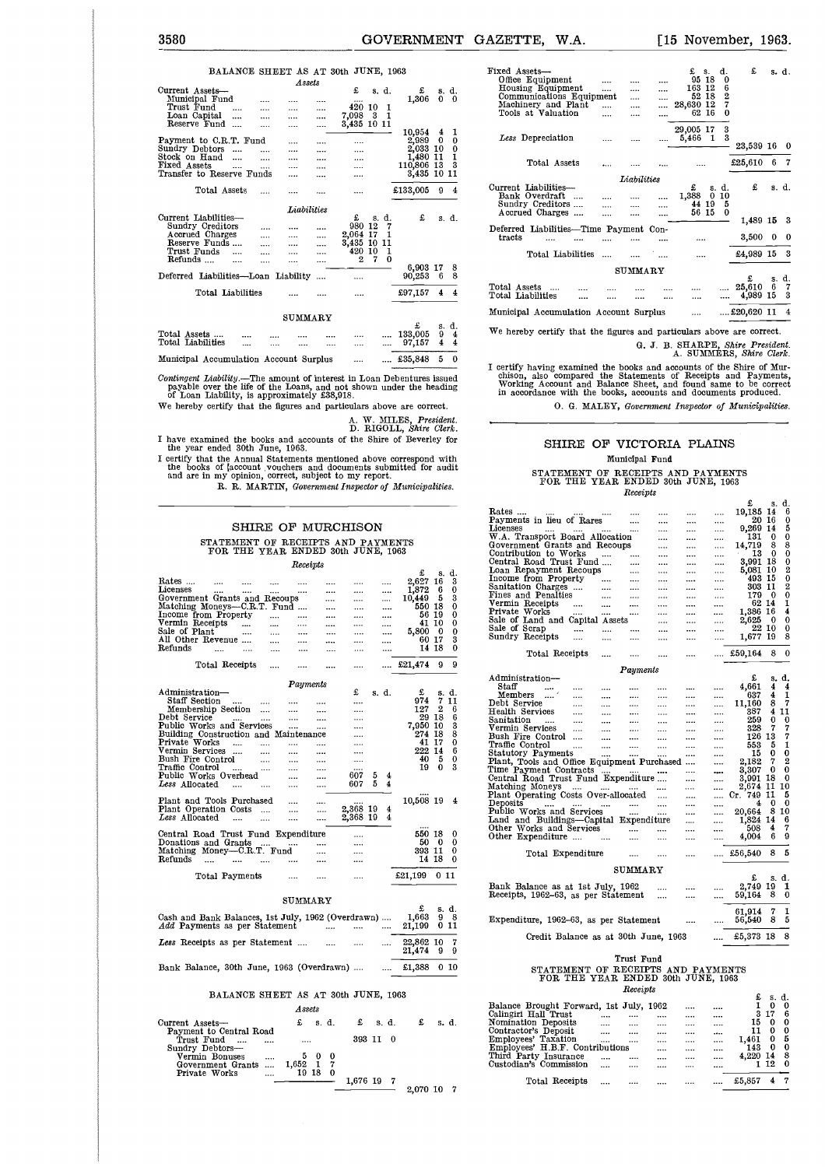|                                        | BALANCE SHEET AS AT 30th JUNE, 1963 |           |                   |          |          |             |          |            |   |                |
|----------------------------------------|-------------------------------------|-----------|-------------------|----------|----------|-------------|----------|------------|---|----------------|
|                                        |                                     |           | Assets            |          |          |             |          |            |   |                |
| Current Assets-                        |                                     |           |                   |          | £        |             | s. d.    | £          |   | s. d.          |
| Municipal Fund                         |                                     |           |                   |          |          |             |          | 1.306      | 0 | - 0            |
| Trust Fund                             |                                     |           |                   |          | 420 10   |             | 1        |            |   |                |
| Loan Capital                           |                                     |           |                   |          | 7,098    | -3          | 1        |            |   |                |
| Reserve Fund                           | $\overline{\phantom{a}}$            |           |                   |          |          | 3,435 10 11 |          |            |   |                |
|                                        |                                     |           |                   |          |          |             |          | 10,954     | 4 | 1              |
| Payment to C.R.T. Fund                 |                                     |           |                   |          |          |             |          | 2,989      | 0 | 0              |
| Sundry Debtors                         |                                     | $\cdots$  | $\cdots$          | $\cdots$ |          |             |          | 2,033 10   |   | 0              |
| Stock on Hand                          | $\cdots$                            | $\ddotsc$ | $\cdots$          |          |          |             |          | 1,480 11   |   | $\mathbf{I}$   |
| Fixed Assets                           | $\cdots$                            |           |                   |          |          |             |          | 110,806 13 |   | 3              |
| Transfer to Reserve Funds              |                                     |           |                   |          |          |             |          | 3,435 10   |   | 11             |
|                                        |                                     |           |                   |          |          |             |          |            |   |                |
|                                        | Total Assets                        |           |                   |          |          |             |          | £133,005   | 9 | 4              |
|                                        |                                     |           |                   |          |          |             |          |            |   |                |
|                                        |                                     |           | <b>Labilities</b> |          |          |             |          |            |   |                |
| Current Liabilities-                   |                                     |           |                   |          | £        |             | s. d.    | £          |   | s. d.          |
| Sundry Creditors                       |                                     |           |                   |          | 980 12   |             | 7        |            |   |                |
| Accrued Charges                        |                                     |           |                   |          | 2,064 17 |             | 1        |            |   |                |
| Reserve Funds                          |                                     |           |                   |          | 3,435 10 |             | 11       |            |   |                |
| Trust Funds                            |                                     | $\cdots$  |                   |          | 420 10   |             | 1        |            |   |                |
| Refunds                                |                                     |           |                   |          | 2        | 7           | $\Omega$ |            |   |                |
|                                        |                                     |           |                   |          |          |             |          | 6,903 17   |   | 8              |
| Deferred Liabilities-Loan Liability    |                                     |           |                   |          |          |             |          | 90,253     | 6 | 8              |
|                                        | Total Liabilities                   |           |                   |          |          |             |          | £97,157    | 4 | 4              |
|                                        |                                     |           | SUMMARY           |          |          |             |          |            |   |                |
|                                        |                                     |           |                   |          |          |             |          | £          |   | s. d.          |
| Total Assets                           |                                     |           |                   |          |          |             |          | 133,005    | 9 | $\overline{4}$ |
| Total Liabilities                      | $\cdots$                            |           |                   |          |          |             |          | 97,157     | 4 | 4              |
|                                        |                                     |           |                   |          |          |             |          |            |   |                |
| Municipal Accumulation Account Surplus |                                     |           |                   |          |          |             |          | £35,848    | 5 | $\mathbf 0$    |

Contingent Liability.—The amount of interest in Loan Debentures issued<br>payable over the life of the Loans, and not shown under the heading<br>of Loan Liability, is approximately £38,918.<br>We hereby certify that the figures an

A. W. MILES, *President.* D. RIGOLL, *Shire Clerk.*

I have examined the books and accounts of the Shire of Beverley for the year ended 30th June, 1963. I certify that the Annual Statements mentioned above correspond with

#### SHIRE OF MURCHISON STATEMENT OF RECEIPTS AND PAYMENTS FOR THE YEAR ENDED 30th JUNE, 1963

| I certify that the Annual Statements mentioned above correspond with<br>the books of account vouchers and documents submitted for audit<br>and are in my opinion, correct, subject to my report. | R. R. MARTIN, Government Inspector of Municipalities.                    |              |                 |          |                    |          |         |                      |          |                  |
|--------------------------------------------------------------------------------------------------------------------------------------------------------------------------------------------------|--------------------------------------------------------------------------|--------------|-----------------|----------|--------------------|----------|---------|----------------------|----------|------------------|
|                                                                                                                                                                                                  |                                                                          |              |                 |          | SHIRE OF MURCHISON |          |         |                      |          |                  |
|                                                                                                                                                                                                  | STATEMENT OF RECEIPTS AND PAYMENTS<br>FOR THE YEAR ENDED 30th JUNE, 1963 |              |                 |          |                    |          |         |                      |          |                  |
|                                                                                                                                                                                                  |                                                                          |              | Receipts        |          |                    |          |         | £                    | s.       | d.               |
| Rates<br>Licenses                                                                                                                                                                                | <br>                                                                     |              |                 |          | $\cdots$           |          |         | 2,627<br>1,872       | 16<br>6  | 3<br>0           |
| Government Grants and Recoups                                                                                                                                                                    |                                                                          |              |                 | <br>     | <br>               |          | <br>    | 10,449               | 5        | 3                |
| Matching Moneys—C.R.T. Fund                                                                                                                                                                      |                                                                          |              |                 |          |                    |          |         | 550<br>56 19         | 18       | 0<br>0           |
| Income from Property<br>Vermin Receipts                                                                                                                                                          |                                                                          | <br>$\cdots$ | .<br>           | <br>     | <br>               |          | <br>    |                      | 41 10    | 0                |
| Sale of Plant                                                                                                                                                                                    |                                                                          |              |                 |          |                    |          |         | 5,800                | 0        | 0                |
| All Other Revenue<br>Refunds                                                                                                                                                                     |                                                                          |              |                 |          |                    |          |         | 60<br>14             | 17<br>18 | 3<br>0           |
|                                                                                                                                                                                                  | <br>                                                                     |              |                 |          |                    |          |         |                      |          |                  |
|                                                                                                                                                                                                  | Total Receipts                                                           |              |                 |          |                    |          |         | £21,474              | 9        | 9                |
|                                                                                                                                                                                                  |                                                                          |              | Payments        |          |                    |          |         |                      |          |                  |
| Administration–<br>Staff Section                                                                                                                                                                 |                                                                          |              |                 |          | £                  |          | s. d.   | £<br>974             | s.<br>7  | d.<br>11         |
| Membership Section                                                                                                                                                                               |                                                                          | <br>         | <br>            | <br>     | <br>               |          |         | 127                  | 2        | 6                |
| Debt Service                                                                                                                                                                                     |                                                                          |              |                 |          |                    |          |         | 29                   | 18       | 6                |
| Public Works and Services                                                                                                                                                                        |                                                                          |              |                 |          |                    |          |         | 7,950                | 10       | 3                |
| Building Construction and Maintenance                                                                                                                                                            |                                                                          |              |                 |          | <br>               |          |         | 274<br>41            | 18<br>17 | 8<br>0           |
| Vermin Services                                                                                                                                                                                  |                                                                          |              |                 |          |                    |          |         | 222                  | 14       | 6                |
| Bush Fire Control                                                                                                                                                                                |                                                                          |              |                 |          |                    |          |         | 40                   | 5        | 0                |
| Traffic Control                                                                                                                                                                                  | $\ddotsc$                                                                |              |                 |          |                    |          |         | 19                   | 0        | 3                |
| Public Works Overhead<br>Less Allocated                                                                                                                                                          |                                                                          |              | <br>            | <br>     | 607<br>607         | 5<br>5   | 4<br>4  |                      |          |                  |
|                                                                                                                                                                                                  |                                                                          |              |                 |          |                    |          |         |                      |          |                  |
| Plant and Tools Purchased                                                                                                                                                                        |                                                                          |              |                 |          |                    |          |         | 10,508 19            |          | 4                |
| Plant Operation Costs<br>Less Allocated                                                                                                                                                          |                                                                          |              | <br>            | <br>     | 2,368<br>2,368     | 19<br>19 | 4<br>4  |                      |          |                  |
|                                                                                                                                                                                                  |                                                                          |              |                 |          |                    |          |         |                      |          |                  |
| Central Road Trust Fund Expenditure<br>Donations and Grants                                                                                                                                      |                                                                          |              |                 |          | <br>               |          |         | 550 18<br>50         | 0        | 0<br>0           |
| Matching Money--C.R.T. Fund                                                                                                                                                                      |                                                                          |              |                 |          |                    |          |         | 393                  | 11       | 0                |
| Refunds<br>$\cdots$                                                                                                                                                                              |                                                                          |              |                 |          |                    |          |         | 14 18                |          | 0                |
|                                                                                                                                                                                                  | Total Payments                                                           |              |                 |          |                    |          |         | £21,199              | 0 11     |                  |
|                                                                                                                                                                                                  |                                                                          |              |                 |          |                    |          |         |                      |          |                  |
|                                                                                                                                                                                                  |                                                                          |              | $_{\rm SUMARY}$ |          |                    |          |         |                      |          |                  |
| Cash and Bank Balances, 1st July, 1962 (Overdrawn)<br><i>Add</i> Payments as per Statement                                                                                                       |                                                                          |              |                 | $\cdots$ |                    |          |         | £<br>1,663<br>21,199 | 9<br>0   | s. d.<br>8<br>11 |
| Less Receipts as per Statement                                                                                                                                                                   |                                                                          |              |                 | $\cdots$ |                    |          |         | 22,862<br>21,474     | 10<br>9  | 7<br>9           |
| Bank Balance, 30th June, 1963 (Overdrawn)                                                                                                                                                        |                                                                          |              |                 |          |                    |          | and the | £1,388               |          | 0 10             |
|                                                                                                                                                                                                  |                                                                          |              |                 |          |                    |          |         |                      |          |                  |
|                                                                                                                                                                                                  | BALANCE SHEET AS AT 30th JUNE, 1963                                      |              |                 |          |                    |          |         |                      |          |                  |
|                                                                                                                                                                                                  |                                                                          |              | Assets          |          |                    |          |         |                      |          |                  |
| Current Assets-                                                                                                                                                                                  |                                                                          |              | £               | s. d.    | £                  |          | s. d.   | £                    |          | s. d.            |
| Payment to Central Road<br>Trust Fund<br>Sundry Debtore                                                                                                                                          | <b>Contract Contract</b>                                                 |              |                 |          |                    | 393 11   | 0       |                      |          |                  |

| итепи назека —          |                 | 8. M. |          | o. u. | a. u.    |  |
|-------------------------|-----------------|-------|----------|-------|----------|--|
| Payment to Central Road |                 |       |          |       |          |  |
| Trust Fund<br>          |                 |       | 393 11 0 |       |          |  |
| Sundry Debtors-         |                 |       |          |       |          |  |
| Vermin Bonuses<br>      |                 |       |          |       |          |  |
| Government Grants       | $1.652 \quad 1$ |       |          |       |          |  |
| Private Works<br>       | 19 18           |       |          |       |          |  |
|                         |                 |       | 1,676 19 |       |          |  |
|                         |                 |       |          |       | 2,070 10 |  |
|                         |                 |       |          |       |          |  |

| 3580                                                                                                                                                               |                                     |                                           | <b>GOVERNMENT</b>                       |                     |   | <b>GAZETTE.</b><br>W.A.                                                                                                                                                 |                     |                  | [15 November, 1963.                                         |                                                     |              |          |
|--------------------------------------------------------------------------------------------------------------------------------------------------------------------|-------------------------------------|-------------------------------------------|-----------------------------------------|---------------------|---|-------------------------------------------------------------------------------------------------------------------------------------------------------------------------|---------------------|------------------|-------------------------------------------------------------|-----------------------------------------------------|--------------|----------|
| BALANCE SHEET AS AT 30th JUNE, 1963<br>Current Assets-<br>Municipal Fund<br><br>Trust Fund<br>$\cdots$<br><br>$\cdots$<br>Loan Capital<br>$\cdots$<br>$\cdots$<br> | Assets<br>$\cdots$<br><br>          | s. d.<br><br>420 10 1<br>7,098 3 1        | £<br>1,306                              | s. d.<br>$0\quad 0$ |   | Fixed Assets-<br>Office Equipment<br>$\cdots$<br>Housing Equipment<br>$\cdots$<br>Communications Equipment<br>Machinery and Plant<br>$\cdots$<br>Tools at Valuation<br> | <br><br><br><br>    | <br><br><br><br> | £s.<br>d.<br>95 18<br>163 12<br>52 18<br>28,630 12<br>62 16 | £<br>$\Omega$<br>6<br>$\mathbf{2}$<br>7<br>$\Omega$ | s. d.        |          |
| Reserve Fund<br><br><br>Payment to C.R.T. Fund<br>$\cdots$<br>Sundry Debtors<br>$\cdots$<br>$\cdots$                                                               | <br>$\cdots$<br>$\cdots$            | 3,435 10 11<br>$\cdots$<br>               | 10,954<br>2,989 0 0<br>2,033 10 0       | 41                  |   | Less Depreciation<br>                                                                                                                                                   |                     |                  | 29,005 17<br>5,466 1                                        | 3<br>3<br>23,539 16 0                               |              |          |
| Stock on Hand<br>$\cdots$<br>$\cdots$<br>$\cdots$<br>Fixed Assets<br><br><br>Transfer to Reserve Funds<br>                                                         | $\cdots$<br>$\cdots$<br>$\cdots$    | <br><br>                                  | 1,480 11<br>110,806 13 3<br>3,435 10 11 | - 1                 |   | Total Assets<br>$\ddotsc$                                                                                                                                               |                     |                  |                                                             | £25.610                                             | 6 7          |          |
| Total Assets<br>$\cdots$<br>$\cdots$                                                                                                                               |                                     | $\cdots$                                  | £133,005 9                              |                     | 4 | Current Liabilities-<br>Bank Overdraft<br>$\cdots$<br>Sundry Creditors<br>                                                                                              | Liabilities<br><br> | <br>             | £<br>s. d.<br>1.388<br>$0\,10$<br>44 19 5                   | £                                                   | s. d.        |          |
| Current Liabilities—<br>Sundry Creditors<br>$\cdots$<br><br>Accrued Charges<br><br>                                                                                | Liabilities<br>$\cdots$<br>$\cdots$ | £<br>s. d.<br>980 12<br>- 7<br>2,064 17 1 | £                                       | s. d.               |   | Accrued Charges<br><br>Deferred Liabilities-Time Payment Con-<br>tracts                                                                                                 |                     |                  | 56 15 0                                                     | 1,489 15 3<br>3,500                                 | $\mathbf{0}$ | $\Omega$ |
| Reserve Funds<br>$\cdots$<br><br>Trust Funds<br><br>$\cdots$<br><br>Refunds<br><br>$\cdots$<br>                                                                    | $\cdots$<br>$\cdots$<br>            | 3,435 10 11<br>420 10 1<br>2 7 0          |                                         |                     |   | <b>Total Liabilities</b><br>$\cdots$                                                                                                                                    | .<br>               | <br>$\cdots$     | $\cdots$<br>$\cdots$                                        | £4,989 15 3                                         |              |          |
| Deferred Liabilities—Loan Liability                                                                                                                                |                                     |                                           | 6,903 17<br>90,253 6 8                  |                     | 8 |                                                                                                                                                                         | $\tt SUMARY$        |                  |                                                             | £                                                   | s. d.        |          |
| Total Liabilities<br>                                                                                                                                              |                                     |                                           | £97,157 4                               |                     | 4 | Total Assets<br>Total Liabilities<br><br>                                                                                                                               | $\cdots$            | <br>$\cdots$     | <br>                                                        | 25,610<br>4,989 15 3<br>                            | 6 7          |          |
|                                                                                                                                                                    | CITIITI JITI J                      |                                           |                                         |                     |   | Municipal Accumulation Account Surplus                                                                                                                                  |                     |                  |                                                             | $$ £20,620 11 4                                     |              |          |

We hereby certify that the figures and particulars above are correct.

G. J. B. SHARPE, *Shire President.* A. SUMMERS, *Shire Clerk.*

I certify having examined the books and accounts of the Shire of Murchison, also compared the Statements of Receipts and Payments, Working Account and Balance Sheet, and found same to be correct in accordance with the book

O. G. MALEY, *Government Inspector of Municipalities.*

#### SHIRE OF VICTORIA PLAINS Municipal Fund

#### STATEMENT OF RECEIPTS AND PAYMENTS FOR THE YEAR ENDED 30th JUNE, 1963 *Receipts*

|                                             |                                    |                          |            |          |          |          | £         | s.    | d.             |
|---------------------------------------------|------------------------------------|--------------------------|------------|----------|----------|----------|-----------|-------|----------------|
| Rates                                       |                                    |                          | $\cdots$   | $\cdots$ |          | $\cdots$ | 19,185 14 |       | 6              |
| Payments in lieu of Rares                   |                                    |                          | $\cdots$   | $\cdots$ | $\cdots$ |          | 20 16     |       | 0              |
| Licenses                                    |                                    |                          |            |          | $\cdots$ |          | 9,269 14  |       | 5              |
| W.A. Transport Board Allocation             |                                    |                          |            | $\cdots$ | $\cdots$ | $\cdots$ | 131       | o     | 0              |
| Government Grants and Recoups               |                                    |                          |            | $\cdots$ | $\cdots$ |          | 14,719    | 8     | 8              |
| Contribution to Works                       |                                    | $\cdots$                 | $\cdots$   | $\cdots$ | $\cdots$ | $\cdots$ | 13        | 0     | 0              |
| Central Road Trust Fund                     |                                    |                          |            | $\cdots$ | $\cdots$ | $\cdots$ | 3,991     | 18    | 0              |
| Loan Repayment Recoups                      |                                    |                          |            |          | $\cdots$ |          | 5,081     | 10    | 2              |
| Income from Property                        |                                    | $\cdots$                 | $\cdots$   | $\cdots$ | $\cdots$ | $\cdots$ | 493       | 15    | 0              |
| Sanitation Charges                          |                                    | $\cdots$                 | $\cdots$   | $\cdots$ |          | $\cdots$ | 303       | 11    | 2              |
| Fines and Penalties                         |                                    |                          |            |          |          | $\cdots$ | 179       | 0     | $\bf{0}$       |
| Vermin Receipts                             | $\cdots$                           |                          |            | $\cdots$ |          |          | 62        | 14    | 1              |
| Private Works                               |                                    |                          |            |          |          |          | 1,386     | 16    | 4              |
| Sale of Land and Capital Assets             |                                    |                          |            |          |          | $\cdots$ | 2.625     | 0     | 0              |
| Sale of Scrap                               | $\cdots$                           |                          |            |          |          |          | 22        | 10    | 0<br>8         |
| Sundry Receipts                             |                                    |                          | $\cdots$   |          | $\cdots$ |          | 1,677 19  |       |                |
| Total Receipts                              |                                    |                          |            |          |          | $\cdots$ | £59.164   | 8     | 0              |
|                                             |                                    |                          |            |          |          |          |           |       |                |
|                                             |                                    |                          | Payments   |          |          |          |           |       |                |
| Administration-                             |                                    |                          |            |          |          |          | £         | s.    | d.             |
| Staff<br>$\cdots$                           | $\cdots$                           |                          | $\cdots$   | $\cdots$ | $\cdots$ | $\cdots$ | 4.661     | 4     | 4              |
| Members                                     | $\cdots$                           |                          | $\cdots$   |          |          |          | 637       | 4     | 1              |
| Debt Service                                |                                    |                          |            |          |          |          | 11,160    | 8     | 7              |
| Health Services                             | $\cdots$                           |                          | $\cdots$   |          | $\cdots$ |          | 387       | 4     | 11             |
| Sanitation<br>$\cdots$                      | $\cdots$                           |                          | $\cdots$   |          |          |          | 259       | 0     | 0              |
| Vermin Services                             |                                    |                          | $\cdots$   |          |          | $\cdots$ | 328       | 7     | 7              |
| Bush Fire Control                           |                                    |                          |            |          |          |          | 126       | 13    | 7              |
| Traffic Control                             |                                    |                          |            |          |          |          | 553       | 5     | 1              |
| Statutory Payments                          |                                    |                          |            |          |          |          | 15        | 0     | 0              |
| Plant, Tools and Office Equipment Purchased |                                    |                          |            |          |          |          | 2,182     | 7     | $\overline{2}$ |
| Time Payment Contracts                      |                                    |                          |            |          |          |          | 3,307     | 0     | 0              |
| Central Road Trust Fund Expenditure         |                                    |                          |            |          |          |          | 3,991     | 18    | 0              |
| Matching Moneys                             | $\cdots$                           |                          |            |          |          |          | 2,674     | 11    | 10             |
| Plant Operating Costs Over-allocated        |                                    |                          |            |          |          |          | Cr. 749   | 11    | 5              |
| Deposits                                    |                                    |                          |            |          |          |          | 4         | 0     | 0              |
| Public Works and Services                   |                                    |                          |            |          |          |          | 20,664    | 8     | 10             |
| Land and Buildings—Capital Expenditure      |                                    |                          |            |          |          |          | 1,824     | 14    | 6              |
| Other Works and Services                    |                                    |                          |            |          |          |          | 508       | 4     | 7              |
| Other Expenditure                           |                                    |                          |            |          |          |          | 4,004     | 6     | 9              |
|                                             |                                    |                          |            |          |          |          |           |       |                |
| Total Expenditure                           |                                    |                          |            |          |          |          | £56,540   | 8     | 5              |
|                                             |                                    |                          |            |          |          |          |           |       |                |
|                                             |                                    |                          | SUMMARY    |          |          |          | £         | s.    | d.             |
| Bank Balance as at 1st July, 1962           |                                    |                          |            |          |          |          | 2,749     | 19    | 1              |
| Receipts, 1962-63, as per Statement         |                                    |                          |            |          |          |          | 59,164    | 8     | 0              |
|                                             |                                    |                          |            | $\cdots$ |          |          |           |       |                |
|                                             |                                    |                          |            |          |          |          | 61,914    | 7     | 1              |
| Expenditure, 1962-63, as per Statement      |                                    |                          |            |          |          |          | 56,540    | 8     | 5              |
|                                             |                                    |                          |            |          |          |          |           |       |                |
| Credit Balance as at 30th June, 1963        |                                    |                          |            |          |          |          | £5,373 18 |       | 8              |
|                                             |                                    |                          |            |          |          |          |           |       |                |
|                                             |                                    |                          |            |          |          |          |           |       |                |
|                                             |                                    |                          | Trust Fund |          |          |          |           |       |                |
| STATEMENT OF RECEIPTS AND PAYMENTS          |                                    |                          |            |          |          |          |           |       |                |
|                                             | FOR THE YEAR ENDED 30th JUNE, 1963 |                          |            |          |          |          |           |       |                |
|                                             |                                    |                          | Receipts   |          |          |          |           |       |                |
|                                             |                                    |                          |            |          |          |          | £         | s. d. |                |
| Balance Brought Forward, 1st July, 1962     |                                    |                          |            |          |          |          | 1         | 0     | 0              |
| Calingiri Hall Trust                        |                                    | <b>Contract Contract</b> | $\cdots$   | $\cdots$ |          |          | 3         | 17    | 6              |
| Nomination Deposits                         |                                    |                          |            |          |          |          | 15.       | - റ   | $\Omega$       |

#### FOR THE YEAR ENDED 30th JUNE, 1963

|                                         |      |      |          | ÷.     | s. | α.       |
|-----------------------------------------|------|------|----------|--------|----|----------|
| Balance Brought Forward, 1st July, 1962 |      |      |          |        | 0  | 0        |
| Calingiri Hall Trust                    | <br> | <br> |          | 3      | 17 | 6        |
| Nomination Deposits                     | <br> | <br> |          | 15     | 0  | $\Omega$ |
| Contractor's Deposit                    | <br> | <br> | $\cdots$ |        | 0  | $\Omega$ |
| Employees' Taxation                     | <br> | <br> |          | 1.461  | 0  | 5        |
| Employees' H.B.F. Contributions         |      | <br> |          | 143    | 0  | 0        |
| Third Party Insurance                   | <br> | <br> |          | 4.220  | 14 | 8        |
| Custodian's Commission                  | <br> | <br> |          |        | 12 | O        |
|                                         |      |      |          |        |    |          |
| Total Receipts                          |      |      |          | £5,857 |    | 7        |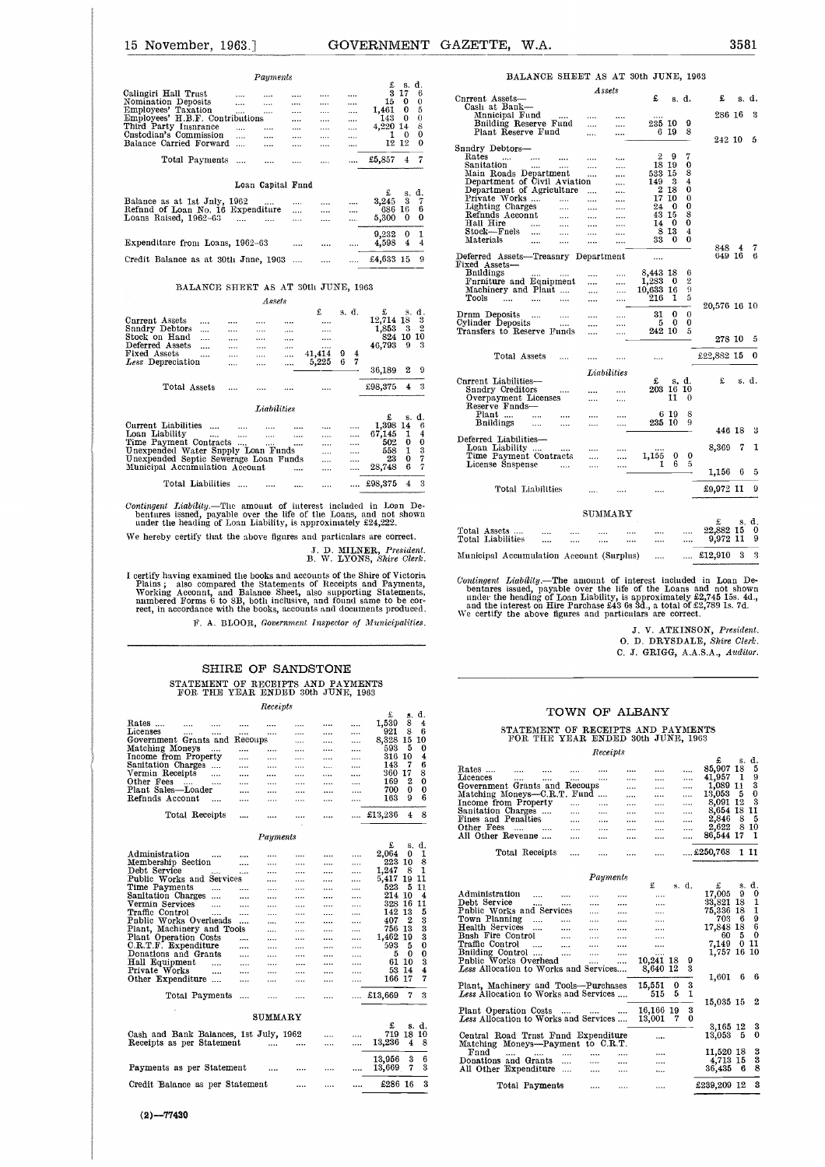| 15 November, 1963.                                                                                                                                                                                                                                                                                                                                                                                                   |                                                                        |                                                                                  |                                                                                                                                             | GOVERNMENT GAZETTE.<br>W.A.                                                                                                                                                                                                                                                                      |                                                                      |
|----------------------------------------------------------------------------------------------------------------------------------------------------------------------------------------------------------------------------------------------------------------------------------------------------------------------------------------------------------------------------------------------------------------------|------------------------------------------------------------------------|----------------------------------------------------------------------------------|---------------------------------------------------------------------------------------------------------------------------------------------|--------------------------------------------------------------------------------------------------------------------------------------------------------------------------------------------------------------------------------------------------------------------------------------------------|----------------------------------------------------------------------|
| Panments                                                                                                                                                                                                                                                                                                                                                                                                             |                                                                        |                                                                                  |                                                                                                                                             | BALANCE SHEET AS AT                                                                                                                                                                                                                                                                              |                                                                      |
| Calingiri Hall Trust<br>$\cdots$<br>$\cdots$<br>$\cdots$<br>Nomination Deposits<br>$\cdots$<br>$\cdots$<br>$\cdots$<br>Employees' Taxation<br>$\cdots$<br>$\cdots$<br>$\sim$<br>Employees' H.B.F. Contributions<br>$\sim$ . $\sim$<br>Third Party Insnrance<br>and the same<br><b>Sales Control</b><br>Cnstodian's Commission<br>$\cdots$<br>$\cdots$<br>$\sim 100$<br>Balance Carried Forward<br>$\sim$<br>$\cdots$ | $\cdots$<br>$\cdots$<br>$\cdots$<br><br>$\sim$<br>$\cdots$<br>$\cdots$ | $\cdots$<br>$\ldots$ .<br>$\cdots$<br>$\cdots$<br>$\cdots$<br>$\sim$<br>$\cdots$ | $£$ s.d.<br>3 17<br>-6<br>15 0 0<br>$1,461$ 0 5<br>14300<br>4,220 14<br>8<br>$1\quad 0$<br>0<br>12 12<br>$\Omega$                           | Assets<br>Current Assets-<br>Casli at Bank-<br>Mnnicipal Fund<br>$\cdots$<br>Bnilding Reserve Fund<br>$\cdots$<br>Plant Reserve Fund<br><br>Snndry Debtors-                                                                                                                                      | $\cdots$<br>                                                         |
| Total Payments<br><b>Contractor</b><br>$\cdots$                                                                                                                                                                                                                                                                                                                                                                      | $\cdots$                                                               | $\cdots$                                                                         | £5,857 4 7                                                                                                                                  | $\mathbf{Rates}$<br>and the state of the state of<br>$\cdots$<br>$\cdots$<br>Sanitation<br><b>Service</b><br>$\cdots$<br>$\cdots$<br>Main Roads Department<br>$\cdots$<br>Department of Civil Aviation                                                                                           | $\cdots$<br><br>                                                     |
| Loan Capital Fnnd<br>Balance as at 1st Jnly, 1962<br>the contract of the contract of<br>Refind of Loan No. 16 Expenditure<br>Loans Raised, 1962-63<br>المستحدث الشباب<br>Expenditure from Loans, 1962-63                                                                                                                                                                                                             | $\cdots$<br>$\cdots$<br>$\cdots$<br>$\cdots$                           | <br>$\cdots$<br>$\cdots$<br>$\cdots$                                             | £<br>s. d.<br>3,245 3 7<br>686 16 6<br>$5,300 \quad 0$<br>$\bf{0}$<br>9,232<br>$\Omega$<br>1<br>4,598 4 4                                   | Department of Agriculture<br>Private Works<br>$\cdots$<br>Lighting Charges<br>$\cdots$<br>$\cdots$<br>Refnnds Acconnt<br>and the<br>$\cdots$<br>Hall Hire<br>$\cdots$<br>and the<br>$\cdots$<br>Stock-Fnels<br>$\cdots$<br>$\cdots$<br>$\cdots$<br>Materials<br>$\cdots$<br>$\cdots$<br>$\cdots$ | $\cdots$<br>$\cdots$<br>$\cdots$<br><br><br><br>$\cdots$<br>$\cdots$ |
| Credit Balance as at 30th Jnne, 1963<br>BALANCE SHEET AS AT 30th JUNE, 1963                                                                                                                                                                                                                                                                                                                                          |                                                                        | $\cdots$                                                                         | 9<br>£4,633 15                                                                                                                              | Deferred Assets-Treasnry Department<br>Fixed Assets-<br><b>B</b> nildings<br>$\cdots$<br>Furniture and Equipment<br>$\cdots$                                                                                                                                                                     | $\cdots$                                                             |
| Assets                                                                                                                                                                                                                                                                                                                                                                                                               |                                                                        |                                                                                  |                                                                                                                                             | Machinery and Plaut<br>$\cdots$<br>Tools<br>$\cdots$<br>$\cdots$<br>$\cdots$<br>                                                                                                                                                                                                                 | <br>$\cdots$                                                         |
| Cnrrent Assets<br>$\sim$ 1000 $\sim$<br>$\cdots$<br>$\cdots$<br>$\cdots$<br>Snndry Debtors<br>$\cdots$<br><b>Seat of Con-</b><br>$\sim$ $\sim$<br>Stock on Hand<br>$\sim 100$<br>$\cdots$<br>$\cdots$<br>Deferred Assets<br>$\cdots$<br>$\cdots$<br>$\cdots$                                                                                                                                                         | £<br>$\cdots$<br>$\cdots$<br>$\cdots$<br>                              | s. d.                                                                            | $\mathbf{E}$<br>s. d.<br>12,714 18 3<br>1,853 3 2<br>824 10 10<br>46,793 9 3                                                                | Drnm Deposits<br>$\cdots$<br>$\cdots$<br>Cylinder Deposits<br>$\cdots$<br>$\cdots$<br>Transfers to Reserve Funds<br>$\cdots$                                                                                                                                                                     | $\cdots$<br>                                                         |
| Fixed Assets<br>$\mathbf{1}$<br>$\sim$ $\sim$<br>$\cdots$<br>$\cdots$<br>Less Depreciation<br>$\cdots$<br>$\sim$ $\sim$<br>$\cdots$                                                                                                                                                                                                                                                                                  | 41,414 9 4<br>5,225 6 7                                                |                                                                                  | $\Omega$<br>36,189<br>2                                                                                                                     | Total Assets<br><br>Liabilities                                                                                                                                                                                                                                                                  |                                                                      |
| Total Assets<br>                                                                                                                                                                                                                                                                                                                                                                                                     |                                                                        |                                                                                  | £98,375<br>$4 \quad 3$                                                                                                                      | Current Liabilities-<br>Snndry Creditors<br>$\cdots$<br>$\cdots$<br>Overpayment Licenses<br>$\cdots$                                                                                                                                                                                             | $\cdots$                                                             |
| <b>Liabilities</b><br>Current Liabilities<br>$\cdots$<br>$\cdots$<br>$\cdots$<br>Loan Liability<br>$\cdots$<br>and the company's<br>$\sim 100$<br>Time Payment Contracts<br><b>Contract Contract</b><br>$\cdots$<br>Unexpended Water Snpply Loan Funds<br>Unexpended Septic Sewerage Loan Funds                                                                                                                      | $\cdots$<br>$\cdots$<br><br>$\cdots$<br>$\sim 100$                     | <br><br>$\cdots$<br><br>                                                         | £<br>s. d.<br>$1.398$ 14 6<br>67,145<br>-1<br>$\overline{4}$<br>502<br>$\mathbf{0}$<br>$\bf{0}$<br>$\mathbf{1}$<br>3<br>558<br>7<br>23<br>0 | Reserve Fnnds-<br>Plant<br>$\cdots$<br><br><b>B</b> nildings<br>$\cdots$<br>$\cdots$<br><br>Deferred Liabilities-<br>Loan Liability<br>Time Payment Contracts<br>$\cdots$<br>Tiganga Spenanga                                                                                                    | <br><br>                                                             |

| Current Liabilities<br><br><br><br>        |       | <br>1,398 14 |   |          |                            |
|--------------------------------------------|-------|--------------|---|----------|----------------------------|
| Loan Liability<br><br><br><br>             | 1.1.1 | <br>67.145   |   |          |                            |
| Time Payment Contracts<br><br>             |       | <br>502      |   | $\Omega$ | Deferred Liabilities-      |
| Unexpended Water Snpply Loan Funds         |       | <br>558      |   |          | Loan Liability<br>$\cdots$ |
| Unexpended Septic Sewerage Loan Funds      |       | <br>23       |   |          | Time Payment Contra        |
| Municipal Accumulation Account<br>$\cdots$ |       | <br>28.748   | в |          | License Snspense           |
|                                            |       |              |   |          |                            |
| Total Liabilities<br><br>                  |       | 298,375      |   |          | Total Liabilities          |
|                                            |       |              |   |          |                            |

F. A. BLOOR,, *Government Inspector of Municipalities.*

#### SHIRE OF SANDSTONE STATEMENT OF RECEIPTS AND PAYMENTS FOR THE YEAR ENDED 30th JUNE, 1963

|                                        | STATEMENT OF RECEIPTS AND PAYMENTS<br>FOR THE YEAR ENDED 30th JUNE, 1963 |   |         |                |          |          |   |         |    |          |
|----------------------------------------|--------------------------------------------------------------------------|---|---------|----------------|----------|----------|---|---------|----|----------|
|                                        |                                                                          |   |         | Receipts       |          |          |   |         |    |          |
|                                        |                                                                          |   |         |                |          |          |   | £       | s. | d.       |
| Rates                                  |                                                                          |   |         |                | .        |          |   | 1.539   | 8  | 4        |
| Licenses                               | .                                                                        |   |         |                | .        |          |   | 921     | 8  | 6        |
| Government Grants and                  |                                                                          |   | Recoups |                | .        | .        |   | 8.328   | 15 | 10       |
| Matching Moneys                        |                                                                          |   |         |                |          |          |   | 593     | 5  | 0        |
| Income from Property                   |                                                                          |   |         |                |          |          |   | 316     | 10 | 4        |
| Sanitation Charges                     |                                                                          |   |         |                |          | $\cdots$ |   | 143     | 7  | 6        |
| Vermin Receipts                        |                                                                          |   |         |                |          | .        |   | 360     | 17 | 8        |
| Other Fees                             |                                                                          |   |         |                |          |          |   | 169     | 2  | $\theta$ |
| Plant Sales—Loader                     |                                                                          |   |         |                |          |          |   | 700     | 0  | 0        |
| Refnnds Acconnt                        |                                                                          | . |         |                |          |          |   | 163     | 9  | 6        |
|                                        |                                                                          |   |         |                |          |          |   |         |    |          |
|                                        | Total Receipts                                                           |   |         |                |          |          |   | £13,236 | 4  | 8        |
|                                        |                                                                          |   |         |                |          |          |   |         |    |          |
|                                        |                                                                          |   |         |                |          |          |   |         |    |          |
|                                        |                                                                          |   |         | Payments       |          |          |   |         |    |          |
|                                        |                                                                          |   |         |                |          |          |   | £       | s. | d.       |
| Administration                         |                                                                          |   |         |                |          |          |   | 2.064   | 0  | 1        |
| Membership Section                     |                                                                          |   | .       | $\cdots$       |          |          |   | 223     | 10 | 8        |
| Debt Service                           |                                                                          |   | .       |                |          |          |   | 1,247   | 8  | 1        |
| Public Works and Services              |                                                                          |   |         |                |          |          |   | 5.417   | 19 | 11       |
| Time Payments                          |                                                                          |   |         |                |          |          |   | 523     | 5  | 11       |
| Sanitation Charges                     |                                                                          |   | .       |                |          |          |   | 214     | 10 | 4        |
| Vermin Services                        |                                                                          |   | .       |                |          | $\cdots$ | . | 328     | 16 | 11       |
| Traffic Control                        |                                                                          |   |         |                |          |          | . | 142     | 13 | 5        |
| Pnblic Works Overlieads                |                                                                          |   |         | $\cdots$       |          | $\cdots$ |   | 407     | 2  | 3        |
| Plant, Machinery and Tools             |                                                                          |   |         | $\cdots$       |          | $\cdots$ | . | 756     | 13 | 3        |
| Plant Operation Costs                  |                                                                          |   | .       | $\cdots$       | $\cdots$ | $\cdots$ | . | 1,462   | 19 | 3        |
| $C.R.T.F.$ Expenditure                 |                                                                          |   | .       |                | $\cdots$ |          |   | 593     | 5  | $\bf{0}$ |
| Donations and Grants                   |                                                                          |   | .       | $\cdots$       |          |          |   | 5       | 0  | 0        |
| Hall Equipment                         |                                                                          |   |         |                | $\cdots$ |          |   | 61      | 10 | 3        |
| Private Works                          |                                                                          |   | .       |                |          |          |   | 53      | 14 | 4        |
| Other Expenditure                      |                                                                          |   |         |                |          |          |   | 166     | 17 | 7        |
|                                        |                                                                          |   |         |                |          |          |   |         |    |          |
|                                        | Total Payments                                                           |   | .       |                |          |          |   | £13,669 | 7  | 3        |
|                                        |                                                                          |   |         | ${\tt SUMARY}$ |          |          |   |         |    |          |
|                                        |                                                                          |   |         |                |          |          |   | £       | s. | d.       |
| Cash and Bank Balances, 1st July, 1962 |                                                                          |   |         |                |          |          | . | 719     | 18 | 10       |
| Receipts as per Statement              |                                                                          |   |         |                |          | $\cdots$ |   | 13,236  | 4  | 8        |
|                                        |                                                                          |   |         |                |          |          |   |         |    |          |
|                                        |                                                                          |   |         |                |          |          |   | 13,956  | 3  | 6        |
| Payments as per Statement              |                                                                          |   |         |                |          |          |   | 13,669  | 7  | 3        |
|                                        |                                                                          |   |         |                |          |          |   |         |    |          |
| Credit Balance as per Statement        |                                                                          |   |         |                |          |          |   | £286 16 |    | 3        |
|                                        |                                                                          |   |         |                |          |          |   |         |    |          |
|                                        |                                                                          |   |         |                |          |          |   |         |    |          |

| $(2) - 77430$ |  |
|---------------|--|

|                                                                                                                                                                                                                                                                               |                                              |                                             | GOVERNMENT GAZETTE,<br>W.A.                                                                                                                                                                                                  | 3581                                                                      |             |
|-------------------------------------------------------------------------------------------------------------------------------------------------------------------------------------------------------------------------------------------------------------------------------|----------------------------------------------|---------------------------------------------|------------------------------------------------------------------------------------------------------------------------------------------------------------------------------------------------------------------------------|---------------------------------------------------------------------------|-------------|
| Payments                                                                                                                                                                                                                                                                      |                                              | £s.d.                                       | BALANCE SHEET AS AT 30th JUNE, 1963                                                                                                                                                                                          |                                                                           |             |
| Calingiri Hall Trust<br>                                                                                                                                                                                                                                                      | $\cdots$<br>$\cdots$                         | 3 17 6                                      | A ssets<br>Cnrrent Assets-                                                                                                                                                                                                   | £<br>£<br>s. d.<br>s. d.                                                  |             |
| Nomination Deposits<br>Employees' Taxation<br>Employees' H.B.F. Contributions<br>$\cdots$<br>$\cdots$                                                                                                                                                                         | $\cdots$<br>$\cdots$<br>$\cdots$<br>$\cdots$ | 15 0<br>$\bf{0}$<br>$1,461$ 0<br>-5         | Cash at Bank-                                                                                                                                                                                                                |                                                                           |             |
| $\cdots$<br>$\ldots$<br>$\cdots$<br>$\cdots$                                                                                                                                                                                                                                  | $\cdots$<br>$\cdots$<br>$\cdots$             | 14300<br>$\theta$<br>4,220 14<br>8          | Mnnicipal Fund<br><br>Bnilding Reserve Fund<br>$\cdots$<br>$\cdots$                                                                                                                                                          | 286 16 3<br>235 10<br>9                                                   |             |
| Third Party Insnrance<br>Cnstodian's Commission<br>$\cdots$<br>$\cdots$<br>$\cdots$                                                                                                                                                                                           | $\cdots$<br>$\cdots$<br>$\cdots$             | $\mathbf 0$<br>$1\quad 0$                   | Plant Reserve Fund<br>$\cdots$<br>                                                                                                                                                                                           | 6 19 8<br>242 10 5                                                        |             |
| Balance Carried Forward<br>$\cdots$<br>$\cdots$                                                                                                                                                                                                                               | $\cdots$<br>$\cdots$                         | 12 12<br>$\mathbf 0$                        | Snndry Debtors-                                                                                                                                                                                                              |                                                                           |             |
| Total Payments<br>$\cdots$<br>$\cdots$                                                                                                                                                                                                                                        | $\cdots$<br>$\cdots$                         | £5,857 $4$ 7                                | Rates<br>$\cdots$<br>$\cdots$<br>$\cdots$<br>Sanitation<br>$\cdots$<br>$\cdots$                                                                                                                                              | 29<br>7<br>18 19<br>0                                                     |             |
|                                                                                                                                                                                                                                                                               |                                              |                                             | Main Roads Department<br>$\cdots$<br>$\cdots$                                                                                                                                                                                | 533 15<br>8<br>149 3<br>4                                                 |             |
| Loan Capital Fnnd                                                                                                                                                                                                                                                             |                                              | £<br>s. d.                                  | Department of Civil Aviation<br>$\cdots$<br>Department of Agriculture<br>$\cdots$                                                                                                                                            | 2 18<br>0                                                                 |             |
| Balance as at 1st Jnly, 1962<br>$\cdots$                                                                                                                                                                                                                                      | $\cdots$<br>                                 | 3,245 3 7                                   | Private Works<br>$\sim 100$<br>$\cdots$<br>Lighting Charges                                                                                                                                                                  | 17 10<br>0<br>24 0<br>0                                                   |             |
| Refnnd of Loan No. 16 Expenditure<br>$\sim$<br>Loans Raised, 1962-63<br>and the state of<br>$\cdots$                                                                                                                                                                          | $\cdots$<br>$\cdots$<br>$\cdots$<br>$\cdots$ | 686 16<br>-6<br>5,300 0<br>$\bf{0}$         | $\cdots$<br>$\cdots$<br><br>Refnnds Acconnt<br>$\cdots$<br>$\cdots$<br>$\cdots$                                                                                                                                              | 43 15<br>8                                                                |             |
|                                                                                                                                                                                                                                                                               |                                              |                                             | Hall Hire<br>$\cdots$<br>$\cdots$<br>$\cdots$<br><br>Stock—Fnels<br>$\cdots$<br>$\cdots$<br>$\cdots$                                                                                                                         | 14 0<br>$\bf{0}$<br>8 1 3<br>4                                            |             |
| Expenditnre from Loans, 1962–63<br>$\cdots$                                                                                                                                                                                                                                   | $\cdots$<br>$\cdots$                         | $9,232$ 0 1<br>4,598<br>$\overline{4}$<br>4 | Materials<br>$\cdots$<br>$\cdots$<br>$\cdots$<br>$\cdots$                                                                                                                                                                    | 33 0<br>$\bf{0}$                                                          |             |
| Credit Balance as at 30th Jnne, 1963                                                                                                                                                                                                                                          |                                              | £4,633 15 9                                 | Deferred Assets-Treasnry Department                                                                                                                                                                                          | 848 4<br>$\begin{array}{cccc} 848&4&7\\ 649&16&6 \end{array}$<br>$\cdots$ |             |
|                                                                                                                                                                                                                                                                               |                                              |                                             | Fixed Assets-<br><b>B</b> nildings                                                                                                                                                                                           | 8,443 18<br>6                                                             |             |
| BALANCE SHEET AS AT 30th JUNE, 1963                                                                                                                                                                                                                                           |                                              |                                             | <br>Furniture and Equipment<br>$\cdots$<br>                                                                                                                                                                                  | $1,283$ 0<br>$\overline{2}$                                               |             |
|                                                                                                                                                                                                                                                                               |                                              |                                             | Machinery and Plaut<br>$\cdots$<br><br>Tools<br>$\cdots$<br>$\cdots$<br>                                                                                                                                                     | 10,633 16<br>-9<br>216 1 5                                                |             |
| Assets<br>£                                                                                                                                                                                                                                                                   | s. d.                                        | £<br>s. d.                                  |                                                                                                                                                                                                                              | 20,576 16 10<br>$\bf{0}$<br>$\bf{0}$                                      |             |
| Cnrrent Assets<br><br>$\cdots$                                                                                                                                                                                                                                                | $\cdots$                                     | 12,714 18 3                                 | Drnm Deposits<br><br>Cylinder Deposits<br>$\cdots$<br>                                                                                                                                                                       | 31<br>50<br>0                                                             |             |
| Snndry Debtors<br>$\cdots$<br>$\cdots$<br>$\cdots$<br>Stock on Hand<br>$\cdots$<br>$\cdots$<br>$\ldots$                                                                                                                                                                       | $\cdots$<br>$\cdots$                         | $1,853$ 3 2<br>824 10 10                    | Transfers to Reserve Funds<br>$\cdots$<br>                                                                                                                                                                                   | 242 10<br>5<br>278 10 5                                                   |             |
| Deferred Assets<br>$\cdots$<br>$\cdots$<br>$\cdots$<br>Fixed Assets                                                                                                                                                                                                           | 41,414 9<br>$\frac{4}{ }$                    | 46,793 9 3                                  |                                                                                                                                                                                                                              |                                                                           |             |
| $\ldots$<br>$\ldots$<br>$\ldots$<br>$\sim$ $\sim$<br>Less Depreciation<br>$\cdots$<br>$\cdots$<br>$\cdots$                                                                                                                                                                    | $5,225$ 6 7                                  |                                             | Total Assets<br>$\cdots$<br><br>                                                                                                                                                                                             | £22,882 15 0<br>                                                          |             |
|                                                                                                                                                                                                                                                                               |                                              | 2 9<br>36,189                               | Liabilities                                                                                                                                                                                                                  | £<br>£<br>s. d.                                                           |             |
| Total Assets<br>$\cdots$<br><br>                                                                                                                                                                                                                                              |                                              | £98,375 4 3                                 | Corrent Liabilities-<br>Snndry Creditors<br>                                                                                                                                                                                 | s. d.<br>203 16 10                                                        |             |
|                                                                                                                                                                                                                                                                               |                                              |                                             | Overpayment Licenses<br><br>1.1.1<br>Reserve Fnnds-                                                                                                                                                                          | 110                                                                       |             |
| Labilaties                                                                                                                                                                                                                                                                    |                                              | £<br>s. d.                                  | Plant<br><br>                                                                                                                                                                                                                | 6 19<br>-8                                                                |             |
| Current Liabilities<br>$\cdots$<br>$\cdots$<br>$\cdots$<br>Loan Liability                                                                                                                                                                                                     | <br>$\cdots$                                 | 1,398 14 6<br>67,145 1<br>-4                | Bnildings<br>$\cdots$<br>$\cdots$<br><br>                                                                                                                                                                                    | 235 10 9<br>446 18 3                                                      |             |
| $\cdots$<br>$\ldots$<br>$\cdots$<br>$\cdots$<br>Time Payment Contracts                                                                                                                                                                                                        | $\cdots$<br>$\cdots$<br><br>$\cdots$         | 502<br>$\mathbf{0}$<br>$\bf{0}$             | Deferred Liabilities-<br>Loan Liability                                                                                                                                                                                      | 8,369 7 1                                                                 |             |
| Unexpended Water Snpply Loan Funds<br>Unexpended Septic Sewerage Loan Funds                                                                                                                                                                                                   | $\cdots$<br><br><br>$\cdots$                 | 558<br>1<br>3<br>23<br>$\bf{0}$<br>7        | <br>Time Payment Contracts<br><br>                                                                                                                                                                                           | $\mathbf 0$<br>$\mathbf{0}$ .<br>1,155                                    |             |
| Municipal Accnmulation Account<br>$\sim 100$ and $\sim 100$                                                                                                                                                                                                                   | <br>$\cdots$                                 | 28,748<br>6<br>7                            | License Snspense<br>$\sim$ 100 $\mu$ and 100 $\mu$<br><br>                                                                                                                                                                   | -6<br>1<br>5<br>1,156 6 5                                                 |             |
| Total Liabilities                                                                                                                                                                                                                                                             |                                              | £98,375<br>-3<br>4                          |                                                                                                                                                                                                                              |                                                                           |             |
|                                                                                                                                                                                                                                                                               |                                              |                                             | Total Liabilities                                                                                                                                                                                                            | £9,972 11 9                                                               |             |
| Contingent Liability.—The amount of interest included in Loan De-<br>bentures issned, payable over the life of the Loans, and not shown                                                                                                                                       |                                              |                                             | SUMMARY                                                                                                                                                                                                                      |                                                                           |             |
| under the heading of Loan Liability, is approximately £24,222.                                                                                                                                                                                                                |                                              |                                             |                                                                                                                                                                                                                              | £<br>s. d.                                                                |             |
| We hereby certify that the above figures and particulars are correct.                                                                                                                                                                                                         |                                              |                                             | Total Assets<br>Total Liabilities<br>                                                                                                                                                                                        | 22,882 15<br>9,972 11 9<br>                                               | $\mathbf 0$ |
|                                                                                                                                                                                                                                                                               |                                              | J. D. MILNER, President.                    |                                                                                                                                                                                                                              |                                                                           |             |
|                                                                                                                                                                                                                                                                               |                                              | B. W. LYONS, Shire Clerk.                   | Municipal Accumulation Account (Surplus)                                                                                                                                                                                     | £12,910<br>3 <sub>3</sub><br>                                             |             |
| I certify having examined the books and accounts of the Shire of Victoria<br>Plains; also compared the Statements of Receipts and Payments, Working Acconnt, and Balance Sheet, also supporting Statements, numbered Forms 6 to 8B, both inclusive, and found same to be cor- |                                              |                                             | Contingent Liability.—The amount of interest included in Loan Debentness issued, payable over the life of the Loans and not shown under the heading of Loan Liability, is approximately £2,745 15s. 4d., and the interest on |                                                                           |             |

Contributed in Loan De-<br>ife of the Loans and not shown<br>is approximately  $\frac{2.745}{15}$ . Is,  $\frac{40}{41}$ ,<br>3.6s  $\frac{30}{4}$ , a total of  $\frac{42}{4}$ ,  $\frac{789}{15}$ . 7d.<br>ticulars are correct.<br>J. V. ATKINSON, *President*.<br>O. D. D

J. V. ATKINSON, *President.* 0. D. DRYSDALE, *Shire Clerk.*

#### TOWN OF ALBANY

#### STATEMENT OF RECEIPTS AND PAYMENTS FOR. THE YEAR ENDED 30th JUNE, 1963 *Receipts*

|                                                                                  |                                     |                      |                                              |                           |          | C. J. GRIGG, A.A.S.A., Auditor.                                                                                                   |                            |            |  |
|----------------------------------------------------------------------------------|-------------------------------------|----------------------|----------------------------------------------|---------------------------|----------|-----------------------------------------------------------------------------------------------------------------------------------|----------------------------|------------|--|
| SHIRE OF SANDSTONE                                                               |                                     |                      |                                              |                           |          |                                                                                                                                   |                            |            |  |
| STATEMENT OF RECEIPTS AND PAYMENTS<br>FOR THE YEAR ENDED 30th JUNE, 1963         |                                     |                      |                                              |                           |          |                                                                                                                                   |                            |            |  |
|                                                                                  | Receipts                            |                      |                                              | £                         | s. d.    | TOWN OF ALBANY                                                                                                                    |                            |            |  |
| Rates<br>$\cdots$                                                                |                                     |                      | <br>                                         | 1.539                     | 8 4      |                                                                                                                                   |                            |            |  |
| Licenses<br>$\cdots$<br>$\cdots$<br>$\cdots$<br>Fovernment Grants and Recoups    | $\cdots$                            | $\cdots$<br>$\cdots$ | $\cdots$<br>$\cdots$<br>$\cdots$<br>$\cdots$ | 921 8 6<br>8,328 15 10    |          | STATEMENT OF RECEIPTS AND PAYMENTS<br>FOR THE YEAR ENDED 30th JUNE, 1963                                                          |                            |            |  |
| Matching Moneys<br>$\cdots$<br>$\cdots$<br>(ncome from Property)                 | $\cdots$                            | $\cdots$             | <br>$\cdots$                                 | 593 5 0<br>316 10 4       |          | Receipts                                                                                                                          |                            |            |  |
| $\cdots$<br>Sanitation Charges<br>$\cdots$                                       | $\cdots$<br>$\cdots$                | $\cdots$<br>$\cdots$ | <br>$\cdots$<br>$\cdots$<br>$\cdots$         | $\overline{7}$<br>143     | -6       |                                                                                                                                   | £<br>85,907 18 5           | s. d.      |  |
| Vermin Receipts<br>$\cdots$<br>)ther Fees                                        | $\cdots$                            | $\cdots$             | $\cdots$<br>$\cdots$                         | 360 17 8<br>169 2 0       |          | Rates<br>$\cdots$<br>$\cdots$<br>$\cdots$<br><br>$\cdots$<br>$\cdots$<br><br>Licences<br><br><br>$\cdots$                         | 41,957 1 9                 |            |  |
| <b>Sales Contracts</b><br>$\cdots$<br>$\cdots$<br>Plant Sales—Loader<br>$\cdots$ | $\cdots$<br>$\cdots$                | $\cdots$<br>$\cdots$ | $\cdots$<br><br><br>                         | 700 0 0                   |          | Government Grants and Recoups<br>$\cdots$<br>$\cdots$<br><br>Matching Moneys-C.R.T. Fund                                          | $1,089$ 11 3<br>13,053 5 0 |            |  |
| Refnnds Acconnt<br><b>College</b><br>$\cdots$                                    | $\cdots$                            | $\cdots$             | <br>$\cdots$                                 | 163 9 6                   |          | $\cdots$<br>$\cdots$<br>$\cdots$<br>Income from Property<br><b>Section</b><br>$\cdots$<br>$\cdots$<br>$\cdots$<br>                | 8,091 12 3                 |            |  |
| Total Receipts<br>$\cdots$                                                       | $\cdots$                            | $\cdots$             | $\cdots$                                     | $£13,236$ 4 8             |          | Sanitation Charges<br><b>Service</b><br>$\cdots$<br>$\cdots$<br>$\cdots$<br>$\cdots$<br>Fines and Penalties                       | 8.654 18 11                | 85         |  |
|                                                                                  |                                     |                      |                                              |                           |          | and the<br>$\cdots$<br>$\cdots$<br>$\cdots$<br>$\cdots$<br>Other Fees<br>$\cdots$<br>$\cdots$<br>$\cdots$<br>$\cdots$<br>$\cdots$ | 2,846<br>2,622 8 10        |            |  |
|                                                                                  | Payments                            |                      |                                              |                           |          | All Other Revenne<br>$\cdots$<br>$\cdots$<br><br><br>                                                                             | 86,544 17 1                |            |  |
| Administration<br>$\cdots$<br>$\cdots$                                           | $\cdots$                            | $\cdots$             | $\cdots$<br>$\cdots$                         | £<br>$2.064$ 0 1          | s. d.    | $250,768$ 1 11<br>Total Receipts<br>$\cdots$<br><br>$\cdots$<br>$\cdots$                                                          |                            |            |  |
| Membership Section<br>$\cdots$<br>Debt Service                                   | $\cdots$                            | $\cdots$             | $\cdots$<br>$\cdots$<br>$\cdots$             | 223 10 8<br>$1,247$ 8 1   |          |                                                                                                                                   |                            |            |  |
| $\cdots$<br>Public Works and Services                                            | $\cdots$<br>$\cdots$                | $\cdots$<br>$\cdots$ | $\cdots$<br>$\cdots$<br>$\cdots$             | 5,417 19 11               |          | Payments                                                                                                                          |                            |            |  |
| l'ime Payments<br>$\cdots$<br>$\cdots$                                           | $\cdots$                            | $\cdots$             | $\cdots$<br>                                 | 523 5 11                  |          | £<br>s. d.                                                                                                                        | £<br>17,005 9 0            | s. d.      |  |
| Sanitation Charges<br>$\cdots$<br>Vermin Services<br>$\cdots$                    | $\cdots$                            | $\dots$              | $\cdots$<br>$\cdots$                         | 214 10 4<br>328 16 11     |          | Administration<br>$\sim$<br>$\cdots$<br><br>$\cdots$<br>$\cdots$<br>Debt Service<br>$\cdots$<br>$\cdots$<br>$\cdots$<br><br>      | 33,821 18 1                |            |  |
| $\cdots$<br>Praffic Control<br>$\cdots$<br>$\cdots$                              | $\cdots$<br>$\cdots$                | $\cdots$<br>$\cdots$ | $\cdots$<br>$\cdots$<br>$\cdots$<br>         | 142 13 5                  |          | Public Works and Services<br>$\cdots$<br><br>$\cdots$                                                                             | 75,336 18 1                |            |  |
| Pnblic Works Overlieads                                                          | $\cdots$                            | $\cdots$             | $\cdots$<br>$\cdots$                         | 407 2                     | -3       | Town Planning<br>$\cdots$<br>$\cdots$<br><br>                                                                                     | 703 6 9                    |            |  |
| Plant, Machinery and Tools                                                       | $\cdots$                            | $\cdots$             | $\cdots$<br>                                 | 756 13                    | 3        | Health Services<br>$\cdots$<br>$\cdots$<br>$\cdots$<br>$\cdots$                                                                   | 17,848 18 6                |            |  |
| Plant Operation Costs<br>$\cdots$                                                | $\cdots$                            | $\cdots$             | $\cdots$<br>$\cdots$                         | 1,462 19                  | 3        | Bnsh Fire Control<br>$\cdots$<br>$\cdots$<br>$\cdots$<br>                                                                         | 60                         | $5\quad 0$ |  |
| $\mathbb{C}.\mathbb{R}.\mathbb{T}.\mathbb{F}$ Expenditure<br>$\cdots$            | $\cdots$                            | $\cdots$             | $\cdots$<br>$\cdots$                         | 593 5 0                   |          | Traffic Control<br>$\sim$<br>$\cdots$<br>$\cdots$<br><br>Bnilding Control                                                         | 7,149 0 11<br>1,757 16 10  |            |  |
| Donations and Grants<br>$\cdots$                                                 | $\cdots$                            | $\cdots$             | $\cdots$<br>$\cdots$                         | 50<br>61 10 3             | $\Omega$ | $\sim$ $\sim$ $\sim$<br><br><br><br>-9<br>Public Works Overhead<br>10,241 18<br><br>                                              |                            |            |  |
| Hall Equipment<br>$\cdots$<br>$\cdots$<br>Private Works<br>$\cdots$              | $\cdots$                            | $\cdots$             | $\cdots$<br>                                 | 53 14 4                   |          | 8,640 12 3<br>Less Allocation to Works and Services                                                                               |                            |            |  |
| $\cdots$<br>Other Expenditure<br>$\cdots$                                        | $\cdots$<br>$\cdots$                | $\cdots$<br>$\cdots$ | $\cdots$<br><br>$\cdots$<br>                 | 166 17 7                  |          |                                                                                                                                   | $1,601$ 6 6                |            |  |
| Total Payments                                                                   | $\cdots$                            | $\cdots$             |                                              | $$ £13,669 7 3            |          | 15,551 0 3<br>Plant, Machinery and Tools-Purchases<br>Less Allocation to Works and Services<br>515 5 1                            |                            |            |  |
|                                                                                  |                                     |                      |                                              |                           |          | 16,166 19 3<br>Plant Operation Costs                                                                                              | 15,035 15 2                |            |  |
|                                                                                  | SUMMARY                             |                      |                                              | £                         | s. d.    | $\cdots$<br>Less Allocation to Works and Services<br>13,001 7 0                                                                   | 3,165 12 3                 |            |  |
| Cash and Bank Balances, 1st July, 1962<br>Receipts as per Statement              | <b><i>Committee State State</i></b> | $\ldots$             | $\cdots$<br>$\cdots$<br>$\cdots$<br>$\cdots$ | 719 18 10<br>$13,236$ 4 8 |          | Central Road Trnst Fnnd Expenditure<br><br>Matching Moneys-Payment to C.R.T.                                                      | 13,053 5 0                 |            |  |
|                                                                                  |                                     |                      |                                              | 13,956                    | 36       | $\mathbf{Find}$<br>$\cdots$<br><br><b>Contract Contract Contract Contract</b><br><b>Sales Control</b><br>                         | 11,520 18 3                |            |  |
| Payments as per Statement                                                        | $\cdots$                            | $\cdots$             | $\cdots$<br>$\cdots$                         | 13,669 7 3                |          | Donations and Grants<br>$\cdots$<br><br><br>All Other Expenditure<br>$\ldots$ .<br>$\cdots$<br>$\cdots$                           | 4,713 15 3<br>36,435 6 8   |            |  |
| Credit Balance as per Statement                                                  |                                     | $\cdots$             | $\cdots$<br>$\cdots$                         | £286 16 3                 |          | Total Payments<br>$\cdots$<br><br>                                                                                                | £239,209 12 3              |            |  |
| $(2) - 77430$                                                                    |                                     |                      |                                              |                           |          |                                                                                                                                   |                            |            |  |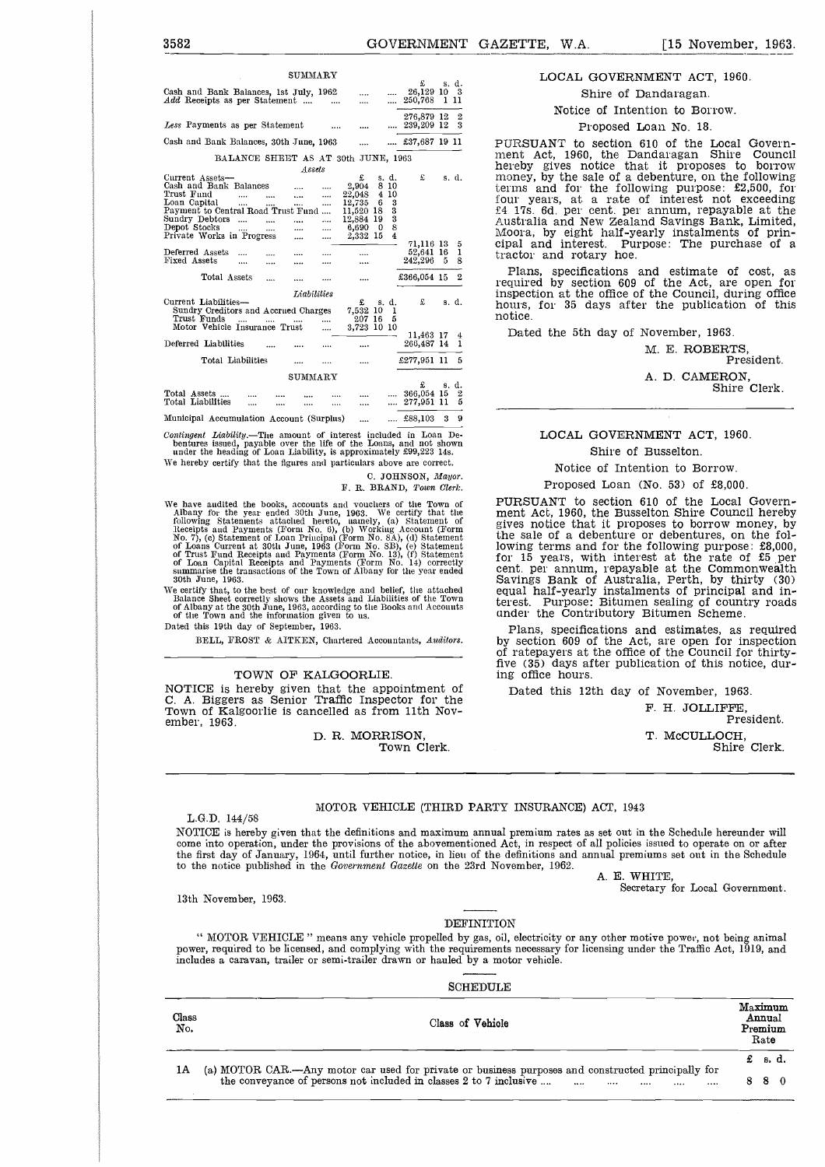|  | LOCAL GOVERNMENT ACT, 1960. |  |  |
|--|-----------------------------|--|--|
|--|-----------------------------|--|--|

#### Proposed Loan No. 18.

#### LOCAL GOVERNMENT ACT, 1960.

#### Shire of Busselton.

Notice of Intention to Borrow.

Proposed Loan (No. 53) of £8,000.

PURSUANT to section 610 of the Local Govern-ment Act, 1960, the Busselton Shire Council hereby gives notice that it proposes to borrow money, by the sale of a debenture or debentures, on the following terms and for the following purpose: £8,000,<br>for 15 years, with interest at the rate of £5 per<br>cent. per annum, repayable at the Commonwealth<br>Savings Bank of Australia, Perth, by thirty (30)<br>equal half-yearly instal terest. Purpose: Bitumen sealing of country roads under the Contributory Bitumen Scheme.

Plans, specifications and estimates, as required by section 609 of the Act, are open for inspection of ratepayers at the office of the Council for thirtyfive (35) days after publication of this notice, during office hours.

Dated this 12th day of November, 1963.

F. H. JOLLIFFE, President. T. McCULLOCH, Shire Clerk.

#### MOTOR VEHICLE (THIRD PARTY INSURANCE) ACT, 1943

L.G.D. 144/58 NOTICE is hereby given that the definitions and maximum annual premium rates as set out in the Schedule hereunder will come into operation, under the provisions of the abovementioned Act, in respect of all policies issued to operate on or after the first day of January, 1964, until further notice, in lieu of the definitions and annual premiums set out in the Schedule to the notice published in the *Government Gazette* on the 23rd November, 1962.

A. E. WHITE,

Secretary for Local Government.

" MOTOR VEHICLE " means any vehicle propelled by gas, oil, electricity or any other motive power, not being animal power, required to be licensed, and complying with the requirements necessary for licensing under the Traffic Act, 1919, and includes a caravan, trailer or semi-trailer drawn or hauled by a motor vehicle.

SCHEDULE

DEFINITION

| Class<br>No. | Class of Vehicle                                                                                                                                                                                    | Annual<br>Premium<br>Rate | Maximum |  |
|--------------|-----------------------------------------------------------------------------------------------------------------------------------------------------------------------------------------------------|---------------------------|---------|--|
|              |                                                                                                                                                                                                     | £ s.d.                    |         |  |
| 1Α           | (a) MOTOR CAR—Any motor car used for private or business purposes and constructed principally for<br>the conveyance of persons not included in classes 2 to 7 inclusive $\dots$ $\dots$ $\dots$<br> | 880                       |         |  |

| 3582                                                                                                                                                                                                                                                                                                                                                                                                                                                                                                                                                                                                                                                                                                                                                                                                            | GOVERNMENT GAZETTE, W.A.<br>$[15$ November, 1963.                                                                                                                                                                                                                                                                                                                                                                                                                                                                                                                                          |
|-----------------------------------------------------------------------------------------------------------------------------------------------------------------------------------------------------------------------------------------------------------------------------------------------------------------------------------------------------------------------------------------------------------------------------------------------------------------------------------------------------------------------------------------------------------------------------------------------------------------------------------------------------------------------------------------------------------------------------------------------------------------------------------------------------------------|--------------------------------------------------------------------------------------------------------------------------------------------------------------------------------------------------------------------------------------------------------------------------------------------------------------------------------------------------------------------------------------------------------------------------------------------------------------------------------------------------------------------------------------------------------------------------------------------|
| SUMMARY<br>£<br>s. d.<br>26,129 10 3<br>Cash and Bank Balances, 1st July, 1962<br>$\cdots$<br><i>Add</i> Receipts as per Statement<br>250,768 1 11<br>$\cdots$<br>$\cdots$<br>276,879 12 2<br>Less Payments as per Statement<br>$\ldots$ 239,209 12 3<br>$\cdots$<br>Cash and Bank Balances, 30th June, 1963<br>$$ £37,687 19 11<br>$\cdots$<br>BALANCE SHEET AS AT 30th JUNE, 1963<br>Assets<br>£<br>Current Assets-<br>£<br>s. d.<br>s. d.<br>Cash and Bank Balances<br>2,904 8 10<br><br>Trust Fund<br>22,048 4 10<br>$\cdots$<br>$\cdots$<br>Loan Capital<br>$12,735$ 6 3<br>$\cdots$<br>Payment to Central Road Trust Fund<br>11,520 18<br>3<br>Sundry Debtors<br>3<br>12,884 19<br>$\cdots$<br>$\cdots$<br>Depot Stocks<br>$6,690$ 0 8<br>$\cdots$<br>$\cdots$<br>Private Works in Progress<br>2,332 15 4 | LOCAL GOVERNMENT ACT, 1960.<br>Shire of Dandaragan.<br>Notice of Intention to Borrow.<br>Proposed Loan No. 18.<br>PURSUANT to section 610 of the Local Govern-<br>ment Act, 1960, the Dandaragan Shire Council<br>hereby gives notice that it proposes to borrow<br>money, by the sale of a debenture, on the following<br>terms and for the following purpose: £2,500, for<br>four years, at a rate of interest not exceeding<br>£4 17s. 6d. per cent. per annum, repayable at the<br>Australia and New Zealand Savings Bank, Limited<br>Moora, by eight half-yearly instalments of prin- |
| $\cdots$<br>$\cdots$<br>71,116 13 5<br>52,641 16 1<br>Deferred Assets<br><br><br>$\cdots$<br>Fixed Assets<br>242,296 5 8<br>$\cdots$<br>$\cdots$<br>$\cdots$<br><br>$\cdots$<br>£366,054 15 2<br>Total Assets<br>$\cdots$<br><br>$\cdots$<br>$\cdots$<br>Liabilities<br>Current Liabilities—<br>£<br>£<br>s. d.<br>s. d.<br>Sundry Creditors and Accrued Charges<br>7,532 10 1                                                                                                                                                                                                                                                                                                                                                                                                                                  | cipal and interest. Purpose: The purchase of a<br>tractor and rotary hoe.<br>Plans, specifications and estimate of cost, as<br>required by section 609 of the Act, are open for<br>inspection at the office of the Council, during office<br>hours, for 35 days after the publication of this<br>notice.                                                                                                                                                                                                                                                                                   |
| Trust Funds<br>207 16 5<br>$\cdots$<br><b>Contract Contract</b><br>Motor Vehicle Insurance Trust<br>3,723 10 10<br>$\cdots$<br>11,463 17 4<br>266,487 14 1<br>Deferred Liabilities<br>$\cdots$<br>Total Liabilities<br>£277,951 11 5<br>$\cdots$<br>$\cdots$<br>$\cdots$<br>SUMMARY<br>£<br>s. d.                                                                                                                                                                                                                                                                                                                                                                                                                                                                                                               | Dated the 5th day of November, 1963.<br>M. E. ROBERTS.<br>President.<br>A. D. CAMERON,<br>Shire Clerk.                                                                                                                                                                                                                                                                                                                                                                                                                                                                                     |
| 366,054 15 2<br>Total Assets<br>Total Liabilities<br>277,951 11 5<br>$\cdots$<br>$\cdots$<br>$\cdots$<br><br>$\cdots$<br>$$ £88,103 3 9<br>Municipal Accumulation Account (Surplus)<br>$\cdots$<br>$G \cup G \cup G \cup G$ . The biblic contracts of the problems of $G$<br>Transport The                                                                                                                                                                                                                                                                                                                                                                                                                                                                                                                      | $COTIDININIMIDID A CDI 1000$<br>т <i>г</i>                                                                                                                                                                                                                                                                                                                                                                                                                                                                                                                                                 |

*Contingent Liability.—The* amount of interest included in Loan De-bentures issued, payable over the life of the Loans, and not shown under the heading of Loan Liability, is approximately £99,223 14s.

We hereby certify that the figures and particulars above are correct.

C. JOHNSON, *Mayor.* F. R. BRAND, *Town Clerk.* 

We have audited the books, accounts and voucliers of the Town of Albany for the year ended 30th June, 1963. We certify that the following Statements attached hereto, uanely, (a) Statement of Recepts and Payments (Form No.

We certify that, to the best of our knowledge and belief, the attached Balance Sheet correctly shows the Assets and Liabilities of the Town of Albany at the 30th June, 1963, according to the Books and Accounts of the Town

Dated this 19th day of September, 1963.

BELL, FROST & AITKEN, Chartered Accountants, *Auditors.*

#### TOWN OF KALGOORLIE.

NOTICE is hereby given that the appointment of C. A. Biggers as Senior Traffic Inspector for the Town of Kalgoorlie is cancelled as from 11th November, 1963.

> D. R. MORRISON, Town Clerk.

13th November, 1963.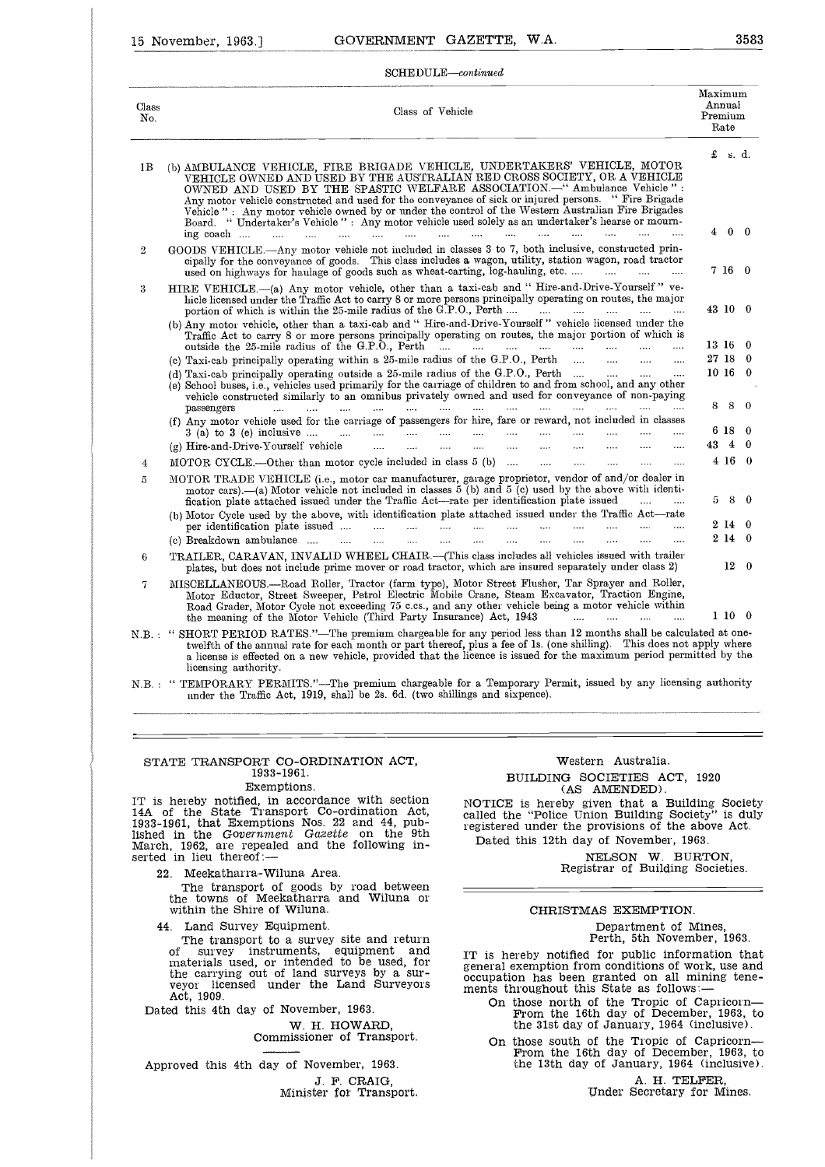#### SCHEDULE—continued

| $\operatorname{SCHEDULE}-\!\!{\it continued}$<br>Class of Vehicle                                                                                                                                                                                                                                                                                                                                                                                                                                                                                                                                                                                                              | Maximum                                                                                                                                                                                                                                                                                                                                                                                                                                                                                                                                                                                                                                                                                                                                                                                                                                                                                                                                                                                                                                                                                                                                                                                                                                                                                                                                                                                         |                                                                                                            |                                                                                                                                          |
|--------------------------------------------------------------------------------------------------------------------------------------------------------------------------------------------------------------------------------------------------------------------------------------------------------------------------------------------------------------------------------------------------------------------------------------------------------------------------------------------------------------------------------------------------------------------------------------------------------------------------------------------------------------------------------|-------------------------------------------------------------------------------------------------------------------------------------------------------------------------------------------------------------------------------------------------------------------------------------------------------------------------------------------------------------------------------------------------------------------------------------------------------------------------------------------------------------------------------------------------------------------------------------------------------------------------------------------------------------------------------------------------------------------------------------------------------------------------------------------------------------------------------------------------------------------------------------------------------------------------------------------------------------------------------------------------------------------------------------------------------------------------------------------------------------------------------------------------------------------------------------------------------------------------------------------------------------------------------------------------------------------------------------------------------------------------------------------------|------------------------------------------------------------------------------------------------------------|------------------------------------------------------------------------------------------------------------------------------------------|
|                                                                                                                                                                                                                                                                                                                                                                                                                                                                                                                                                                                                                                                                                |                                                                                                                                                                                                                                                                                                                                                                                                                                                                                                                                                                                                                                                                                                                                                                                                                                                                                                                                                                                                                                                                                                                                                                                                                                                                                                                                                                                                 |                                                                                                            |                                                                                                                                          |
|                                                                                                                                                                                                                                                                                                                                                                                                                                                                                                                                                                                                                                                                                | Premium                                                                                                                                                                                                                                                                                                                                                                                                                                                                                                                                                                                                                                                                                                                                                                                                                                                                                                                                                                                                                                                                                                                                                                                                                                                                                                                                                                                         | Annual<br>Rate                                                                                             |                                                                                                                                          |
| (b) AMBULANCE VEHICLE, FIRE BRIGADE VEHICLE, UNDERTAKERS' VEHICLE, MOTOR<br>VEHICLE OWNED AND USED BY THE AUSTRALIAN RED CROSS SOCIETY, OR A VEHICLE<br>OWNED AND USED BY THE SPASTIC WELFARE ASSOCIATION.-" Ambulance Vehicle":<br>Any motor vehicle constructed and used for the conveyance of sick or injured persons. " Fire Brigade<br>Vehicle" : Any motor vehicle owned by or under the control of the Western Australian Fire Brigades<br>Board. "Undertaker's Vehicle" : Any motor vehicle used solely as an undertaker's hearse or mourn-<br>ing coach<br>$\cdots$<br>$\cdots$<br>$\sim$<br>$\sim 10^{-10}$<br>$\cdots$<br>$\sim$ . $\sim$<br>$\cdots$<br>$\sim 100$ |                                                                                                                                                                                                                                                                                                                                                                                                                                                                                                                                                                                                                                                                                                                                                                                                                                                                                                                                                                                                                                                                                                                                                                                                                                                                                                                                                                                                 | £s.d.                                                                                                      |                                                                                                                                          |
| GOODS VEHICLE.- Any motor vehicle not included in classes 3 to 7, both inclusive, constructed prin-<br>cipally for the conveyance of goods. This class includes a wagon, utility, station wagon, road tractor<br>used on highways for haulage of goods such as wheat-carting, log-hauling, etc.<br>$\sim$ $\sim$ $\sim$                                                                                                                                                                                                                                                                                                                                                        |                                                                                                                                                                                                                                                                                                                                                                                                                                                                                                                                                                                                                                                                                                                                                                                                                                                                                                                                                                                                                                                                                                                                                                                                                                                                                                                                                                                                 |                                                                                                            |                                                                                                                                          |
| hicle licensed under the Traffic Act to carry 8 or more persons principally operating on routes, the major<br>portion of which is within the 25-mile radius of the G.P.O., Perth<br>$\cdots$<br>$\sim$ $\sim$<br>$\cdots$                                                                                                                                                                                                                                                                                                                                                                                                                                                      |                                                                                                                                                                                                                                                                                                                                                                                                                                                                                                                                                                                                                                                                                                                                                                                                                                                                                                                                                                                                                                                                                                                                                                                                                                                                                                                                                                                                 |                                                                                                            |                                                                                                                                          |
| Traffic Act to carry 8 or more persons principally operating on routes, the major portion of which is                                                                                                                                                                                                                                                                                                                                                                                                                                                                                                                                                                          |                                                                                                                                                                                                                                                                                                                                                                                                                                                                                                                                                                                                                                                                                                                                                                                                                                                                                                                                                                                                                                                                                                                                                                                                                                                                                                                                                                                                 |                                                                                                            | -0                                                                                                                                       |
| (c) Taxi-cab principally operating within a 25-mile radius of the G.P.O., Perth<br>$\sim$<br>$\cdots$<br>$\ddotsc$<br>(d) Taxi-cab principally operating outside a 25-mile radius of the G.P.O., Perth<br>$\cdots$<br>(e) School buses, i.e., vehicles used primarily for the carriage of children to and from school, and any other                                                                                                                                                                                                                                                                                                                                           |                                                                                                                                                                                                                                                                                                                                                                                                                                                                                                                                                                                                                                                                                                                                                                                                                                                                                                                                                                                                                                                                                                                                                                                                                                                                                                                                                                                                 |                                                                                                            | -0<br>0                                                                                                                                  |
| passengers<br><b>Section</b><br><b>Sales</b><br><b>Service</b><br>$\cdots$<br>$\cdots$<br>$\cdots$<br>$\cdots$                                                                                                                                                                                                                                                                                                                                                                                                                                                                                                                                                                 |                                                                                                                                                                                                                                                                                                                                                                                                                                                                                                                                                                                                                                                                                                                                                                                                                                                                                                                                                                                                                                                                                                                                                                                                                                                                                                                                                                                                 |                                                                                                            | $\theta$                                                                                                                                 |
| $3$ (a) to $3$ (e) inclusive<br>المنتقل المتناء المتناء المتناء<br>$\cdots$<br>$\cdots$<br>$\cdots$<br>$\cdots$                                                                                                                                                                                                                                                                                                                                                                                                                                                                                                                                                                |                                                                                                                                                                                                                                                                                                                                                                                                                                                                                                                                                                                                                                                                                                                                                                                                                                                                                                                                                                                                                                                                                                                                                                                                                                                                                                                                                                                                 |                                                                                                            | 0<br>0                                                                                                                                   |
|                                                                                                                                                                                                                                                                                                                                                                                                                                                                                                                                                                                                                                                                                |                                                                                                                                                                                                                                                                                                                                                                                                                                                                                                                                                                                                                                                                                                                                                                                                                                                                                                                                                                                                                                                                                                                                                                                                                                                                                                                                                                                                 |                                                                                                            | - 0                                                                                                                                      |
| MOTOR TRADE VEHICLE (i.e., motor car manufacturer, garage proprietor, vendor of and/or dealer in<br>motor cars).—(a) Motor vehicle not included in classes 5 (b) and 5 (c) used by the above with identi-<br>$\sim$                                                                                                                                                                                                                                                                                                                                                                                                                                                            |                                                                                                                                                                                                                                                                                                                                                                                                                                                                                                                                                                                                                                                                                                                                                                                                                                                                                                                                                                                                                                                                                                                                                                                                                                                                                                                                                                                                 |                                                                                                            |                                                                                                                                          |
| (b) Motor Cycle used by the above, with identification plate attached issued under the Traffic Act-rate<br>per identification plate issued<br>and the state<br>$\cdots$<br>$\sim$                                                                                                                                                                                                                                                                                                                                                                                                                                                                                              |                                                                                                                                                                                                                                                                                                                                                                                                                                                                                                                                                                                                                                                                                                                                                                                                                                                                                                                                                                                                                                                                                                                                                                                                                                                                                                                                                                                                 |                                                                                                            |                                                                                                                                          |
| TRAILER, CARAVAN, INVALID WHEEL CHAIR.-- (This class includes all vehicles issued with trailer                                                                                                                                                                                                                                                                                                                                                                                                                                                                                                                                                                                 |                                                                                                                                                                                                                                                                                                                                                                                                                                                                                                                                                                                                                                                                                                                                                                                                                                                                                                                                                                                                                                                                                                                                                                                                                                                                                                                                                                                                 |                                                                                                            | $12\quad 0$                                                                                                                              |
| MISCELLANEOUS.—Road Roller, Tractor (farm type), Motor Street Flusher, Tar Sprayer and Roller,<br>Motor Eductor, Street Sweeper, Petrol Electric Mobile Crane, Steam Excavator, Traction Engine,<br>Road Grader, Motor Cycle not exceeding 75 c.cs., and any other vehicle being a motor vehicle within                                                                                                                                                                                                                                                                                                                                                                        |                                                                                                                                                                                                                                                                                                                                                                                                                                                                                                                                                                                                                                                                                                                                                                                                                                                                                                                                                                                                                                                                                                                                                                                                                                                                                                                                                                                                 |                                                                                                            |                                                                                                                                          |
|                                                                                                                                                                                                                                                                                                                                                                                                                                                                                                                                                                                                                                                                                | HIRE VEHICLE.-- (a) Any motor vehicle, other than a taxi-cab and "Hire-and-Drive-Yourself" ve-<br>(b) Any motor vehicle, other than a taxi-cab and "Hire-and-Drive-Yourself" vehicle licensed under the<br>outside the $25$ -mile radius of the G.P.O., Perth $\ldots$ $\ldots$ $\ldots$ $\ldots$ $\ldots$ $\ldots$<br>vehicle constructed similarly to an omnibus privately owned and used for conveyance of non-paying<br>(f) Any motor vehicle used for the carriage of passengers for hire, fare or reward, not included in classes<br>(g) Hire-and-Drive-Yourself vehicle<br>$\cdots$<br>$\cdots$<br>$\cdots$<br>MOTOR CYCLE .- Other than motor cycle included in class 5 (b)<br>and the same of<br>$\cdots$<br>$\cdots$<br>fication plate attached issued under the Traffic Act—rate per identification plate issued<br>(c) Breakdown ambulance<br>$\ldots$ .<br>.<br>.<br>$\cdots$<br>$\cdots$<br>$\cdots$<br>$\cdots$<br>$\cdots$<br>$\cdots$<br>$\cdots$<br>plates, but does not include prime mover or road tractor, which are insured separately under class 2)<br>the meaning of the Motor Vehicle (Third Party Insurance) Act, 1943<br>and the company of the company of the company of the company of the company of the company of the company of the<br>twelfth of the annual rate for each month or part thereof, plus a fee of 1s. (one shilling). This does not apply where | SHORT PERIOD RATES."-The premium chargeable for any period less than 12 months shall be calculated at one- | $4\quad 0\quad 0$<br>7 16 0<br>43 10 0<br>13 16<br>27 18<br>10 16<br>88<br>6 18<br>434<br>$4\,16$<br>5 8 0<br>2140<br>2140<br>$1\ 10\ 0$ |

licensing authority. N.B. : " TEMPORARY PERMITS."—The premium chargeable for a Temporary Permit, issued by any licensing authority under the Traffic Act, 1919, shall be 2s. 6d. (two shillings and sixpence).

#### STATE TRANSPORT CO-ORDINATION ACT, 1933-1961,

#### Exemptions.

IT is hereby notified, in accordance with section 14A of the State Transport Co-ordination Act, 1933-1961, that Exemptions Nos. 22 and 44, pub-<br>lished in the Government Gazette on the 9th<br>March, 1962, are repealed and the serted in lieu thereof:—

22. Meekatharra-Wiluna Area.

The transport of goods by road between the towns of Meekatharra and Wiluna or within the Shire of Wiluna.

44. Land Survey Equipment.

The transport to a survey site and return of survey instruments, equipment and materials used, or intended to be used, for the carrying out of land surveys by a sur-<br>veyor licensed under the Land Surveyors licensed under the Land Surveyors Act, 1909.

Dated this 4th day of November, 1963.

W. H. HOWARD, Commissioner of Transport.

Approved this 4th day of November, 1963. J. F. CRAIG, Minister for Transport,

#### Western Australia.

BUILDING SOCIETIES ACT, 1920 (AS AMENDED).

NOTICE is hereby given that a Building Society called the "Police Union Building Society" is duly registered under the provisions of the above Act. Dated this 12th day of November, 1963.

NELSON W. BURTON,

Registrar of Building Societies.

#### CHRISTMAS EXEMPTION.

Department of Mines, Perth, 5th November, 1963.

IT is hereby notified for public information that general exemption from conditions of work, use and occupation has been granted on all mining tenements throughout this State as follows:

- On those north of the Tropic of Capricorn From the 16th day of December, 1963, to the 31st day of January, 1964 (inclusive).
- On those south of the Tropic of Capricorn— From the 16th day of December, 1963, to the 13th day of January, 1964 (inclusive).

A. H. TELFER, Under Secretary for Mines,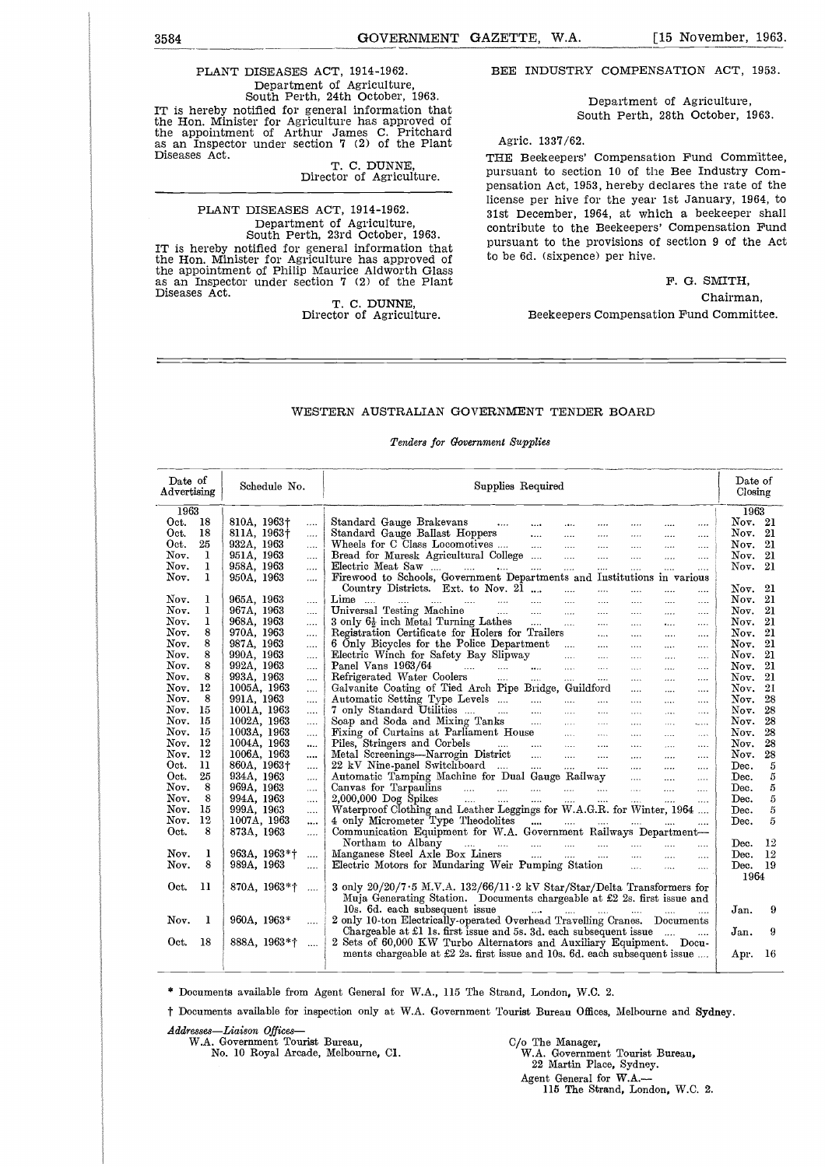## 3584<br>
GOVERNMENT GAZETTE, W.A. [15 November, 1963.<br>
PLANT DISEASES ACT, 1914-1962. BEE INDUSTRY COMPENSATION ACT, 1953.<br>
Department of Agriculture, PLANT DISEASES ACT, 1914-1962. Department of Agriculture, South Perth, 24th October, 1963. IT is hereby notified for general information that the Hon. Minister for Agriculture has approved of the appointment of Arthur James C. Pritchard as an Inspector under section 7 (2) of the Plant

T. C. DUNNE, Director of Agriculture.

#### PLANT DISEASES ACT, 1914-1962. Department of Agriculture, South Perth, 23rd October, 1963. IT is hereby notified for general information that the Hon. Minister for Agriculture has approved of the appointment of Philip Maurice Aldworth Glass as an Inspector under section 7 (2) of the Plant Diseases Act.

T. C. DUNNE, Director of Agriculture. **BEE** INDUSTRY COMPENSATION ACT, 1953.

Department of Agriculture, South Perth, 28th October, 1963.

#### Agric. 1337/62.

THE Beekeepers' Compensation Fund Committee, pursuant to section 10 of the Bee Industry Compensation Act, 1953, hereby declares the rate of the license per hive for the year 1st January, 1964, to 31st December, 1964, at which a beekeeper shall contribute to the Beekeepers' Compensation Fund pursuant to the provisions of section 9 of the Act to be 6d. (sixpence) per hive.

> F. G. SMITH, Chairman,

#### Beekeepers Compensation Fund Committee.

#### WESTERN AUSTRALIAN GOVERNMENT TENDER BOARD

|                                                                    |              |                                     |                      | Tenders for Government Supplies                                                                                       |  |                      |                      |                      |                      |                    |
|--------------------------------------------------------------------|--------------|-------------------------------------|----------------------|-----------------------------------------------------------------------------------------------------------------------|--|----------------------|----------------------|----------------------|----------------------|--------------------|
| Date of<br>Supplies Required<br>Schedule No.<br>$\rm{Advertising}$ |              |                                     |                      |                                                                                                                       |  |                      |                      |                      |                      | Date of<br>Closing |
| 1963                                                               |              |                                     |                      |                                                                                                                       |  |                      |                      |                      | 1963                 |                    |
| Oct.                                                               | -18          | 810A, 1963†                         |                      | Standard Gauge Brakevans<br>$\overline{1}$                                                                            |  | $\overline{1}$       | $\cdots$             | $\cdots$             | Nov. 21              |                    |
| Oct.                                                               | 18           | 811A, 1963†                         | $\cdots$             |                                                                                                                       |  |                      |                      | $\cdots$             | Nov. $21$            |                    |
| Oct.                                                               | 25           | 932A, 1963                          | $\cdots$             | Standard Gauge Ballast Hoppers<br>Wheels for C Class Locomotives<br>$\mathbf{1}$                                      |  | $\mathbf{r}$         | $\ldots$             | $\ldots$             | Nov. 21              |                    |
| Nov.                                                               | 1            | 951A, 1963                          | $\ldots$             | Bread for Muresk Agricultural College<br>$\ddotsc$                                                                    |  | $\ldots$             | $\ddotsc$            | $\ldots$             | Nov. 21              |                    |
| Nov.                                                               | $\mathbf{I}$ | 958A, 1963                          | $\cdots$             | Electric Meat Saw<br>$\ldots$                                                                                         |  |                      |                      | $\cdots$             | Nov. $21$            |                    |
| Nov.                                                               | 1            | 950A, 1963                          | $\ldots$             | Firewood to Schools, Government Departments and Institutions in various                                               |  |                      |                      |                      |                      |                    |
|                                                                    |              |                                     |                      | Country Districts. Ext. to Nov. 21<br>$\mathbf{r}$<br>$\cdots$                                                        |  | $\cdots$             | $\cdots$             | $\ldots$             | Nov. 21              |                    |
| Nov.                                                               | ı            | 965A, 1963                          | $\cdots$             | $\mathbf{Lime}$<br>التبين المتبادر المنتزع<br>$\sim$<br>$\cdots$<br><b>Sales Control</b>                              |  | $\cdots$             | $\cdots$             | $\cdots$             | Nov. 21              |                    |
| Nov.                                                               | ı            | 967A, 1963                          | $\cdots$             | Universal Testing Machine<br>$\cdots$                                                                                 |  | $\ldots$             | $\cdots$             | $\ldots$             | Nov. $21$            |                    |
| Nov.                                                               | ı            | 968A, 1963                          | $\cdots$             | $3$ only $6\frac{1}{2}$ inch Metal Turning Lathes<br>$\cdots$                                                         |  | $\mathbf{r}$         | $\cdots$             | $\ldots$             | Nov. $21$            |                    |
| Nov.                                                               | 8            | 970A, 1963                          | $\cdots$             | Registration Certificate for Holers for Trailers<br>$\sim$                                                            |  | $\cdots$             | $\cdots$             | $\cdots$             | Nov. $21$            |                    |
| Nov.                                                               | 8<br>8       | 987A, 1963                          | $\ldots$             | 6 Only Bicycles for the Police Department<br>$\cdots$                                                                 |  | $\ldots$             | $\cdots$             | $\ldots$             | Nov. $21$            |                    |
| Nov.<br>Nov.                                                       | 8            | 990A, 1963<br>992A, 1963            | $\cdots$             | Electric Winch for Safety Bay Slipway<br>$\ldots$                                                                     |  | $\ldots$             | $\ldots$             | $\ldots$             | Nov. 21<br>Nov. $21$ |                    |
| Nov.                                                               | 8            | 993A, 1963                          | $\cdots$             | $\ldots$ .<br>$\cdots$                                                                                                |  | $\ldots$ .           | $\cdots$             | $\cdots$             | Nov.                 | 21                 |
| Nov.                                                               | $^{12}$      | 1005A, 1963                         | $\ldots$<br>$\ldots$ | Galvanite Coating of Tied Arch Pipe Bridge, Guildford                                                                 |  | $\ldots$<br>$\cdots$ | $\ldots$<br>$\cdots$ | $\ldots$<br>$\cdots$ | Nov. 21              |                    |
| Nov.                                                               | 8            | 991A, 1963                          |                      | Automatic Setting Type Levels                                                                                         |  | $\cdots$             | $\cdots$             | $\cdots$             | Nov.                 | 28                 |
| Nov.                                                               | 15           | 1001A, 1963                         | $\cdots$             | $\ldots$                                                                                                              |  | $\ldots$             | $\cdots$             | $\ldots$ .           | Nov.                 | 28                 |
| Nov.                                                               | 15           | 1002A, 1963                         |                      | 7 only Standard Utilities       Soap and Soda and Mixing Tanks<br>$\ldots$                                            |  | $\ldots$             | $\ldots$ .           | ka ka                | Now.                 | 28                 |
| Nov.                                                               | $15\,$       | 1003A, 1963                         | $\cdots$             | $\sim$                                                                                                                |  | $\ldots$ .           | $\cdots$             | $\ldots$             | Nov.                 | 28                 |
| Nov.                                                               | 12           | 1004A, 1963                         | $\cdots$             | Fixing of Curtains at Parliament House<br>Piles, Stringers and Corbels<br>$\sim$                                      |  | $\ldots$             | $\cdots$             | $\cdots$             | Nov.                 | 28                 |
| Nov.                                                               | 12           | 1006A, 1963                         |                      | Metal Screenings—Narrogin District<br>$\sim 100$                                                                      |  | $\cdots$             | $\cdots$             | $\ldots$             | Nov.                 | 28                 |
| Oct.                                                               | 11           | 860A, 1963†                         | $\cdots$             | 22 kV Nine-panel Switchboard                                                                                          |  | <b>Sales</b>         | $\cdots$             | $\ldots$             | Dec.                 | 5                  |
| Oct.                                                               | 25           | 934A, 1963                          | $\cdots$             | Automatic Tamping Machine for Dual Gauge Railway                                                                      |  | $\sim 10^{-10}$      | $\cdots$             | $\ldots$             | Dec.                 | 5                  |
| Nov.                                                               | 8            | 969A, 1963                          | $\ldots$             | Canvas for Tarpaulins<br>المستحدث المستحدث المستحدث المستحدث                                                          |  | $\sim 1.1$ .         | $\cdots$             | $\cdots$             | Dec.                 | 5                  |
| Nov.                                                               | 8            | 994A, 1963                          | $\ldots$ .           | 2,000,000 Dog Spikes                                                                                                  |  |                      |                      | $\cdots$             | Dec.                 | 5                  |
| Nov.                                                               | 15           | 999A, 1963                          | $\ldots$             | Waterproof Clothing and Leather Leggings for W.A.G.R. for Winter, 1964                                                |  |                      |                      |                      | Dec.                 | $\overline{5}$     |
| Nov.                                                               | 12           | 1007A, 1963                         |                      | 4 only Micrometer Type Theodolites                                                                                    |  |                      |                      |                      | Dec.                 | 5                  |
| Oct.                                                               | 8            | 873A, 1963                          |                      | Communication Equipment for W.A. Government Railways Department-                                                      |  |                      |                      |                      |                      |                    |
|                                                                    |              |                                     |                      |                                                                                                                       |  |                      |                      | $\cdots$             | Dec.                 | -12                |
| Nov.                                                               | 1            | 963A, 1963*†                        | $\cdots$             |                                                                                                                       |  |                      |                      | $\cdots$             | Dec.                 | 12                 |
| Nov.                                                               | 8            | 989A, 1963                          | $\cdots$             | Electric Motors for Mundaring Weir Pumping Station                                                                    |  | $\mathbf{r}$         |                      | $\ldots$             | Dec. 19              |                    |
| Oct.                                                               | 11           | $870A, 1963*†$                      | $\ddotsc$            | 3 only $20/20/7.5$ M.V.A. 132/66/11.2 kV Star/Star/Delta Transformers for                                             |  |                      |                      |                      | 1964                 |                    |
|                                                                    |              |                                     |                      | Muja Generating Station. Documents chargeable at £2 2s. first issue and                                               |  |                      |                      |                      |                      |                    |
|                                                                    |              |                                     |                      | 10s. 6d. each subsequent issue                                                                                        |  |                      |                      |                      | Jan.                 | 9                  |
| Nov.                                                               | 1            | 960A, 1963*                         | $\cdots$             | 2 only 10-ton Electrically-operated Overhead Travelling Cranes. Documents                                             |  |                      |                      |                      |                      |                    |
|                                                                    |              |                                     |                      | Chargeable at £1 1s. first issue and 5s. 3d. each subsequent issue                                                    |  |                      |                      |                      | Jan.                 | 9                  |
| Oct.                                                               | 18           | 888A, 1963*†                        | $\sim$               | 2 Sets of 60,000 KW Turbo Alternators and Auxiliary Equipment. Docu-                                                  |  |                      |                      |                      |                      |                    |
|                                                                    |              |                                     |                      | ments chargeable at £2 2s. first issue and 10s. 6d. each subsequent issue                                             |  |                      |                      |                      | Apr. 16              |                    |
|                                                                    |              |                                     |                      |                                                                                                                       |  |                      |                      |                      |                      |                    |
|                                                                    |              |                                     |                      |                                                                                                                       |  |                      |                      |                      |                      |                    |
|                                                                    |              |                                     |                      | * Documents available from Agent General for W.A., 115 The Strand, London, W.C. 2.                                    |  |                      |                      |                      |                      |                    |
|                                                                    |              |                                     |                      | <sup>†</sup> Documents available for inspection only at W.A. Government Tourist Bureau Offices, Melbourne and Sydney. |  |                      |                      |                      |                      |                    |
|                                                                    |              | Addresses-Liaison Offices-          |                      |                                                                                                                       |  |                      |                      |                      |                      |                    |
|                                                                    |              | W.A. Government Tourist Bureau,     |                      | C/o The Manager,                                                                                                      |  |                      |                      |                      |                      |                    |
|                                                                    |              | No. 10 Royal Arcade, Melbourne, C1. |                      | W.A. Government Tourist Bureau,                                                                                       |  |                      |                      |                      |                      |                    |
|                                                                    |              |                                     |                      | 22 Martin Place, Sydney.                                                                                              |  |                      |                      |                      |                      |                    |
|                                                                    |              |                                     |                      |                                                                                                                       |  |                      |                      |                      |                      |                    |
|                                                                    |              |                                     |                      | Agent General for W.A.—<br>$115 \text{ }\text{Tho. Shond.}$ Lordon, $W \cap \Omega$                                   |  |                      |                      |                      |                      |                    |

C/o The Manager, W.A. Government Tourist Bureau, 22 Martin Place, Sydney. Agent General for W.A.- **115 The** Strand, London, W.C. 2.

Diseases Act.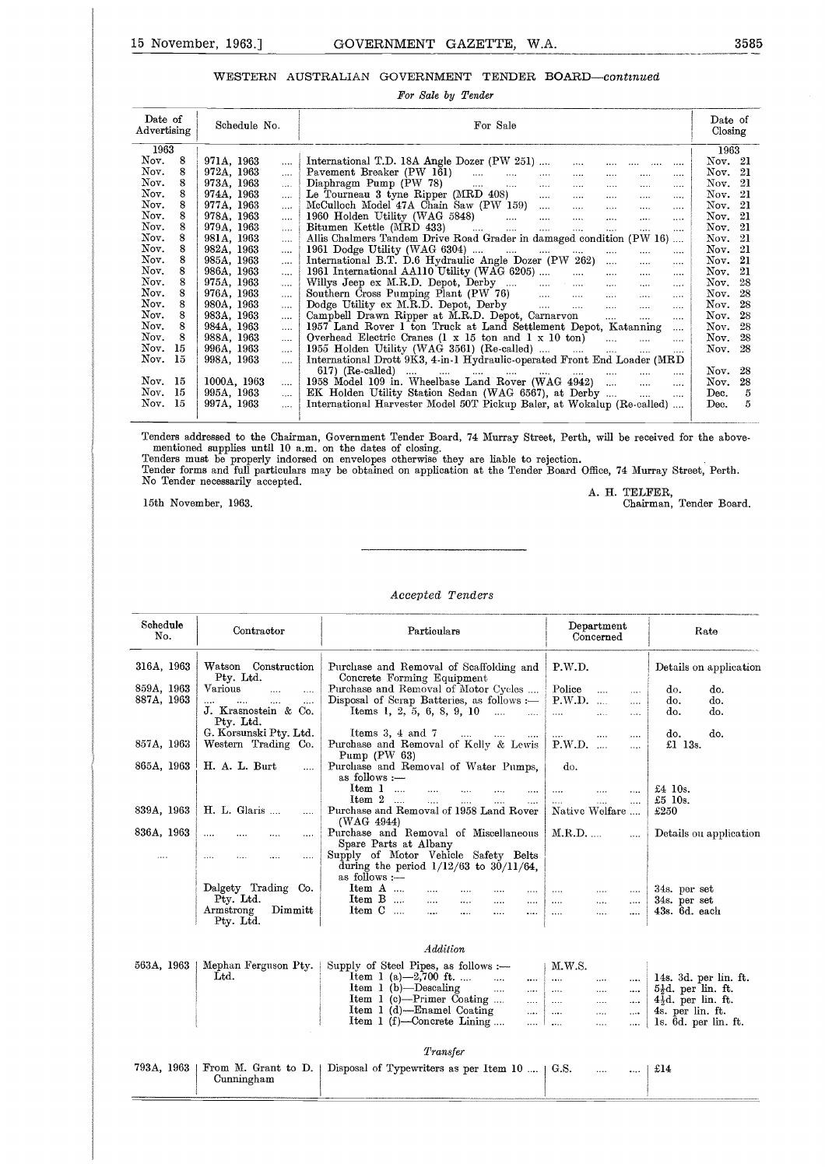# 15 November, 1963.] GOVERNMENT GAZETTE, W.A. 3585<br>WESTERN AUSTRALIAN GOVERNMENT TENDER BOARD—continued WESTERN AUSTRALIAN GOVERNMENT TENDER BOARD-continued

|                                                                                                                                                                                                                                                                                           | 15 November, 1963.1                                                                                                                                                                                                                                                                                                                                                                                                                                                                                               | GOVERNMENT GAZETTE, W.A.<br>WESTERN AUSTRALIAN GOVERNMENT TENDER BOARD-continued<br>For Sale by Tender                                                                                                                                                                                                                                                                                                                                                                                                                                                                                                                                                                                                                                                                                                                                                                                                                                                                                                                                                                                                                                                                                                                                                                                                                                                                                                                                                                                                                                                                                                                                                                                                                                                                                                                                                                                                                                                                                                                                                             | 358                                                                                                                                                                                                                                                                 |
|-------------------------------------------------------------------------------------------------------------------------------------------------------------------------------------------------------------------------------------------------------------------------------------------|-------------------------------------------------------------------------------------------------------------------------------------------------------------------------------------------------------------------------------------------------------------------------------------------------------------------------------------------------------------------------------------------------------------------------------------------------------------------------------------------------------------------|--------------------------------------------------------------------------------------------------------------------------------------------------------------------------------------------------------------------------------------------------------------------------------------------------------------------------------------------------------------------------------------------------------------------------------------------------------------------------------------------------------------------------------------------------------------------------------------------------------------------------------------------------------------------------------------------------------------------------------------------------------------------------------------------------------------------------------------------------------------------------------------------------------------------------------------------------------------------------------------------------------------------------------------------------------------------------------------------------------------------------------------------------------------------------------------------------------------------------------------------------------------------------------------------------------------------------------------------------------------------------------------------------------------------------------------------------------------------------------------------------------------------------------------------------------------------------------------------------------------------------------------------------------------------------------------------------------------------------------------------------------------------------------------------------------------------------------------------------------------------------------------------------------------------------------------------------------------------------------------------------------------------------------------------------------------------|---------------------------------------------------------------------------------------------------------------------------------------------------------------------------------------------------------------------------------------------------------------------|
|                                                                                                                                                                                                                                                                                           |                                                                                                                                                                                                                                                                                                                                                                                                                                                                                                                   |                                                                                                                                                                                                                                                                                                                                                                                                                                                                                                                                                                                                                                                                                                                                                                                                                                                                                                                                                                                                                                                                                                                                                                                                                                                                                                                                                                                                                                                                                                                                                                                                                                                                                                                                                                                                                                                                                                                                                                                                                                                                    |                                                                                                                                                                                                                                                                     |
| Date of<br>Advertising                                                                                                                                                                                                                                                                    | Schedule No.                                                                                                                                                                                                                                                                                                                                                                                                                                                                                                      | For Sale                                                                                                                                                                                                                                                                                                                                                                                                                                                                                                                                                                                                                                                                                                                                                                                                                                                                                                                                                                                                                                                                                                                                                                                                                                                                                                                                                                                                                                                                                                                                                                                                                                                                                                                                                                                                                                                                                                                                                                                                                                                           | Date of<br>Closing                                                                                                                                                                                                                                                  |
| 1963                                                                                                                                                                                                                                                                                      |                                                                                                                                                                                                                                                                                                                                                                                                                                                                                                                   |                                                                                                                                                                                                                                                                                                                                                                                                                                                                                                                                                                                                                                                                                                                                                                                                                                                                                                                                                                                                                                                                                                                                                                                                                                                                                                                                                                                                                                                                                                                                                                                                                                                                                                                                                                                                                                                                                                                                                                                                                                                                    | 1963                                                                                                                                                                                                                                                                |
| Nov.<br>8<br>8<br>Nov.<br>Nov.<br>8<br>Nov.<br>8<br>8<br>Nov.<br>Nov.<br>8<br>8<br>Nov.<br>Nov.<br>8<br>8<br>Nov.<br>8<br>Nov.<br>8<br>Nov.<br>Nov.<br>8<br>Nov.<br>8<br>Nov.<br>8<br>Nov.<br>8<br>Nov.<br>8<br>Nov.<br>8<br>Nov.<br>15<br>Nov.<br>15<br>Nov. 15<br>Nov.<br>15<br>Nov. 15 | 971A, 1963<br><br>972A, 1963<br>$\cdots$<br>973A, 1963<br>$\cdots$<br>974A, 1963<br><br>977A, 1963<br>$\cdots$<br>978A, 1963<br>$\cdots$<br>979A, 1963<br><br>981A, 1963<br><br>982A, 1963<br><br>985A, 1963<br>$\cdots$<br>986A, 1963<br>$\ldots$<br>975A, 1963<br>$\cdots$<br>976A, 1963<br>$\cdots$<br>980A, 1963<br>$\cdots$<br>983A, 1963<br><br>984A, 1963<br>$\cdots$<br>988A, 1963<br><br>996A, 1963<br>$\cdots$<br>998A, 1963<br>$\cdots$<br>1000A, 1963<br><br>995A, 1963<br><br>997A, 1963<br>$\cdots$ | International T.D. 18A Angle Dozer (PW 251)<br>$\cdots$<br>$\cdots$<br>$\cdots$<br>Pavement Breaker (PW 161)<br>$\cdots$<br>$\cdots$<br>$\cdots$<br>$\sim$ . $\sim$<br>Diaphragm Pump $(PW 78)$<br>$\Delta\Delta\sim 10^{-11}$<br>$\cdots$<br>$\sim$ . $\sim$<br>$\sim$ $\sim$ $\sim$<br>$\sim 100$<br>Le Tourneau 3 tyne Ripper (MRD 408)<br>$\mathbf{r}$<br>$\cdots$<br>$\mathbf{1}$<br>$\ldots$<br>McCulloch Model 47A Chain Saw (PW 159)<br>$\sim 100$<br>$\cdots$<br>$\cdots$<br>$\sim 100$<br>$\mathbf{u}$<br>$\cdots$<br>$\cdots$<br>$\cdots$<br>Bitumen Kettle (MRD 433)<br>المستحدث التبيت المتناول<br>$\sim$<br>$\cdots$<br>$\cdots$<br>$\sim$ . $\sim$<br>Allis Chalmers Tandem Drive Road Grader in damaged condition (PW 16)<br>1961 Dodge Utility (WAG 6304)<br>المستنقل والمستندر المستندر<br>$\ldots$<br>$\cdots$<br>$\cdots$<br>International B.T. D.6 Hydraulic Angle Dozer (PW 262)<br>$\cdots$<br>$\cdots$<br>1961 International AA110 Utility (WAG 6205)<br>$\ldots$<br>$\cdots$<br>$\cdots$<br>Willys Jeep ex M.R.D. Depot, Derby<br><b>Sales Control</b><br>$\ddotsc$<br>$\ldots$<br>Southern Cross Pumping Plant (PW 76)<br>Dodge Utility ex M.R.D. Depot, Derby<br>$\mathbf{r}$<br>$\cdots$<br><b>Section</b><br>$\cdots$<br>Campbell Drawn Ripper at M.R.D. Depot, Carnarvon<br>$\mathbf{r}$<br>$\cdots$<br>1957 Land Rover 1 ton Truck at Land Settlement Depot, Katanning<br>$\cdots$<br>Overhead Electric Cranes $(1 \times 15$ ton and $1 \times 10$ ton)<br>$\sim$<br>1955 Holden Utility (WAG 3561) (Re-called) $\dots$ $\dots$ $\dots$<br>$\cdots$<br>$\cdots$<br>International Drott 9K3, 4-in-1 Hydraulic-operated Front End Loader (MRD<br>$617)$ (Re-called)<br>المستحدث والمستحدث المستحدث المستحدث المسار<br>$\ldots$<br>and the<br>$\ldots$<br>1958 Model 109 in. Wheelbase Land Rover (WAG 4942)<br>$\Delta\Delta\sim 10^{-11}$<br>$\mathcal{L}_{\text{max}}$<br>EK Holden Utility Station Sedan (WAG 6567), at Derby<br>$\mathbf{r}$<br>$\sim$<br>International Harvester Model 50T Pickup Baler, at Wokalup (Re-called) | Nov. 21<br>Nov. $21$<br>Nov. 21<br>Nov. 21<br>Nov. 21<br>Nov. 21<br>Nov. $21$<br>Nov. 21<br>Nov. $21$<br>Nov. 21<br>Nov. $21$<br>Nov. 28<br>Nov. 28<br>Nov. 28<br>Nov. 28<br>Nov. 28<br>28<br>Nov.<br>Nov.<br>28<br>Nov. 28<br>Nov.<br>28<br>Dec.<br>5<br>5<br>Dec. |
|                                                                                                                                                                                                                                                                                           | No Tender necessarily accepted.<br>15th November, 1963.                                                                                                                                                                                                                                                                                                                                                                                                                                                           | Tenders addressed to the Chairman, Government Tender Board, 74 Murray Street, Perth, will be received for the above-<br>mentioned supplies until 10 a.m. on the dates of closing.<br>Tenders must be properly indorsed on envelopes otherwise they are liable to rejection.<br>Tender forms and full particulars may be obtained on application at the Tender Board Office, 74 Murray Street, Perth.<br>A. H. TELFER.<br>Chairman. Tender Board.                                                                                                                                                                                                                                                                                                                                                                                                                                                                                                                                                                                                                                                                                                                                                                                                                                                                                                                                                                                                                                                                                                                                                                                                                                                                                                                                                                                                                                                                                                                                                                                                                   |                                                                                                                                                                                                                                                                     |

|                                        | 15th November, 1963.                                                                                     |                                                                                                                                                                                                       |                                                           | Chairman, Tender Board.                                          |
|----------------------------------------|----------------------------------------------------------------------------------------------------------|-------------------------------------------------------------------------------------------------------------------------------------------------------------------------------------------------------|-----------------------------------------------------------|------------------------------------------------------------------|
|                                        |                                                                                                          |                                                                                                                                                                                                       |                                                           |                                                                  |
|                                        |                                                                                                          | Accepted Tenders                                                                                                                                                                                      |                                                           |                                                                  |
| Schedule<br>No.                        | Contractor                                                                                               | Particulars                                                                                                                                                                                           | Department<br>Concerned                                   | Rate                                                             |
| 316A, 1963<br>859A, 1963<br>887A, 1963 | Watson Construction<br>Pty. Ltd.<br>Various<br>$\cdots$<br>$\cdots$<br>J. Krasnostein & Co.<br>Pty. Ltd. | Purchase and Removal of Scaffolding and<br>Concrete Forming Equipment<br>Purchase and Removal of Motor Cycles<br>Disposal of Scrap Batteries, as follows :-<br>Items 1, 2, 5, 6, 8, 9, 10<br>$\cdots$ | P.W.D.<br>Police<br><br>.<br>P.W.D.<br>$\cdots$<br>.      | Details on application<br>do.<br>do.<br>do.<br>do.<br>do.<br>do. |
| 857A, 1963                             | G. Korsunski Pty. Ltd.<br>Western Trading Co.                                                            | Items $3, 4$ and $7$<br>$\cdots$<br>$\sim$<br><br>Purchase and Removal of Kelly & Lewis<br>Pump $(PW_63)$                                                                                             | $\cdots$<br><br><br>P.W.D.<br>$\cdots$<br>                | do.<br>do.<br>£1 13 $s$ .                                        |
| 865A, 1963<br>839A, 1963               | H. A. L. Burt<br>.<br>H. L. Glaris                                                                       | Purchase and Removal of Water Pumps,<br>as follows :-<br>Item 1<br>$\sim 100$<br>$\cdots$<br>Item 2<br>$\sim$<br>$\cdots$<br>Purchase and Removal of 1958 Land Rover                                  | do.<br>$\cdots$<br>$\cdots$<br>$\cdots$<br>Native Welfare | $£4$ 10s.<br>£5 $10s$ .<br>£250                                  |
| 836A, 1963<br>                         | $\cdots$<br><br>$\cdots$<br>$\cdots$<br>$\cdots$                                                         | (WAG 4944)<br>Purchase and Removal of Miscellaneous<br>Spare Parts at Albany<br>Supply of Motor Vehicle Safety Belts<br>during the period $1/12/63$ to $30/11/64$ ,                                   | $M.R.D.$<br>$\cdots$                                      | Details ou application                                           |
|                                        | Dalgety Trading Co.<br>Pty. Ltd.<br>Dimmitt<br>Armstrong<br>Pty. Ltd.                                    | as follows :-<br>$Item A$<br>Item B<br>$\cdots$<br><br><br>Item C<br>$\cdots$<br><br><br>$\cdots$                                                                                                     | <br>.<br>$\cdots$<br>$\cdots$<br><br>.<br><br><br>        | 34s. per set<br>34s. per set<br>43s. 6d. each                    |

#### *Addition*

|            | Dalgety Trading Co.                 | $\frac{1010 \text{ W}}{2}$<br>Item A                    | <br><br>                                              |              |                      |              |              | 34s. per set                                       |
|------------|-------------------------------------|---------------------------------------------------------|-------------------------------------------------------|--------------|----------------------|--------------|--------------|----------------------------------------------------|
|            | Pty. Ltd.<br>Dim<br>Armstrong       | Item $B$<br>Item C                                      | $\ldots$<br>$\cdots$<br><br>$\ddotsc$<br>$\cdots$<br> | $\cdots$<br> | $\cdots$<br>         | <br>         | $\cdots$<br> | 34s. per set<br>43s.6d.each                        |
|            | Pty. Ltd.                           |                                                         |                                                       |              |                      |              |              |                                                    |
|            |                                     |                                                         | Addition                                              |              |                      |              |              |                                                    |
| 563A, 1963 | Mephan Ferguson Pty.                | Supply of Steel Pipes, as follows :-                    |                                                       |              | M.W.S.               |              |              |                                                    |
|            | Ltd.                                | Item 1 (a) $-2,700$ ft.                                 | $\sim$                                                | $\cdots$     | $\cdots$             |              |              | 14s. $3d.$ per lin. ft.                            |
|            |                                     | $Item 1 (b) - Descaling$<br>Item $1$ (c)—Primer Coating | $\cdots$                                              | $\cdots$     | $\cdots$             |              | $\cdots$     | $5\frac{1}{2}d$ , per lin. ft.                     |
|            |                                     | Item 1 (d)—Enamel Coating                               |                                                       | .            | $\cdots$             |              | $\cdots$     | $4\frac{1}{2}d$ . per lin. ft.<br>4s. per lin. ft. |
|            |                                     | Item 1 (f)-Concrete Lining                              |                                                       | <br>         | $\cdots$<br>$\cdots$ | $\cdots$<br> | $\cdots$     | 1s. 6d. per lin. ft.                               |
|            |                                     |                                                         |                                                       |              |                      |              |              |                                                    |
|            |                                     |                                                         | Transfer                                              |              |                      |              |              |                                                    |
| 793A, 1963 | From M. Grant to $D.$<br>Cunningham | Disposal of Typewriters as per Item 10    G.S.          |                                                       |              |                      |              |              | £14                                                |
|            |                                     |                                                         |                                                       |              |                      |              |              |                                                    |
|            |                                     |                                                         |                                                       |              |                      |              |              |                                                    |

|            | Transfer                                                                          |                             |  |
|------------|-----------------------------------------------------------------------------------|-----------------------------|--|
| Cunningham | 793A, 1963   From M. Grant to D.   Disposal of Typewriters as per Item 10    G.S. | $\ldots$ $\ldots$ $\pm$ £14 |  |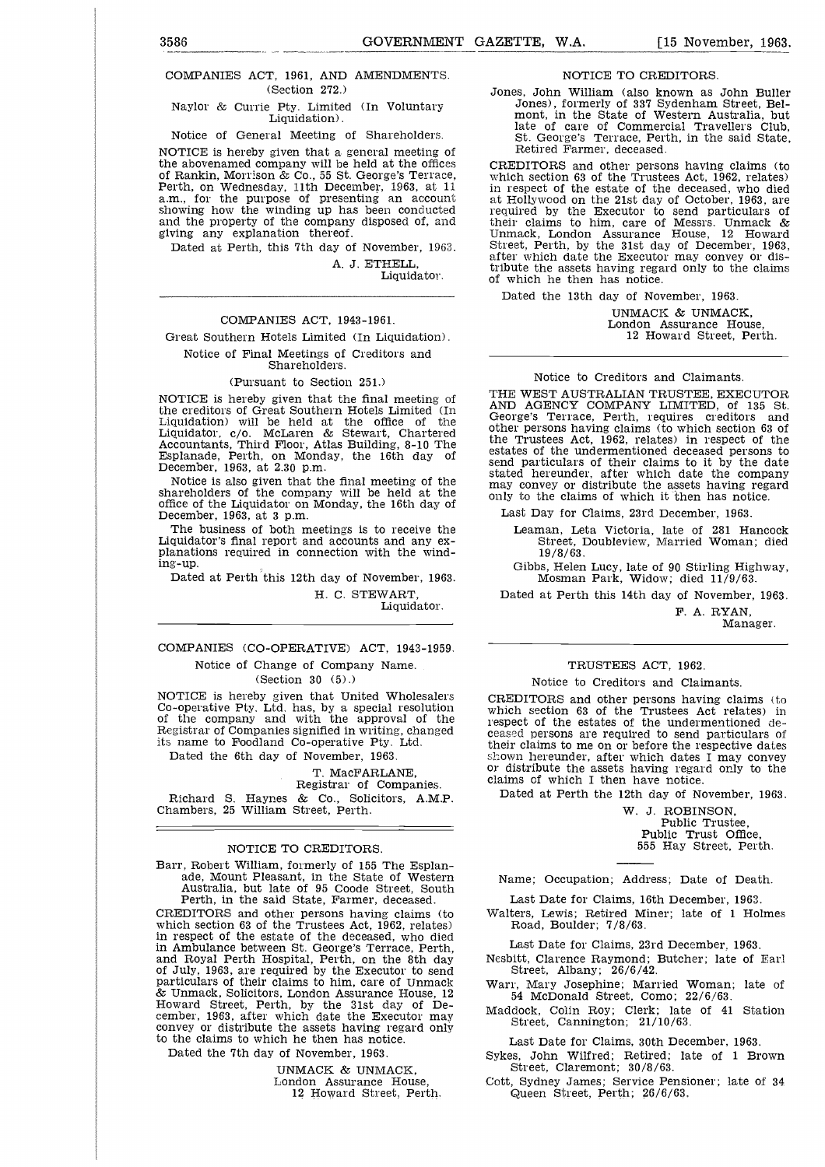## 3586<br>
GOVERNMENT GAZETTE, W.A. [15 November, 1963.<br>
COMPANIES ACT, 1961, AND AMENDMENTS. MOTICE TO CREDITORS.<br>
(Section 272.) Jones. John William (also known as John Buller) COMPANIES ACT, 1961, AND AMENDMENTS. (Section 272.)

Naylor & Currie Pty. Limited (In Voluntary Liquidation).

Notice of General Meeting of Shareholders.

NOTICE is hereby given that a general meeting of the abovenamed company will be held at the offices of Rankin, Morrison & Co., 55 St. George's Terrace, Perth, on Wednesday, 11th December, 1963, at 11 a.m., for the purpose of presenting an account showing how the winding up has been conducted and the property of the company disposed of, and giving any explanation thereof.

Dated at Perth, this 7th day of November, 1963.

A. J. ETHELL, Liquidator.

#### COMPANIES ACT, 1943-1961.

Great Southern Hotels Limited (In Liquidation). Notice of Final Meetings of Creditors and

#### Shareholders.

#### (Pursuant to Section 251.)

NOTICE is hereby given that the final meeting of the creditors of Great Southern Hotels Limited (In Liquidation) will be held at the office of the Liquidator, c/o. McLaren & Stewart, Chartered Accountants, Third Floor, Atlas Building, 8-10 The Esplanade, Perth, on Monday, the 16th day of December, 1963, at 2.30 p.m.

Notice is also given that the final meeting of the shareholders of the company will be held at the office of the Liquidator on Monday, the 16th day of December, 1963, at 3 p.m.

The business of both meetings is to receive the Liquidator's final report and accounts and any explanations required in connection with the winding-up.

Dated at Perth this 12th day of November, 1963.

H. C. STEWART, Liquidator.

#### COMPANIES (CO-OPERATIVE) ACT, 1943-1959. Notice of Change of Company Name.

(Section 30 (5).)

NOTICE is hereby given that United Wholesalers Co-operative Pty. Ltd. has, by a special resolution of the company and with the approval of the Registrar of Companies signified in writing, changed its name to Foodland Co-operative Pty. Ltd.

Dated the 6th day of November, 1963.

#### T. MacFARLANE,

Registrar of Companies. Richard S. Haynes & Co., Solicitors, A.M.P. Chambers, 25 William Street, Perth.

#### NOTICE TO CREDITORS.

Barr, Robert William, formerly of 155 The Esplanade, Mount Pleasant, in the State of Western Australia, but late of 95 Coode Street, South Perth, in the said State, Farmer, deceased.

CREDITORS and other persons having claims (to which section 63 of the Trustees Act, 1962, relates) in respect of the estate of the deceased, who died in Ambulance between St. George's Terrace, Perth, and Royal Perth Hospital, Perth, on the 8th day of July, 1963, are required by the Executor to send particulars of their claims to him, care of Unmack & Unmack, Solicitors, London Assurance House, 12 Howard Street, Perth, by the 31st day of De-cember, 1963, after which date the Executor may convey or distribute the assets having regard only to the claims to which he then has notice.

Dated the 7th day of November, 1963.

UNMACK & UNMACK, London Assurance House, 12 Howard Street, Perth. NOTICE TO CREDITORS.

Jones, John William (also known as John Buller Jones), formerly of 337 Sydenham Street, Bel-mont, in the State of Western Australia, but late of care of Commercial Travellers Club, St. George's Terrace, Perth, in the said State, Retired Farmer, deceased.

CREDITORS and other persons having claims (to which section 63 of the Trustees Act, 1962, relates) in respect of the estate of the deceased, who died at Hollywood on the 21st day of October, 1963, are required by the Executor to send particulars of their claims to him, care of Messrs. Unmack & Unmack, London Assurance House, 12 Howard Street, Perth, by the 31st day of December, 1963, after which date the Executor may convey or distribute the assets having regard only to the claims of which he then has notice.

Dated the 13th day of November, 1963.

UNMACK & UNMACK, London Assurance House, 12 Howard Street, Perth.

#### Notice to Creditors and Claimants.

THE WEST AUSTRALIAN TRUSTEE, EXECUTOR AND AGENCY COMPANY LIMITED, of 135 St. George's Terrace, Perth, requires creditors other persons having claims (to which section 63 of the Trustees Act, 1962, relates) in respect of the estates of the undermentioned deceased persons to send particulars of their claims to it by the date stated hereunder, after which date the company may convey or distribute the assets having regard only to the claims of which it then has notice.

Last Day for Claims, 23rd December, 1963.

Leaman, Leta Victoria, late of 281 Hancock Street, Doubleview, Married Woman; died 19/8/63.

Gibbs, Helen Lucy, late of 90 Stirling Highway, Mosman Park, Widow; died 11/9/63.

Dated at Perth this 14th day of November, 1963.

F. A. RYAN, Manager.

#### TRUSTEES ACT, 1962.

#### Notice to Creditors and Claimants.

CREDITORS and other persons having claims (to which section 63 of the Trustees Act relates) in respect of the estates of the undermentioned deceased persons are required to send particulars of their claims to me on or before the respective dates shown hereunder, after which dates I may convey or distribute the assets having regard only to the claims of which I then have notice.

Dated at Perth the 12th day of November, 1963.

W. J. ROBINSON, Public Trustee, Public Trust Office, 555 Hay Street, Perth.

Name; Occupation; Address; Date of Death.

Last Date for Claims, 16th December, 1963.

Walters, Lewis; Retired Miner; late of 1 Holmes Road, Boulder; 7/8/63.

Last Date for Claims, 23rd December, 1963.

Nesbitt, Clarence Raymond; Butcher; late of Earl Street, Albany; 26/6/42.

Warr, Mary Josephine; Married Woman; late of 54 McDonald Street, Como; 22/6/63.

Maddock, Colin Roy; Clerk; late of 41 Station Street, Cannington; 21/10/63.

Last Date for Claims, 30th December, 1963.

Sykes, John Wilfred; Retired; late of 1 Brown Street, Claremont; 30/8/63.

Cott, Sydney James; Service Pensioner; late of 34 Queen Street, Perth; 26/6/63,